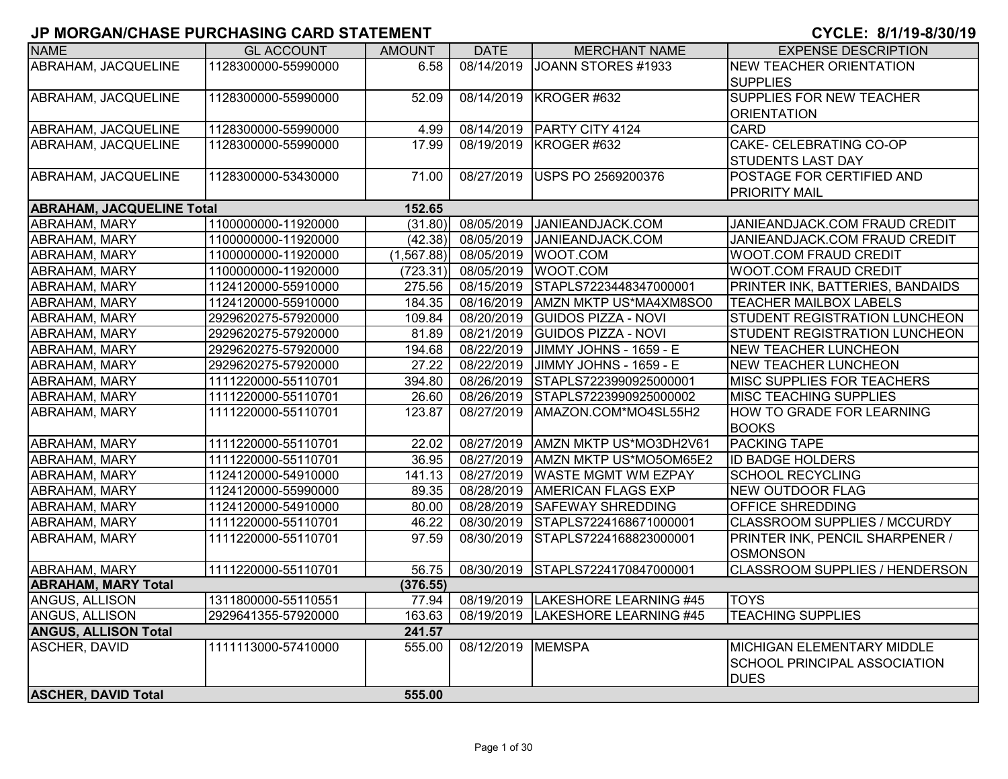| <b>NAME</b>                      | <b>GL ACCOUNT</b>   | <b>AMOUNT</b> | <b>DATE</b>       | <b>MERCHANT NAME</b>               | <b>EXPENSE DESCRIPTION</b>          |
|----------------------------------|---------------------|---------------|-------------------|------------------------------------|-------------------------------------|
| ABRAHAM, JACQUELINE              | 1128300000-55990000 | 6.58          | 08/14/2019        | JOANN STORES #1933                 | <b>NEW TEACHER ORIENTATION</b>      |
|                                  |                     |               |                   |                                    | <b>SUPPLIES</b>                     |
| <b>ABRAHAM, JACQUELINE</b>       | 1128300000-55990000 | 52.09         | 08/14/2019        | KROGER #632                        | <b>SUPPLIES FOR NEW TEACHER</b>     |
|                                  |                     |               |                   |                                    | <b>ORIENTATION</b>                  |
| ABRAHAM, JACQUELINE              | 1128300000-55990000 | 4.99          |                   | 08/14/2019 PARTY CITY 4124         | <b>CARD</b>                         |
| ABRAHAM, JACQUELINE              | 1128300000-55990000 | 17.99         | 08/19/2019        | KROGER #632                        | CAKE- CELEBRATING CO-OP             |
|                                  |                     |               |                   |                                    | <b>STUDENTS LAST DAY</b>            |
| ABRAHAM, JACQUELINE              | 1128300000-53430000 | 71.00         | 08/27/2019        | USPS PO 2569200376                 | POSTAGE FOR CERTIFIED AND           |
|                                  |                     |               |                   |                                    | <b>PRIORITY MAIL</b>                |
| <b>ABRAHAM, JACQUELINE Total</b> |                     | 152.65        |                   |                                    |                                     |
| ABRAHAM, MARY                    | 1100000000-11920000 | (31.80)       |                   | 08/05/2019 JANIEANDJACK.COM        | JANIEANDJACK.COM FRAUD CREDIT       |
| <b>ABRAHAM, MARY</b>             | 1100000000-11920000 | (42.38)       |                   | 08/05/2019 JANIEANDJACK.COM        | JANIEANDJACK.COM FRAUD CREDIT       |
| ABRAHAM, MARY                    | 1100000000-11920000 | (1,567.88)    | 08/05/2019        | WOOT.COM                           | WOOT.COM FRAUD CREDIT               |
| ABRAHAM, MARY                    | 1100000000-11920000 | (723.31)      | 08/05/2019        | WOOT.COM                           | WOOT.COM FRAUD CREDIT               |
| ABRAHAM, MARY                    | 1124120000-55910000 | 275.56        | 08/15/2019        | STAPLS7223448347000001             | PRINTER INK, BATTERIES, BANDAIDS    |
| ABRAHAM, MARY                    | 1124120000-55910000 | 184.35        | 08/16/2019        | AMZN MKTP US*MA4XM8SO0             | <b>TEACHER MAILBOX LABELS</b>       |
| <b>ABRAHAM, MARY</b>             | 2929620275-57920000 | 109.84        | 08/20/2019        | <b>GUIDOS PIZZA - NOVI</b>         | STUDENT REGISTRATION LUNCHEON       |
| ABRAHAM, MARY                    | 2929620275-57920000 | 81.89         | 08/21/2019        | <b>GUIDOS PIZZA - NOVI</b>         | STUDENT REGISTRATION LUNCHEON       |
| ABRAHAM, MARY                    | 2929620275-57920000 | 194.68        | 08/22/2019        | JIMMY JOHNS - 1659 - E             | <b>NEW TEACHER LUNCHEON</b>         |
| ABRAHAM, MARY                    | 2929620275-57920000 | 27.22         | 08/22/2019        | JIMMY JOHNS - 1659 - E             | <b>NEW TEACHER LUNCHEON</b>         |
| <b>ABRAHAM, MARY</b>             | 1111220000-55110701 | 394.80        | 08/26/2019        | STAPLS7223990925000001             | <b>MISC SUPPLIES FOR TEACHERS</b>   |
| <b>ABRAHAM, MARY</b>             | 1111220000-55110701 | 26.60         | 08/26/2019        | STAPLS7223990925000002             | <b>MISC TEACHING SUPPLIES</b>       |
| ABRAHAM, MARY                    | 1111220000-55110701 | 123.87        | 08/27/2019        | AMAZON.COM*MO4SL55H2               | HOW TO GRADE FOR LEARNING           |
|                                  |                     |               |                   |                                    | <b>BOOKS</b>                        |
| <b>ABRAHAM, MARY</b>             | 1111220000-55110701 | 22.02         | 08/27/2019        | AMZN MKTP US*MO3DH2V61             | <b>PACKING TAPE</b>                 |
| <b>ABRAHAM, MARY</b>             | 1111220000-55110701 | 36.95         | 08/27/2019        | AMZN MKTP US*MO5OM65E2             | <b>ID BADGE HOLDERS</b>             |
| ABRAHAM, MARY                    | 1124120000-54910000 | 141.13        | 08/27/2019        | <b>WASTE MGMT WM EZPAY</b>         | <b>SCHOOL RECYCLING</b>             |
| ABRAHAM, MARY                    | 1124120000-55990000 | 89.35         | 08/28/2019        | <b>AMERICAN FLAGS EXP</b>          | <b>NEW OUTDOOR FLAG</b>             |
| ABRAHAM, MARY                    | 1124120000-54910000 | 80.00         | 08/28/2019        | <b>SAFEWAY SHREDDING</b>           | OFFICE SHREDDING                    |
| <b>ABRAHAM, MARY</b>             | 1111220000-55110701 | 46.22         | 08/30/2019        | STAPLS7224168671000001             | <b>CLASSROOM SUPPLIES / MCCURDY</b> |
| <b>ABRAHAM, MARY</b>             | 1111220000-55110701 | 97.59         | 08/30/2019        | STAPLS7224168823000001             | PRINTER INK, PENCIL SHARPENER /     |
|                                  |                     |               |                   |                                    | <b>OSMONSON</b>                     |
| ABRAHAM, MARY                    | 1111220000-55110701 | 56.75         |                   | 08/30/2019 STAPLS7224170847000001  | CLASSROOM SUPPLIES / HENDERSON      |
| <b>ABRAHAM, MARY Total</b>       |                     | (376.55)      |                   |                                    |                                     |
| ANGUS, ALLISON                   | 1311800000-55110551 | 77.94         |                   | 08/19/2019  LAKESHORE LEARNING #45 | <b>TOYS</b>                         |
| ANGUS, ALLISON                   | 2929641355-57920000 | 163.63        |                   | 08/19/2019  LAKESHORE LEARNING #45 | <b>TEACHING SUPPLIES</b>            |
| <b>ANGUS, ALLISON Total</b>      |                     | 241.57        |                   |                                    |                                     |
| <b>ASCHER, DAVID</b>             | 1111113000-57410000 | 555.00        | 08/12/2019 MEMSPA |                                    | <b>MICHIGAN ELEMENTARY MIDDLE</b>   |
|                                  |                     |               |                   |                                    | <b>SCHOOL PRINCIPAL ASSOCIATION</b> |
|                                  |                     |               |                   |                                    | <b>DUES</b>                         |
| <b>ASCHER, DAVID Total</b>       |                     | 555.00        |                   |                                    |                                     |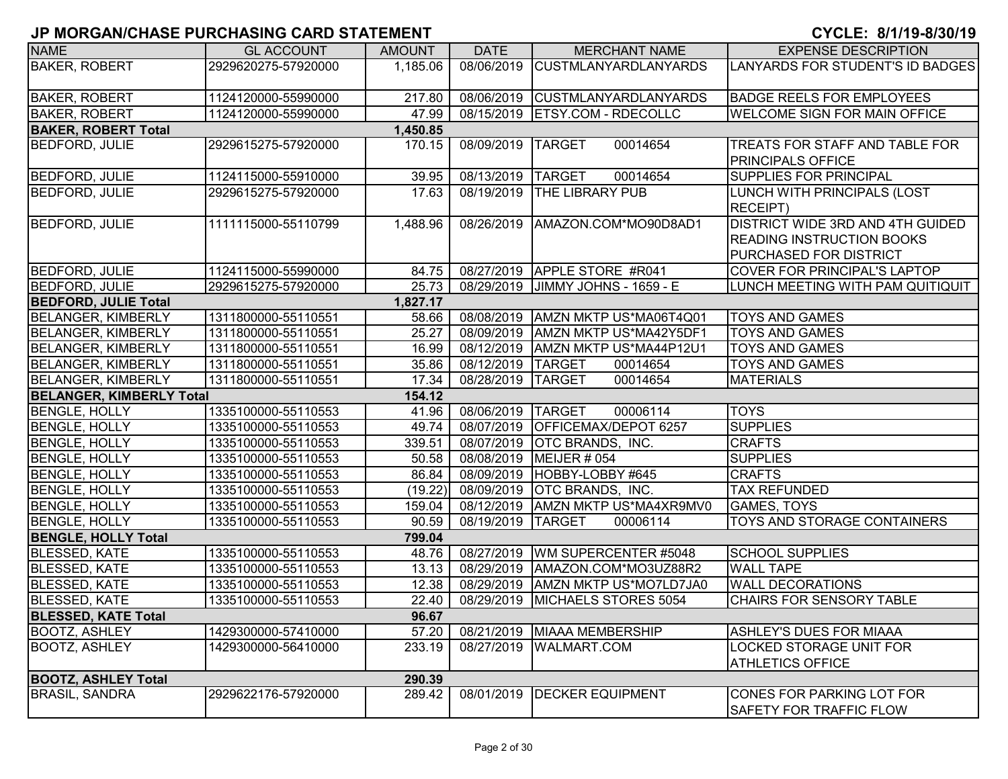| <b>NAME</b>                     | <b>GL ACCOUNT</b>   | <b>AMOUNT</b> | <b>DATE</b> | <b>MERCHANT NAME</b>                | <b>EXPENSE DESCRIPTION</b>              |
|---------------------------------|---------------------|---------------|-------------|-------------------------------------|-----------------------------------------|
| <b>BAKER, ROBERT</b>            | 2929620275-57920000 | 1,185.06      | 08/06/2019  | <b>CUSTMLANYARDLANYARDS</b>         | LANYARDS FOR STUDENT'S ID BADGES        |
|                                 |                     |               |             |                                     |                                         |
| <b>BAKER, ROBERT</b>            | 1124120000-55990000 | 217.80        |             | 08/06/2019 CUSTMLANYARDLANYARDS     | <b>BADGE REELS FOR EMPLOYEES</b>        |
| <b>BAKER, ROBERT</b>            | 1124120000-55990000 | 47.99         |             | 08/15/2019 ETSY.COM - RDECOLLC      | <b>WELCOME SIGN FOR MAIN OFFICE</b>     |
| <b>BAKER, ROBERT Total</b>      |                     | 1,450.85      |             |                                     |                                         |
| <b>BEDFORD, JULIE</b>           | 2929615275-57920000 | 170.15        | 08/09/2019  | <b>TARGET</b><br>00014654           | TREATS FOR STAFF AND TABLE FOR          |
|                                 |                     |               |             |                                     | <b>PRINCIPALS OFFICE</b>                |
| <b>BEDFORD, JULIE</b>           | 1124115000-55910000 | 39.95         | 08/13/2019  | 00014654<br><b>TARGET</b>           | <b>SUPPLIES FOR PRINCIPAL</b>           |
| <b>BEDFORD, JULIE</b>           | 2929615275-57920000 | 17.63         | 08/19/2019  | <b>THE LIBRARY PUB</b>              | LUNCH WITH PRINCIPALS (LOST             |
|                                 |                     |               |             |                                     | <b>RECEIPT)</b>                         |
| <b>BEDFORD, JULIE</b>           | 1111115000-55110799 | 1,488.96      |             | 08/26/2019   AMAZON.COM*MO90D8AD1   | <b>DISTRICT WIDE 3RD AND 4TH GUIDED</b> |
|                                 |                     |               |             |                                     | <b>READING INSTRUCTION BOOKS</b>        |
|                                 |                     |               |             |                                     | PURCHASED FOR DISTRICT                  |
| <b>BEDFORD, JULIE</b>           | 1124115000-55990000 | 84.75         |             | 08/27/2019 APPLE STORE #R041        | <b>COVER FOR PRINCIPAL'S LAPTOP</b>     |
| <b>BEDFORD, JULIE</b>           | 2929615275-57920000 | 25.73         |             | 08/29/2019 JIMMY JOHNS - 1659 - E   | LUNCH MEETING WITH PAM QUITIQUIT        |
| <b>BEDFORD, JULIE Total</b>     |                     | 1,827.17      |             |                                     |                                         |
| <b>BELANGER, KIMBERLY</b>       | 1311800000-55110551 | 58.66         |             | 08/08/2019   AMZN MKTP US*MA06T4Q01 | <b>TOYS AND GAMES</b>                   |
| <b>BELANGER, KIMBERLY</b>       | 1311800000-55110551 | 25.27         | 08/09/2019  | AMZN MKTP US*MA42Y5DF1              | <b>TOYS AND GAMES</b>                   |
| <b>BELANGER, KIMBERLY</b>       | 1311800000-55110551 | 16.99         | 08/12/2019  | AMZN MKTP US*MA44P12U1              | <b>TOYS AND GAMES</b>                   |
| <b>BELANGER, KIMBERLY</b>       | 1311800000-55110551 | 35.86         | 08/12/2019  | 00014654<br><b>TARGET</b>           | <b>TOYS AND GAMES</b>                   |
| <b>BELANGER, KIMBERLY</b>       | 1311800000-55110551 | 17.34         | 08/28/2019  | <b>TARGET</b><br>00014654           | <b>MATERIALS</b>                        |
| <b>BELANGER, KIMBERLY Total</b> |                     | 154.12        |             |                                     |                                         |
| <b>BENGLE, HOLLY</b>            | 1335100000-55110553 | 41.96         | 08/06/2019  | <b>TARGET</b><br>00006114           | <b>TOYS</b>                             |
| <b>BENGLE, HOLLY</b>            | 1335100000-55110553 | 49.74         | 08/07/2019  | OFFICEMAX/DEPOT 6257                | <b>SUPPLIES</b>                         |
| <b>BENGLE, HOLLY</b>            | 1335100000-55110553 | 339.51        |             | 08/07/2019 OTC BRANDS, INC.         | <b>CRAFTS</b>                           |
| <b>BENGLE, HOLLY</b>            | 1335100000-55110553 | 50.58         |             | 08/08/2019 MEIJER # 054             | <b>SUPPLIES</b>                         |
| <b>BENGLE, HOLLY</b>            | 1335100000-55110553 | 86.84         |             | 08/09/2019 HOBBY-LOBBY #645         | <b>CRAFTS</b>                           |
| <b>BENGLE, HOLLY</b>            | 1335100000-55110553 | (19.22)       | 08/09/2019  | <b>OTC BRANDS, INC.</b>             | <b>TAX REFUNDED</b>                     |
| <b>BENGLE, HOLLY</b>            | 1335100000-55110553 | 159.04        | 08/12/2019  | AMZN MKTP US*MA4XR9MV0              | <b>GAMES, TOYS</b>                      |
| <b>BENGLE, HOLLY</b>            | 1335100000-55110553 | 90.59         | 08/19/2019  | <b>TARGET</b><br>00006114           | TOYS AND STORAGE CONTAINERS             |
| <b>BENGLE, HOLLY Total</b>      |                     | 799.04        |             |                                     |                                         |
| <b>BLESSED, KATE</b>            | 1335100000-55110553 | 48.76         | 08/27/2019  | WM SUPERCENTER #5048                | <b>SCHOOL SUPPLIES</b>                  |
| <b>BLESSED, KATE</b>            | 1335100000-55110553 | 13.13         | 08/29/2019  | AMAZON.COM*MO3UZ88R2                | <b>WALL TAPE</b>                        |
| <b>BLESSED, KATE</b>            | 1335100000-55110553 | 12.38         | 08/29/2019  | AMZN MKTP US*MO7LD7JA0              | <b>WALL DECORATIONS</b>                 |
| <b>BLESSED, KATE</b>            | 1335100000-55110553 | 22.40         |             | 08/29/2019   MICHAELS STORES 5054   | CHAIRS FOR SENSORY TABLE                |
| <b>BLESSED, KATE Total</b>      |                     | 96.67         |             |                                     |                                         |
| <b>BOOTZ, ASHLEY</b>            | 1429300000-57410000 | 57.20         | 08/21/2019  | <b>MIAAA MEMBERSHIP</b>             | <b>ASHLEY'S DUES FOR MIAAA</b>          |
| <b>BOOTZ, ASHLEY</b>            | 1429300000-56410000 | 233.19        | 08/27/2019  | <b>WALMART.COM</b>                  | LOCKED STORAGE UNIT FOR                 |
|                                 |                     |               |             |                                     | <b>ATHLETICS OFFICE</b>                 |
| <b>BOOTZ, ASHLEY Total</b>      |                     | 290.39        |             |                                     |                                         |
| <b>BRASIL, SANDRA</b>           | 2929622176-57920000 | 289.42        | 08/01/2019  | <b>DECKER EQUIPMENT</b>             | CONES FOR PARKING LOT FOR               |
|                                 |                     |               |             |                                     | <b>ISAFETY FOR TRAFFIC FLOW</b>         |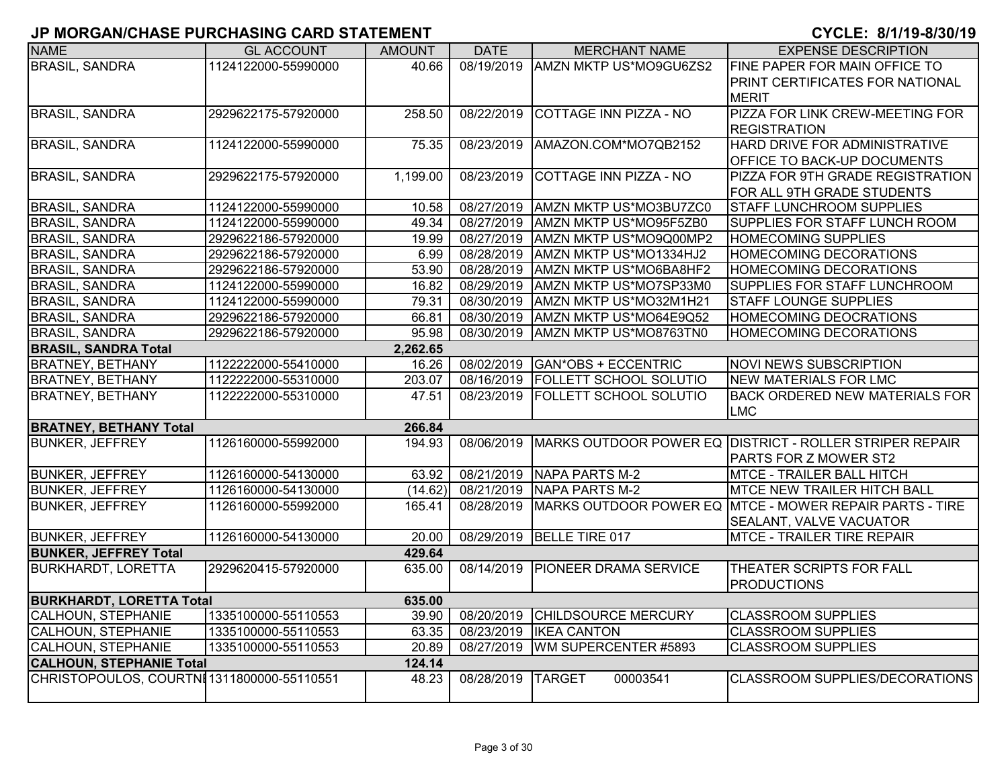| <b>NAME</b>                               | <b>GL ACCOUNT</b>   | <b>AMOUNT</b> | <b>DATE</b> | <b>MERCHANT NAME</b>           | <b>EXPENSE DESCRIPTION</b>                              |  |  |  |  |
|-------------------------------------------|---------------------|---------------|-------------|--------------------------------|---------------------------------------------------------|--|--|--|--|
| <b>BRASIL, SANDRA</b>                     | 1124122000-55990000 | 40.66         | 08/19/2019  | AMZN MKTP US*MO9GU6ZS2         | FINE PAPER FOR MAIN OFFICE TO                           |  |  |  |  |
|                                           |                     |               |             |                                | PRINT CERTIFICATES FOR NATIONAL                         |  |  |  |  |
|                                           |                     |               |             |                                | <b>MERIT</b>                                            |  |  |  |  |
| <b>BRASIL, SANDRA</b>                     | 2929622175-57920000 | 258.50        | 08/22/2019  | <b>COTTAGE INN PIZZA - NO</b>  | PIZZA FOR LINK CREW-MEETING FOR                         |  |  |  |  |
|                                           |                     |               |             |                                | <b>REGISTRATION</b>                                     |  |  |  |  |
| <b>BRASIL, SANDRA</b>                     | 1124122000-55990000 | 75.35         | 08/23/2019  | AMAZON.COM*MO7QB2152           | HARD DRIVE FOR ADMINISTRATIVE                           |  |  |  |  |
|                                           |                     |               |             |                                | <b>OFFICE TO BACK-UP DOCUMENTS</b>                      |  |  |  |  |
| <b>BRASIL, SANDRA</b>                     | 2929622175-57920000 | 1,199.00      | 08/23/2019  | COTTAGE INN PIZZA - NO         | PIZZA FOR 9TH GRADE REGISTRATION                        |  |  |  |  |
|                                           |                     |               |             |                                | FOR ALL 9TH GRADE STUDENTS                              |  |  |  |  |
| <b>BRASIL, SANDRA</b>                     | 1124122000-55990000 | 10.58         | 08/27/2019  | AMZN MKTP US*MO3BU7ZC0         | <b>STAFF LUNCHROOM SUPPLIES</b>                         |  |  |  |  |
| <b>BRASIL, SANDRA</b>                     | 1124122000-55990000 | 49.34         | 08/27/2019  | AMZN MKTP US*MO95F5ZB0         | SUPPLIES FOR STAFF LUNCH ROOM                           |  |  |  |  |
| <b>BRASIL, SANDRA</b>                     | 2929622186-57920000 | 19.99         | 08/27/2019  | AMZN MKTP US*MO9Q00MP2         | <b>HOMECOMING SUPPLIES</b>                              |  |  |  |  |
| <b>BRASIL, SANDRA</b>                     | 2929622186-57920000 | 6.99          | 08/28/2019  | AMZN MKTP US*MO1334HJ2         | <b>HOMECOMING DECORATIONS</b>                           |  |  |  |  |
| <b>BRASIL, SANDRA</b>                     | 2929622186-57920000 | 53.90         | 08/28/2019  | AMZN MKTP US*MO6BA8HF2         | HOMECOMING DECORATIONS                                  |  |  |  |  |
| <b>BRASIL, SANDRA</b>                     | 1124122000-55990000 | 16.82         | 08/29/2019  | AMZN MKTP US*MO7SP33M0         | SUPPLIES FOR STAFF LUNCHROOM                            |  |  |  |  |
| <b>BRASIL, SANDRA</b>                     | 1124122000-55990000 | 79.31         | 08/30/2019  | AMZN MKTP US*MO32M1H21         | <b>STAFF LOUNGE SUPPLIES</b>                            |  |  |  |  |
| <b>BRASIL, SANDRA</b>                     | 2929622186-57920000 | 66.81         | 08/30/2019  | AMZN MKTP US*MO64E9Q52         | <b>HOMECOMING DEOCRATIONS</b>                           |  |  |  |  |
| <b>BRASIL, SANDRA</b>                     | 2929622186-57920000 | 95.98         | 08/30/2019  | AMZN MKTP US*MO8763TN0         | <b>HOMECOMING DECORATIONS</b>                           |  |  |  |  |
| <b>BRASIL, SANDRA Total</b>               | 2,262.65            |               |             |                                |                                                         |  |  |  |  |
| <b>BRATNEY, BETHANY</b>                   | 1122222000-55410000 | 16.26         | 08/02/2019  | GAN*OBS + ECCENTRIC            | <b>NOVI NEWS SUBSCRIPTION</b>                           |  |  |  |  |
| <b>BRATNEY, BETHANY</b>                   | 1122222000-55310000 | 203.07        | 08/16/2019  | <b>FOLLETT SCHOOL SOLUTIO</b>  | <b>NEW MATERIALS FOR LMC</b>                            |  |  |  |  |
| <b>BRATNEY, BETHANY</b>                   | 1122222000-55310000 | 47.51         | 08/23/2019  | FOLLETT SCHOOL SOLUTIO         | <b>BACK ORDERED NEW MATERIALS FOR</b>                   |  |  |  |  |
|                                           |                     |               |             |                                | <b>LMC</b>                                              |  |  |  |  |
| <b>BRATNEY, BETHANY Total</b>             |                     | 266.84        |             |                                |                                                         |  |  |  |  |
| <b>BUNKER, JEFFREY</b>                    | 1126160000-55992000 | 194.93        | 08/06/2019  |                                | MARKS OUTDOOR POWER EQ DISTRICT - ROLLER STRIPER REPAIR |  |  |  |  |
|                                           |                     |               |             |                                | PARTS FOR Z MOWER ST2                                   |  |  |  |  |
| <b>BUNKER, JEFFREY</b>                    | 1126160000-54130000 | 63.92         | 08/21/2019  | NAPA PARTS M-2                 | <b>MTCE - TRAILER BALL HITCH</b>                        |  |  |  |  |
| <b>BUNKER, JEFFREY</b>                    | 1126160000-54130000 | (14.62)       | 08/21/2019  | NAPA PARTS M-2                 | <b>MTCE NEW TRAILER HITCH BALL</b>                      |  |  |  |  |
| <b>BUNKER, JEFFREY</b>                    | 1126160000-55992000 | 165.41        | 08/28/2019  |                                | MARKS OUTDOOR POWER EQ MTCE - MOWER REPAIR PARTS - TIRE |  |  |  |  |
|                                           |                     |               |             |                                | <b>SEALANT, VALVE VACUATOR</b>                          |  |  |  |  |
| <b>BUNKER, JEFFREY</b>                    | 1126160000-54130000 | 20.00         | 08/29/2019  | BELLE TIRE 017                 | <b>MTCE - TRAILER TIRE REPAIR</b>                       |  |  |  |  |
| <b>BUNKER, JEFFREY Total</b>              |                     | 429.64        |             |                                |                                                         |  |  |  |  |
| <b>BURKHARDT, LORETTA</b>                 | 2929620415-57920000 | 635.00        | 08/14/2019  | <b>PIONEER DRAMA SERVICE</b>   | THEATER SCRIPTS FOR FALL                                |  |  |  |  |
|                                           |                     |               |             |                                | <b>PRODUCTIONS</b>                                      |  |  |  |  |
| <b>BURKHARDT, LORETTA Total</b>           |                     | 635.00        |             |                                |                                                         |  |  |  |  |
| CALHOUN, STEPHANIE                        | 1335100000-55110553 | 39.90         |             | 08/20/2019 CHILDSOURCE MERCURY | <b>CLASSROOM SUPPLIES</b>                               |  |  |  |  |
| CALHOUN, STEPHANIE                        | 1335100000-55110553 | 63.35         |             | 08/23/2019   IKEA CANTON       | <b>CLASSROOM SUPPLIES</b>                               |  |  |  |  |
| CALHOUN, STEPHANIE                        | 1335100000-55110553 | 20.89         | 08/27/2019  | WM SUPERCENTER #5893           | <b>CLASSROOM SUPPLIES</b>                               |  |  |  |  |
| <b>CALHOUN, STEPHANIE Total</b>           |                     | 124.14        |             |                                |                                                         |  |  |  |  |
| CHRISTOPOULOS, COURTNI1311800000-55110551 |                     | 48.23         | 08/28/2019  | 00003541<br><b>TARGET</b>      | <b>CLASSROOM SUPPLIES/DECORATIONS</b>                   |  |  |  |  |
|                                           |                     |               |             |                                |                                                         |  |  |  |  |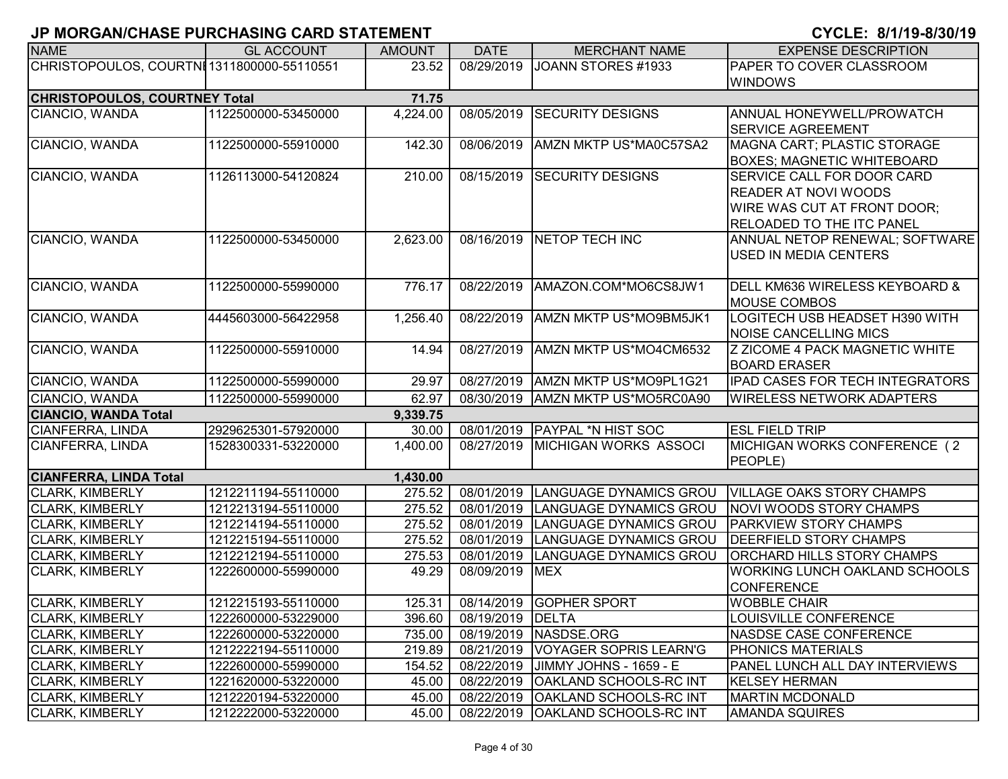| <b>NAME</b>                                | <b>GL ACCOUNT</b>   | <b>AMOUNT</b> | <b>DATE</b>        | <b>MERCHANT NAME</b>                | <b>EXPENSE DESCRIPTION</b>             |
|--------------------------------------------|---------------------|---------------|--------------------|-------------------------------------|----------------------------------------|
| CHRISTOPOULOS, COURTNI 1311800000-55110551 |                     | 23.52         | 08/29/2019         | JOANN STORES #1933                  | PAPER TO COVER CLASSROOM               |
|                                            |                     |               |                    |                                     | <b>WINDOWS</b>                         |
| <b>CHRISTOPOULOS, COURTNEY Total</b>       |                     | 71.75         |                    |                                     |                                        |
| CIANCIO, WANDA                             | 1122500000-53450000 | 4,224.00      | 08/05/2019         | <b>SECURITY DESIGNS</b>             | ANNUAL HONEYWELL/PROWATCH              |
|                                            |                     |               |                    |                                     | <b>SERVICE AGREEMENT</b>               |
| CIANCIO, WANDA                             | 1122500000-55910000 | 142.30        | 08/06/2019         | AMZN MKTP US*MA0C57SA2              | MAGNA CART; PLASTIC STORAGE            |
|                                            |                     |               |                    |                                     | <b>BOXES; MAGNETIC WHITEBOARD</b>      |
| CIANCIO, WANDA                             | 1126113000-54120824 | 210.00        | 08/15/2019         | <b>SECURITY DESIGNS</b>             | SERVICE CALL FOR DOOR CARD             |
|                                            |                     |               |                    |                                     | <b>READER AT NOVI WOODS</b>            |
|                                            |                     |               |                    |                                     | WIRE WAS CUT AT FRONT DOOR;            |
|                                            |                     |               |                    |                                     | <b>RELOADED TO THE ITC PANEL</b>       |
| CIANCIO, WANDA                             | 1122500000-53450000 | 2,623.00      | 08/16/2019         | <b>NETOP TECH INC</b>               | ANNUAL NETOP RENEWAL; SOFTWARE         |
|                                            |                     |               |                    |                                     | <b>USED IN MEDIA CENTERS</b>           |
|                                            |                     |               |                    |                                     |                                        |
| CIANCIO, WANDA                             | 1122500000-55990000 | 776.17        | 08/22/2019         | AMAZON.COM*MO6CS8JW1                | DELL KM636 WIRELESS KEYBOARD &         |
|                                            |                     |               |                    |                                     | <b>MOUSE COMBOS</b>                    |
| CIANCIO, WANDA                             | 4445603000-56422958 | 1,256.40      | 08/22/2019         | AMZN MKTP US*MO9BM5JK1              | <b>LOGITECH USB HEADSET H390 WITH</b>  |
|                                            |                     |               |                    |                                     | <b>NOISE CANCELLING MICS</b>           |
| CIANCIO, WANDA                             | 1122500000-55910000 | 14.94         | 08/27/2019         | AMZN MKTP US*MO4CM6532              | Z ZICOME 4 PACK MAGNETIC WHITE         |
|                                            |                     |               |                    |                                     | <b>BOARD ERASER</b>                    |
| CIANCIO, WANDA                             | 1122500000-55990000 | 29.97         | 08/27/2019         | AMZN MKTP US*MO9PL1G21              | <b>IPAD CASES FOR TECH INTEGRATORS</b> |
| CIANCIO, WANDA                             | 1122500000-55990000 | 62.97         | 08/30/2019         | AMZN MKTP US*MO5RC0A90              | <b>WIRELESS NETWORK ADAPTERS</b>       |
| <b>CIANCIO, WANDA Total</b>                |                     | 9,339.75      |                    |                                     |                                        |
| CIANFERRA, LINDA                           | 2929625301-57920000 | 30.00         |                    | 08/01/2019 PAYPAL *N HIST SOC       | <b>ESL FIELD TRIP</b>                  |
| CIANFERRA, LINDA                           | 1528300331-53220000 | 1,400.00      | 08/27/2019         | <b>MICHIGAN WORKS ASSOCI</b>        | MICHIGAN WORKS CONFERENCE (2)          |
|                                            |                     |               |                    |                                     | PEOPLE)                                |
| <b>CIANFERRA, LINDA Total</b>              |                     | 1,430.00      |                    |                                     |                                        |
| <b>CLARK, KIMBERLY</b>                     | 1212211194-55110000 | 275.52        | 08/01/2019         | LANGUAGE DYNAMICS GROU              | <b>VILLAGE OAKS STORY CHAMPS</b>       |
| <b>CLARK, KIMBERLY</b>                     | 1212213194-55110000 | 275.52        | 08/01/2019         | LANGUAGE DYNAMICS GROU              | <b>NOVI WOODS STORY CHAMPS</b>         |
| <b>CLARK, KIMBERLY</b>                     | 1212214194-55110000 | 275.52        | 08/01/2019         | LANGUAGE DYNAMICS GROU              | <b>PARKVIEW STORY CHAMPS</b>           |
| <b>CLARK, KIMBERLY</b>                     | 1212215194-55110000 | 275.52        | 08/01/2019         | LANGUAGE DYNAMICS GROU              | <b>DEERFIELD STORY CHAMPS</b>          |
| <b>CLARK, KIMBERLY</b>                     | 1212212194-55110000 | 275.53        | 08/01/2019         | <b>LANGUAGE DYNAMICS GROU</b>       | <b>ORCHARD HILLS STORY CHAMPS</b>      |
| <b>CLARK, KIMBERLY</b>                     | 1222600000-55990000 | 49.29         | 08/09/2019         | <b>MEX</b>                          | <b>WORKING LUNCH OAKLAND SCHOOLS</b>   |
|                                            |                     |               |                    |                                     | <b>CONFERENCE</b>                      |
| <b>CLARK, KIMBERLY</b>                     | 1212215193-55110000 | 125.31        |                    | 08/14/2019 GOPHER SPORT             | <b>WOBBLE CHAIR</b>                    |
| <b>CLARK, KIMBERLY</b>                     | 1222600000-53229000 | 396.60        | 08/19/2019   DELTA |                                     | <b>LOUISVILLE CONFERENCE</b>           |
| CLARK, KIMBERLY                            | 1222600000-53220000 | 735.00        |                    | 08/19/2019   NASDSE.ORG             | NASDSE CASE CONFERENCE                 |
| <b>CLARK, KIMBERLY</b>                     | 1212222194-55110000 | 219.89        |                    | 08/21/2019   VOYAGER SOPRIS LEARN'G | <b>PHONICS MATERIALS</b>               |
| <b>CLARK, KIMBERLY</b>                     | 1222600000-55990000 | 154.52        | 08/22/2019         | JIMMY JOHNS - 1659 - E              | PANEL LUNCH ALL DAY INTERVIEWS         |
| <b>CLARK, KIMBERLY</b>                     | 1221620000-53220000 | 45.00         | 08/22/2019         | <b>OAKLAND SCHOOLS-RC INT</b>       | <b>KELSEY HERMAN</b>                   |
| <b>CLARK, KIMBERLY</b>                     | 1212220194-53220000 | 45.00         |                    | 08/22/2019   OAKLAND SCHOOLS-RC INT | <b>MARTIN MCDONALD</b>                 |
| <b>CLARK, KIMBERLY</b>                     | 1212222000-53220000 | 45.00         |                    | 08/22/2019   OAKLAND SCHOOLS-RC INT | <b>AMANDA SQUIRES</b>                  |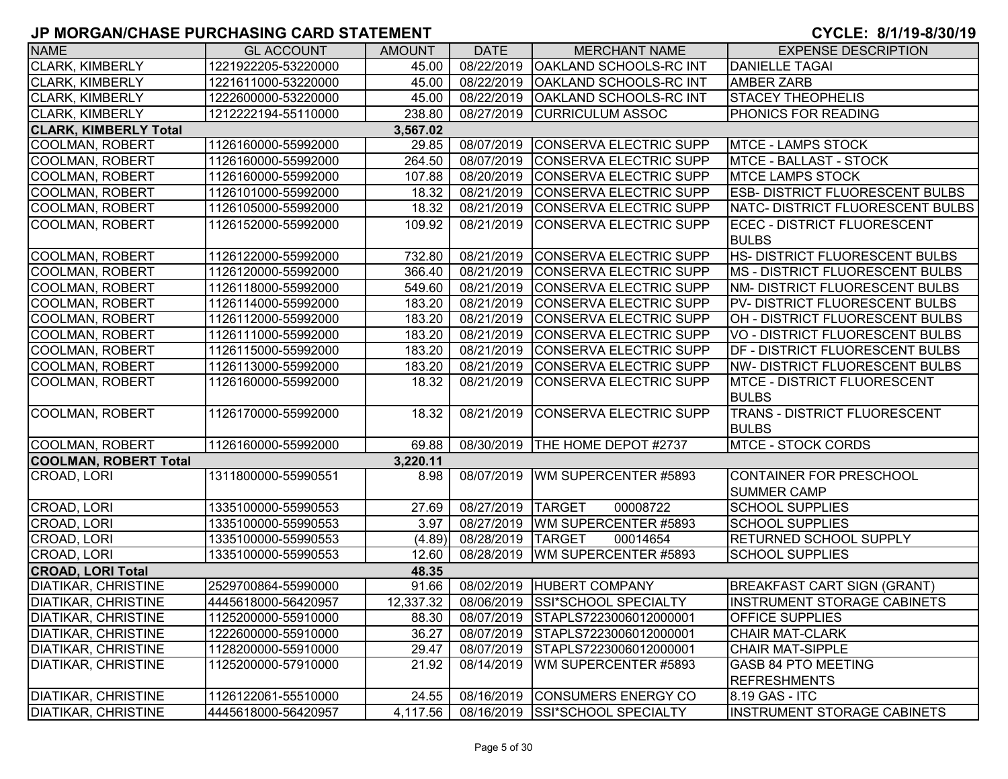| <b>NAME</b>                  | <b>GL ACCOUNT</b>   | <b>AMOUNT</b> | <b>DATE</b> | <b>MERCHANT NAME</b>              | <b>EXPENSE DESCRIPTION</b>             |
|------------------------------|---------------------|---------------|-------------|-----------------------------------|----------------------------------------|
| <b>CLARK, KIMBERLY</b>       | 1221922205-53220000 | 45.00         | 08/22/2019  | OAKLAND SCHOOLS-RC INT            | <b>DANIELLE TAGAI</b>                  |
| <b>CLARK, KIMBERLY</b>       | 1221611000-53220000 | 45.00         | 08/22/2019  | <b>OAKLAND SCHOOLS-RC INT</b>     | <b>AMBER ZARB</b>                      |
| <b>CLARK, KIMBERLY</b>       | 1222600000-53220000 | 45.00         | 08/22/2019  | OAKLAND SCHOOLS-RC INT            | <b>STACEY THEOPHELIS</b>               |
| <b>CLARK, KIMBERLY</b>       | 1212222194-55110000 | 238.80        | 08/27/2019  | <b>CURRICULUM ASSOC</b>           | PHONICS FOR READING                    |
| <b>CLARK, KIMBERLY Total</b> |                     | 3,567.02      |             |                                   |                                        |
| <b>COOLMAN, ROBERT</b>       | 1126160000-55992000 | 29.85         |             | 08/07/2019 CONSERVA ELECTRIC SUPP | <b>MTCE - LAMPS STOCK</b>              |
| <b>COOLMAN, ROBERT</b>       | 1126160000-55992000 | 264.50        | 08/07/2019  | CONSERVA ELECTRIC SUPP            | <b>MTCE - BALLAST - STOCK</b>          |
| <b>COOLMAN, ROBERT</b>       | 1126160000-55992000 | 107.88        | 08/20/2019  | CONSERVA ELECTRIC SUPP            | <b>MTCE LAMPS STOCK</b>                |
| COOLMAN, ROBERT              | 1126101000-55992000 | 18.32         | 08/21/2019  | CONSERVA ELECTRIC SUPP            | <b>ESB- DISTRICT FLUORESCENT BULBS</b> |
| COOLMAN, ROBERT              | 1126105000-55992000 | 18.32         | 08/21/2019  | CONSERVA ELECTRIC SUPP            | NATC- DISTRICT FLUORESCENT BULBS       |
| <b>COOLMAN, ROBERT</b>       | 1126152000-55992000 | 109.92        | 08/21/2019  | CONSERVA ELECTRIC SUPP            | ECEC - DISTRICT FLUORESCENT            |
|                              |                     |               |             |                                   | <b>BULBS</b>                           |
| COOLMAN, ROBERT              | 1126122000-55992000 | 732.80        | 08/21/2019  | CONSERVA ELECTRIC SUPP            | HS- DISTRICT FLUORESCENT BULBS         |
| <b>COOLMAN, ROBERT</b>       | 1126120000-55992000 | 366.40        | 08/21/2019  | CONSERVA ELECTRIC SUPP            | MS - DISTRICT FLUORESCENT BULBS        |
| COOLMAN, ROBERT              | 1126118000-55992000 | 549.60        | 08/21/2019  | CONSERVA ELECTRIC SUPP            | NM- DISTRICT FLUORESCENT BULBS         |
| COOLMAN, ROBERT              | 1126114000-55992000 | 183.20        | 08/21/2019  | <b>CONSERVA ELECTRIC SUPP</b>     | PV-DISTRICT FLUORESCENT BULBS          |
| COOLMAN, ROBERT              | 1126112000-55992000 | 183.20        | 08/21/2019  | CONSERVA ELECTRIC SUPP            | OH - DISTRICT FLUORESCENT BULBS        |
| COOLMAN, ROBERT              | 1126111000-55992000 | 183.20        | 08/21/2019  | CONSERVA ELECTRIC SUPP            | VO - DISTRICT FLUORESCENT BULBS        |
| <b>COOLMAN, ROBERT</b>       | 1126115000-55992000 | 183.20        | 08/21/2019  | <b>CONSERVA ELECTRIC SUPP</b>     | DF - DISTRICT FLUORESCENT BULBS        |
| <b>COOLMAN, ROBERT</b>       | 1126113000-55992000 | 183.20        | 08/21/2019  | CONSERVA ELECTRIC SUPP            | <b>NW-DISTRICT FLUORESCENT BULBS</b>   |
| <b>COOLMAN, ROBERT</b>       | 1126160000-55992000 | 18.32         | 08/21/2019  | <b>CONSERVA ELECTRIC SUPP</b>     | <b>MTCE - DISTRICT FLUORESCENT</b>     |
|                              |                     |               |             |                                   | <b>BULBS</b>                           |
| COOLMAN, ROBERT              | 1126170000-55992000 | 18.32         | 08/21/2019  | <b>CONSERVA ELECTRIC SUPP</b>     | <b>TRANS - DISTRICT FLUORESCENT</b>    |
|                              |                     |               |             |                                   | <b>BULBS</b>                           |
| COOLMAN, ROBERT              | 1126160000-55992000 | 69.88         |             | 08/30/2019   THE HOME DEPOT #2737 | <b>MTCE - STOCK CORDS</b>              |
| <b>COOLMAN, ROBERT Total</b> |                     | 3,220.11      |             |                                   |                                        |
| CROAD, LORI                  | 1311800000-55990551 | 8.98          | 08/07/2019  | WM SUPERCENTER #5893              | CONTAINER FOR PRESCHOOL                |
|                              |                     |               |             |                                   | <b>SUMMER CAMP</b>                     |
| CROAD, LORI                  | 1335100000-55990553 | 27.69         | 08/27/2019  | <b>TARGET</b><br>00008722         | <b>SCHOOL SUPPLIES</b>                 |
| CROAD, LORI                  | 1335100000-55990553 | 3.97          | 08/27/2019  | WM SUPERCENTER #5893              | <b>SCHOOL SUPPLIES</b>                 |
| CROAD, LORI                  | 1335100000-55990553 | (4.89)        | 08/28/2019  | <b>TARGET</b><br>00014654         | <b>RETURNED SCHOOL SUPPLY</b>          |
| CROAD, LORI                  | 1335100000-55990553 | 12.60         | 08/28/2019  | WM SUPERCENTER #5893              | <b>SCHOOL SUPPLIES</b>                 |
| <b>CROAD, LORI Total</b>     |                     | 48.35         |             |                                   |                                        |
| <b>DIATIKAR, CHRISTINE</b>   | 2529700864-55990000 | 91.66         |             | 08/02/2019 HUBERT COMPANY         | <b>BREAKFAST CART SIGN (GRANT)</b>     |
| <b>DIATIKAR, CHRISTINE</b>   | 4445618000-56420957 | 12,337.32     |             | 08/06/2019 SSI*SCHOOL SPECIALTY   | INSTRUMENT STORAGE CABINETS            |
| <b>DIATIKAR, CHRISTINE</b>   | 1125200000-55910000 | 88.30         |             | 08/07/2019 STAPLS7223006012000001 | <b>OFFICE SUPPLIES</b>                 |
| <b>DIATIKAR, CHRISTINE</b>   | 1222600000-55910000 | 36.27         |             | 08/07/2019 STAPLS7223006012000001 | <b>CHAIR MAT-CLARK</b>                 |
| <b>DIATIKAR, CHRISTINE</b>   | 1128200000-55910000 | 29.47         |             | 08/07/2019 STAPLS7223006012000001 | <b>CHAIR MAT-SIPPLE</b>                |
| <b>DIATIKAR, CHRISTINE</b>   | 1125200000-57910000 | 21.92         | 08/14/2019  | WM SUPERCENTER #5893              | <b>GASB 84 PTO MEETING</b>             |
|                              |                     |               |             |                                   | <b>REFRESHMENTS</b>                    |
| <b>DIATIKAR, CHRISTINE</b>   | 1126122061-55510000 | 24.55         | 08/16/2019  | <b>CONSUMERS ENERGY CO</b>        | 8.19 GAS - ITC                         |
| <b>DIATIKAR, CHRISTINE</b>   | 4445618000-56420957 | 4,117.56      |             | 08/16/2019 SSI*SCHOOL SPECIALTY   | <b>INSTRUMENT STORAGE CABINETS</b>     |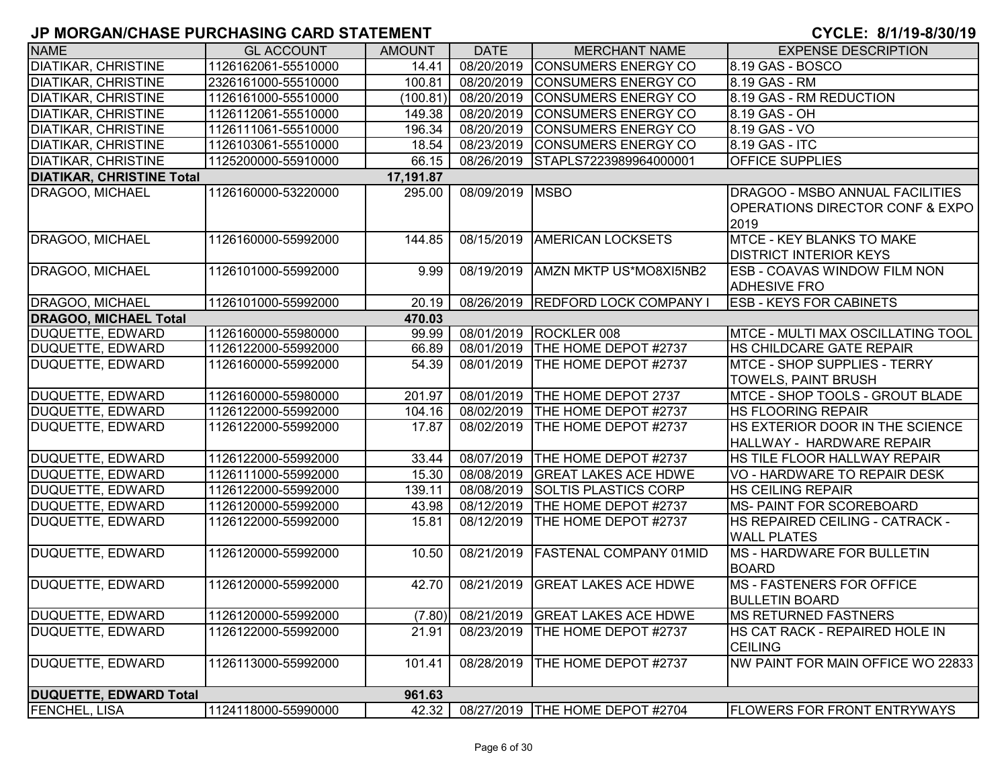| <b>NAME</b>                      | <b>GL ACCOUNT</b>   | <b>AMOUNT</b> | <b>DATE</b>       | <b>MERCHANT NAME</b>                   | <b>EXPENSE DESCRIPTION</b>                                                    |
|----------------------------------|---------------------|---------------|-------------------|----------------------------------------|-------------------------------------------------------------------------------|
| <b>DIATIKAR, CHRISTINE</b>       | 1126162061-55510000 | 14.41         | 08/20/2019        | <b>CONSUMERS ENERGY CO</b>             | 8.19 GAS - BOSCO                                                              |
| <b>DIATIKAR, CHRISTINE</b>       | 2326161000-55510000 | 100.81        | 08/20/2019        | <b>CONSUMERS ENERGY CO</b>             | 8.19 GAS - RM                                                                 |
| <b>DIATIKAR, CHRISTINE</b>       | 1126161000-55510000 | (100.81)      | 08/20/2019        | <b>CONSUMERS ENERGY CO</b>             | 8.19 GAS - RM REDUCTION                                                       |
| <b>DIATIKAR, CHRISTINE</b>       | 1126112061-55510000 | 149.38        | 08/20/2019        | <b>CONSUMERS ENERGY CO</b>             | 8.19 GAS - OH                                                                 |
| <b>DIATIKAR, CHRISTINE</b>       | 1126111061-55510000 | 196.34        | 08/20/2019        | <b>CONSUMERS ENERGY CO</b>             | 8.19 GAS - VO                                                                 |
| <b>DIATIKAR, CHRISTINE</b>       | 1126103061-55510000 | 18.54         |                   | 08/23/2019 CONSUMERS ENERGY CO         | 8.19 GAS - ITC                                                                |
| <b>DIATIKAR, CHRISTINE</b>       | 1125200000-55910000 | 66.15         | 08/26/2019        | STAPLS7223989964000001                 | <b>OFFICE SUPPLIES</b>                                                        |
| <b>DIATIKAR, CHRISTINE Total</b> |                     | 17,191.87     |                   |                                        |                                                                               |
| DRAGOO, MICHAEL                  | 1126160000-53220000 | 295.00        | 08/09/2019   MSBO |                                        | DRAGOO - MSBO ANNUAL FACILITIES<br><b>OPERATIONS DIRECTOR CONF &amp; EXPO</b> |
|                                  |                     |               |                   |                                        | 2019                                                                          |
| DRAGOO, MICHAEL                  | 1126160000-55992000 | 144.85        | 08/15/2019        | <b>AMERICAN LOCKSETS</b>               | <b>MTCE - KEY BLANKS TO MAKE</b><br><b>DISTRICT INTERIOR KEYS</b>             |
| DRAGOO, MICHAEL                  | 1126101000-55992000 | 9.99          | 08/19/2019        | AMZN MKTP US*MO8XI5NB2                 | <b>ESB - COAVAS WINDOW FILM NON</b><br><b>ADHESIVE FRO</b>                    |
| DRAGOO, MICHAEL                  | 1126101000-55992000 | 20.19         |                   | 08/26/2019 REDFORD LOCK COMPANY I      | <b>ESB - KEYS FOR CABINETS</b>                                                |
| <b>DRAGOO, MICHAEL Total</b>     |                     | 470.03        |                   |                                        |                                                                               |
| DUQUETTE, EDWARD                 | 1126160000-55980000 | 99.99         |                   | 08/01/2019 ROCKLER 008                 | <b>MTCE - MULTI MAX OSCILLATING TOOL</b>                                      |
| DUQUETTE, EDWARD                 | 1126122000-55992000 | 66.89         | 08/01/2019        | <b>THE HOME DEPOT #2737</b>            | HS CHILDCARE GATE REPAIR                                                      |
| DUQUETTE, EDWARD                 | 1126160000-55992000 | 54.39         | 08/01/2019        | THE HOME DEPOT #2737                   | <b>MTCE - SHOP SUPPLIES - TERRY</b><br><b>TOWELS, PAINT BRUSH</b>             |
| DUQUETTE, EDWARD                 | 1126160000-55980000 | 201.97        | 08/01/2019        | <b>THE HOME DEPOT 2737</b>             | MTCE - SHOP TOOLS - GROUT BLADE                                               |
| <b>DUQUETTE, EDWARD</b>          | 1126122000-55992000 | 104.16        | 08/02/2019        | <b>THE HOME DEPOT #2737</b>            | <b>HS FLOORING REPAIR</b>                                                     |
| DUQUETTE, EDWARD                 | 1126122000-55992000 | 17.87         | 08/02/2019        | <b>THE HOME DEPOT #2737</b>            | HS EXTERIOR DOOR IN THE SCIENCE<br>HALLWAY - HARDWARE REPAIR                  |
| <b>DUQUETTE, EDWARD</b>          | 1126122000-55992000 | 33.44         | 08/07/2019        | THE HOME DEPOT #2737                   | HS TILE FLOOR HALLWAY REPAIR                                                  |
| <b>DUQUETTE, EDWARD</b>          | 1126111000-55992000 | 15.30         | 08/08/2019        | <b>GREAT LAKES ACE HDWE</b>            | VO - HARDWARE TO REPAIR DESK                                                  |
| <b>DUQUETTE, EDWARD</b>          | 1126122000-55992000 | 139.11        | 08/08/2019        | <b>SOLTIS PLASTICS CORP</b>            | <b>HS CEILING REPAIR</b>                                                      |
| <b>DUQUETTE, EDWARD</b>          | 1126120000-55992000 | 43.98         | 08/12/2019        | THE HOME DEPOT #2737                   | MS- PAINT FOR SCOREBOARD                                                      |
| <b>DUQUETTE, EDWARD</b>          | 1126122000-55992000 | 15.81         | 08/12/2019        | THE HOME DEPOT #2737                   | HS REPAIRED CEILING - CATRACK -<br><b>WALL PLATES</b>                         |
| DUQUETTE, EDWARD                 | 1126120000-55992000 | 10.50         |                   | 08/21/2019 FASTENAL COMPANY 01MID      | <b>MS - HARDWARE FOR BULLETIN</b><br><b>BOARD</b>                             |
| DUQUETTE, EDWARD                 | 1126120000-55992000 | 42.70         | 08/21/2019        | <b>GREAT LAKES ACE HDWE</b>            | <b>MS - FASTENERS FOR OFFICE</b><br><b>BULLETIN BOARD</b>                     |
| DUQUETTE, EDWARD                 | 1126120000-55992000 |               |                   | (7.80) 08/21/2019 GREAT LAKES ACE HDWE | <b>MS RETURNED FASTNERS</b>                                                   |
| <b>DUQUETTE, EDWARD</b>          | 1126122000-55992000 | 21.91         | 08/23/2019        | THE HOME DEPOT #2737                   | HS CAT RACK - REPAIRED HOLE IN<br><b>CEILING</b>                              |
| DUQUETTE, EDWARD                 | 1126113000-55992000 | 101.41        | 08/28/2019        | THE HOME DEPOT #2737                   | NW PAINT FOR MAIN OFFICE WO 22833                                             |
| <b>DUQUETTE, EDWARD Total</b>    |                     | 961.63        |                   |                                        |                                                                               |
| <b>FENCHEL, LISA</b>             | 1124118000-55990000 | 42.32         |                   | 08/27/2019   THE HOME DEPOT #2704      | <b>FLOWERS FOR FRONT ENTRYWAYS</b>                                            |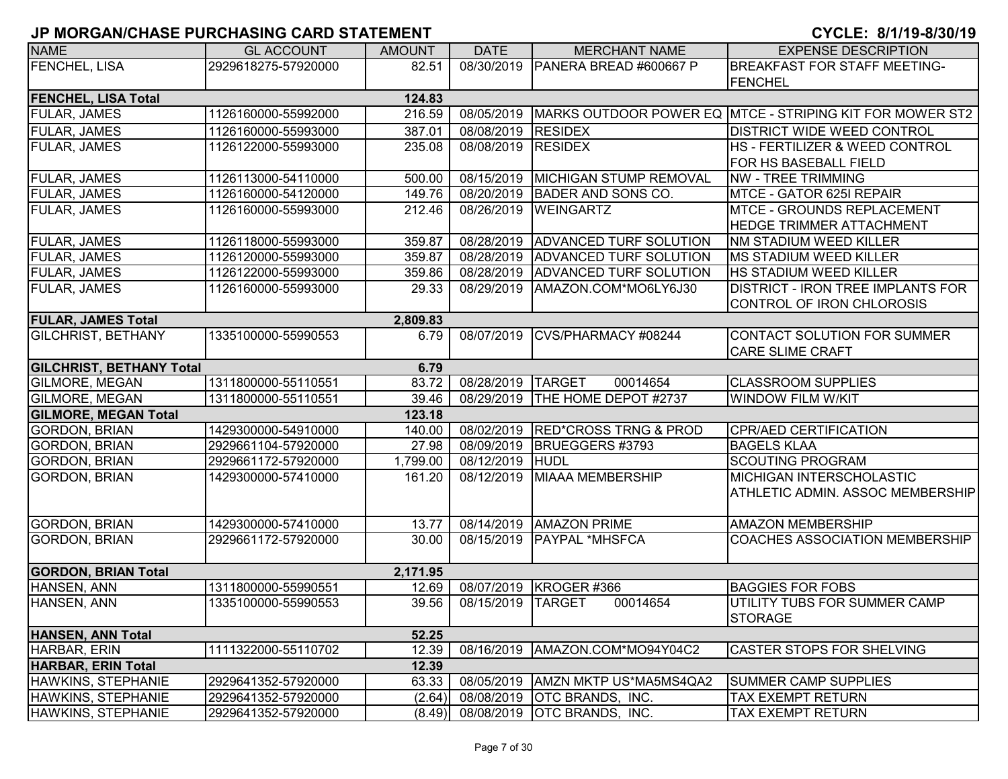| <b>NAME</b>                     | <b>GL ACCOUNT</b>   | <b>AMOUNT</b> | <b>DATE</b> | <b>MERCHANT NAME</b>             | <b>EXPENSE DESCRIPTION</b>                               |
|---------------------------------|---------------------|---------------|-------------|----------------------------------|----------------------------------------------------------|
| FENCHEL, LISA                   | 2929618275-57920000 | 82.51         | 08/30/2019  | PANERA BREAD #600667 P           | <b>BREAKFAST FOR STAFF MEETING-</b>                      |
|                                 |                     |               |             |                                  | FENCHEL                                                  |
| <b>FENCHEL, LISA Total</b>      |                     | 124.83        |             |                                  |                                                          |
| FULAR, JAMES                    | 1126160000-55992000 | 216.59        | 08/05/2019  |                                  | MARKS OUTDOOR POWER EQ MTCE - STRIPING KIT FOR MOWER ST2 |
| FULAR, JAMES                    | 1126160000-55993000 | 387.01        | 08/08/2019  | <b>RESIDEX</b>                   | <b>DISTRICT WIDE WEED CONTROL</b>                        |
| FULAR, JAMES                    | 1126122000-55993000 | 235.08        | 08/08/2019  | <b>RESIDEX</b>                   | <b>HS - FERTILIZER &amp; WEED CONTROL</b>                |
|                                 |                     |               |             |                                  | FOR HS BASEBALL FIELD                                    |
| <b>FULAR, JAMES</b>             | 1126113000-54110000 | 500.00        | 08/15/2019  | MICHIGAN STUMP REMOVAL           | <b>NW - TREE TRIMMING</b>                                |
| <b>FULAR, JAMES</b>             | 1126160000-54120000 | 149.76        | 08/20/2019  | <b>BADER AND SONS CO.</b>        | MTCE - GATOR 625I REPAIR                                 |
| <b>FULAR, JAMES</b>             | 1126160000-55993000 | 212.46        | 08/26/2019  | <b>WEINGARTZ</b>                 | <b>MTCE - GROUNDS REPLACEMENT</b>                        |
|                                 |                     |               |             |                                  | <b>HEDGE TRIMMER ATTACHMENT</b>                          |
| FULAR, JAMES                    | 1126118000-55993000 | 359.87        | 08/28/2019  | <b>ADVANCED TURF SOLUTION</b>    | <b>INM STADIUM WEED KILLER</b>                           |
| <b>FULAR, JAMES</b>             | 1126120000-55993000 | 359.87        | 08/28/2019  | <b>ADVANCED TURF SOLUTION</b>    | <b>MS STADIUM WEED KILLER</b>                            |
| FULAR, JAMES                    | 1126122000-55993000 | 359.86        | 08/28/2019  | <b>ADVANCED TURF SOLUTION</b>    | HS STADIUM WEED KILLER                                   |
| FULAR, JAMES                    | 1126160000-55993000 | 29.33         | 08/29/2019  | AMAZON.COM*MO6LY6J30             | <b>DISTRICT - IRON TREE IMPLANTS FOR</b>                 |
|                                 |                     |               |             |                                  | CONTROL OF IRON CHLOROSIS                                |
| <b>FULAR, JAMES Total</b>       |                     | 2,809.83      |             |                                  |                                                          |
| <b>GILCHRIST, BETHANY</b>       | 1335100000-55990553 | 6.79          | 08/07/2019  | CVS/PHARMACY #08244              | CONTACT SOLUTION FOR SUMMER                              |
|                                 |                     |               |             |                                  | <b>CARE SLIME CRAFT</b>                                  |
| <b>GILCHRIST, BETHANY Total</b> |                     | 6.79          |             |                                  |                                                          |
| <b>GILMORE, MEGAN</b>           | 1311800000-55110551 | 83.72         | 08/28/2019  | <b>TARGET</b><br>00014654        | <b>CLASSROOM SUPPLIES</b>                                |
| <b>GILMORE, MEGAN</b>           | 1311800000-55110551 | 39.46         | 08/29/2019  | THE HOME DEPOT #2737             | <b>WINDOW FILM W/KIT</b>                                 |
| <b>GILMORE, MEGAN Total</b>     |                     | 123.18        |             |                                  |                                                          |
| <b>GORDON, BRIAN</b>            | 1429300000-54910000 | 140.00        | 08/02/2019  | <b>RED*CROSS TRNG &amp; PROD</b> | CPR/AED CERTIFICATION                                    |
| <b>GORDON, BRIAN</b>            | 2929661104-57920000 | 27.98         | 08/09/2019  | BRUEGGERS #3793                  | <b>BAGELS KLAA</b>                                       |
| <b>GORDON, BRIAN</b>            | 2929661172-57920000 | 1,799.00      | 08/12/2019  | <b>HUDL</b>                      | <b>SCOUTING PROGRAM</b>                                  |
| <b>GORDON, BRIAN</b>            | 1429300000-57410000 | 161.20        | 08/12/2019  | <b>MIAAA MEMBERSHIP</b>          | <b>MICHIGAN INTERSCHOLASTIC</b>                          |
|                                 |                     |               |             |                                  | <b>ATHLETIC ADMIN. ASSOC MEMBERSHIP</b>                  |
|                                 |                     |               |             |                                  |                                                          |
| <b>GORDON, BRIAN</b>            | 1429300000-57410000 | 13.77         | 08/14/2019  | <b>AMAZON PRIME</b>              | <b>AMAZON MEMBERSHIP</b>                                 |
| <b>GORDON, BRIAN</b>            | 2929661172-57920000 | 30.00         | 08/15/2019  | <b>PAYPAL *MHSFCA</b>            | <b>COACHES ASSOCIATION MEMBERSHIP</b>                    |
|                                 |                     |               |             |                                  |                                                          |
| <b>GORDON, BRIAN Total</b>      |                     | 2,171.95      |             |                                  |                                                          |
| HANSEN, ANN                     | 1311800000-55990551 | 12.69         | 08/07/2019  | KROGER #366                      | <b>BAGGIES FOR FOBS</b>                                  |
| HANSEN, ANN                     | 1335100000-55990553 | 39.56         | 08/15/2019  | 00014654<br><b>TARGET</b>        | UTILITY TUBS FOR SUMMER CAMP                             |
|                                 |                     |               |             |                                  | <b>STORAGE</b>                                           |
| <b>HANSEN, ANN Total</b>        |                     | 52.25         |             |                                  |                                                          |
| HARBAR, ERIN                    | 1111322000-55110702 | 12.39         | 08/16/2019  | AMAZON.COM*MO94Y04C2             | <b>CASTER STOPS FOR SHELVING</b>                         |
| <b>HARBAR, ERIN Total</b>       |                     | 12.39         |             |                                  |                                                          |
| <b>HAWKINS, STEPHANIE</b>       | 2929641352-57920000 | 63.33         | 08/05/2019  | AMZN MKTP US*MA5MS4QA2           | <b>SUMMER CAMP SUPPLIES</b>                              |
| HAWKINS, STEPHANIE              | 2929641352-57920000 | (2.64)        | 08/08/2019  | <b>OTC BRANDS, INC.</b>          | <b>TAX EXEMPT RETURN</b>                                 |
| HAWKINS, STEPHANIE              | 2929641352-57920000 | (8.49)        | 08/08/2019  | <b>OTC BRANDS, INC.</b>          | <b>TAX EXEMPT RETURN</b>                                 |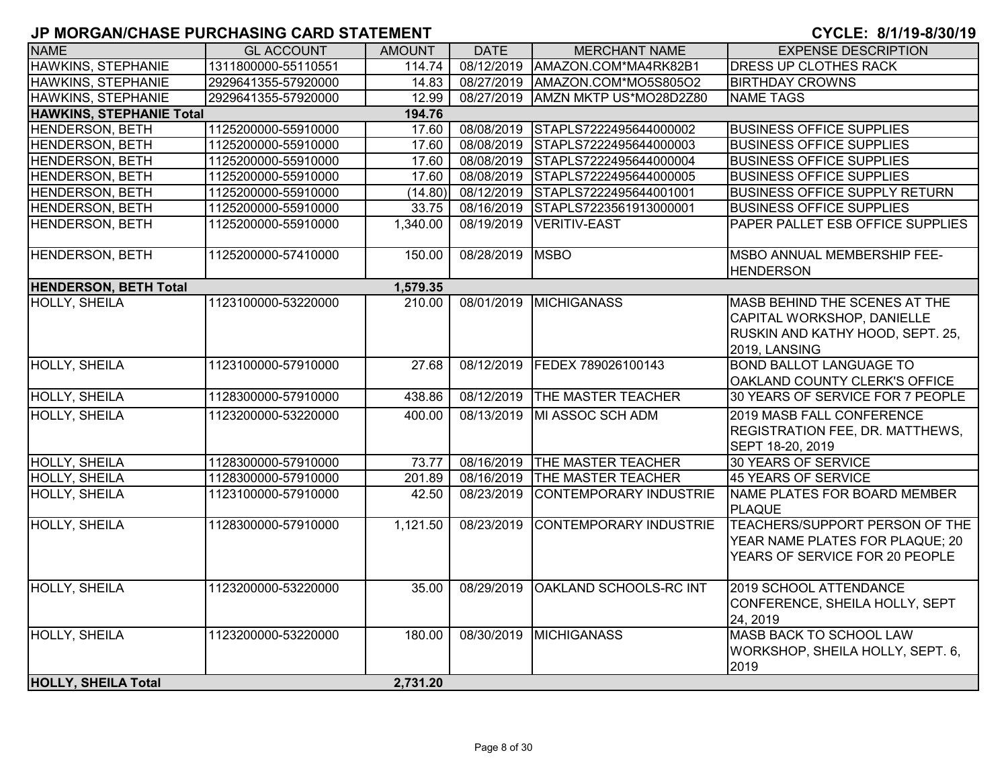| <b>NAME</b>                  | <b>GL ACCOUNT</b>   | <b>AMOUNT</b> | <b>DATE</b> | <b>MERCHANT NAME</b>              | <b>EXPENSE DESCRIPTION</b>                                                                                       |
|------------------------------|---------------------|---------------|-------------|-----------------------------------|------------------------------------------------------------------------------------------------------------------|
| HAWKINS, STEPHANIE           | 1311800000-55110551 | 114.74        | 08/12/2019  | AMAZON.COM*MA4RK82B1              | DRESS UP CLOTHES RACK                                                                                            |
| HAWKINS, STEPHANIE           | 2929641355-57920000 | 14.83         |             | 08/27/2019   AMAZON.COM*MO5S805O2 | <b>BIRTHDAY CROWNS</b>                                                                                           |
| <b>HAWKINS, STEPHANIE</b>    | 2929641355-57920000 | 12.99         | 08/27/2019  | AMZN MKTP US*MO28D2Z80            | <b>NAME TAGS</b>                                                                                                 |
| HAWKINS, STEPHANIE Total     |                     | 194.76        |             |                                   |                                                                                                                  |
| <b>HENDERSON, BETH</b>       | 1125200000-55910000 | 17.60         | 08/08/2019  | STAPLS7222495644000002            | <b>BUSINESS OFFICE SUPPLIES</b>                                                                                  |
| <b>HENDERSON, BETH</b>       | 1125200000-55910000 | 17.60         | 08/08/2019  | STAPLS7222495644000003            | <b>BUSINESS OFFICE SUPPLIES</b>                                                                                  |
| <b>HENDERSON, BETH</b>       | 1125200000-55910000 | 17.60         | 08/08/2019  | STAPLS7222495644000004            | <b>BUSINESS OFFICE SUPPLIES</b>                                                                                  |
| <b>HENDERSON, BETH</b>       | 1125200000-55910000 | 17.60         | 08/08/2019  | STAPLS7222495644000005            | <b>BUSINESS OFFICE SUPPLIES</b>                                                                                  |
| <b>HENDERSON, BETH</b>       | 1125200000-55910000 | (14.80)       | 08/12/2019  | STAPLS7222495644001001            | <b>BUSINESS OFFICE SUPPLY RETURN</b>                                                                             |
| HENDERSON, BETH              | 1125200000-55910000 | 33.75         | 08/16/2019  | STAPLS7223561913000001            | <b>BUSINESS OFFICE SUPPLIES</b>                                                                                  |
| <b>HENDERSON, BETH</b>       | 1125200000-55910000 | 1,340.00      | 08/19/2019  | <b>VERITIV-EAST</b>               | PAPER PALLET ESB OFFICE SUPPLIES                                                                                 |
| <b>HENDERSON, BETH</b>       | 1125200000-57410000 | 150.00        | 08/28/2019  | <b>MSBO</b>                       | MSBO ANNUAL MEMBERSHIP FEE-<br><b>HENDERSON</b>                                                                  |
| <b>HENDERSON, BETH Total</b> |                     | 1,579.35      |             |                                   |                                                                                                                  |
| HOLLY, SHEILA                | 1123100000-53220000 | 210.00        | 08/01/2019  | <b>MICHIGANASS</b>                | MASB BEHIND THE SCENES AT THE<br>CAPITAL WORKSHOP, DANIELLE<br>RUSKIN AND KATHY HOOD, SEPT. 25,<br>2019, LANSING |
| <b>HOLLY, SHEILA</b>         | 1123100000-57910000 | 27.68         | 08/12/2019  | FEDEX 789026100143                | <b>BOND BALLOT LANGUAGE TO</b><br>OAKLAND COUNTY CLERK'S OFFICE                                                  |
| <b>HOLLY, SHEILA</b>         | 1128300000-57910000 | 438.86        | 08/12/2019  | <b>THE MASTER TEACHER</b>         | 30 YEARS OF SERVICE FOR 7 PEOPLE                                                                                 |
| <b>HOLLY, SHEILA</b>         | 1123200000-53220000 | 400.00        | 08/13/2019  | MI ASSOC SCH ADM                  | 2019 MASB FALL CONFERENCE<br>REGISTRATION FEE, DR. MATTHEWS,<br>SEPT 18-20, 2019                                 |
| <b>HOLLY, SHEILA</b>         | 1128300000-57910000 | 73.77         |             | 08/16/2019 THE MASTER TEACHER     | 30 YEARS OF SERVICE                                                                                              |
| HOLLY, SHEILA                | 1128300000-57910000 | 201.89        | 08/16/2019  | <b>THE MASTER TEACHER</b>         | 45 YEARS OF SERVICE                                                                                              |
| HOLLY, SHEILA                | 1123100000-57910000 | 42.50         | 08/23/2019  | <b>CONTEMPORARY INDUSTRIE</b>     | NAME PLATES FOR BOARD MEMBER<br><b>PLAQUE</b>                                                                    |
| <b>HOLLY, SHEILA</b>         | 1128300000-57910000 | 1,121.50      | 08/23/2019  | <b>CONTEMPORARY INDUSTRIE</b>     | TEACHERS/SUPPORT PERSON OF THE<br>YEAR NAME PLATES FOR PLAQUE; 20<br>YEARS OF SERVICE FOR 20 PEOPLE              |
| <b>HOLLY, SHEILA</b>         | 1123200000-53220000 | 35.00         | 08/29/2019  | <b>OAKLAND SCHOOLS-RC INT</b>     | 2019 SCHOOL ATTENDANCE<br>CONFERENCE, SHEILA HOLLY, SEPT<br>24, 2019                                             |
| <b>HOLLY, SHEILA</b>         | 1123200000-53220000 | 180.00        | 08/30/2019  | <b>MICHIGANASS</b>                | <b>MASB BACK TO SCHOOL LAW</b><br>WORKSHOP, SHEILA HOLLY, SEPT. 6,<br>2019                                       |
| <b>HOLLY, SHEILA Total</b>   |                     | 2,731.20      |             |                                   |                                                                                                                  |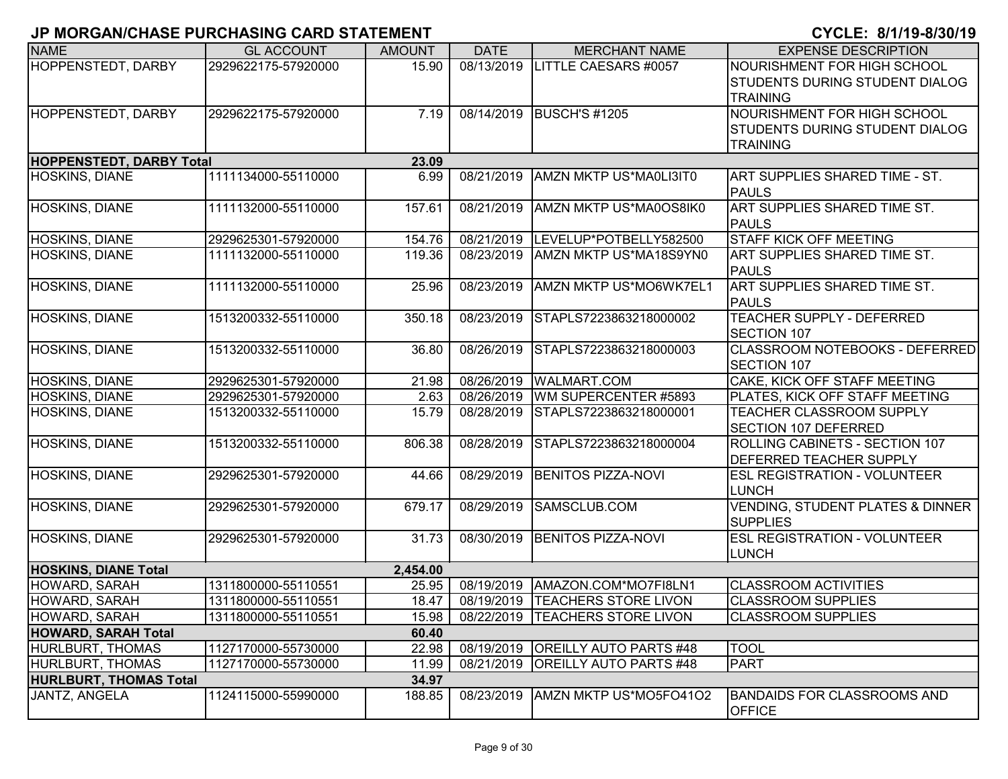| <b>NAME</b>                     | <b>GL ACCOUNT</b>   | <b>AMOUNT</b> | <b>DATE</b> | <b>MERCHANT NAME</b>              | <b>EXPENSE DESCRIPTION</b>                     |
|---------------------------------|---------------------|---------------|-------------|-----------------------------------|------------------------------------------------|
| HOPPENSTEDT, DARBY              | 2929622175-57920000 | 15.90         |             | 08/13/2019   LITTLE CAESARS #0057 | NOURISHMENT FOR HIGH SCHOOL                    |
|                                 |                     |               |             |                                   | <b>STUDENTS DURING STUDENT DIALOG</b>          |
|                                 |                     |               |             |                                   | <b>TRAINING</b>                                |
| <b>HOPPENSTEDT, DARBY</b>       | 2929622175-57920000 | 7.19          |             | 08/14/2019 BUSCH'S #1205          | NOURISHMENT FOR HIGH SCHOOL                    |
|                                 |                     |               |             |                                   | <b>STUDENTS DURING STUDENT DIALOG</b>          |
|                                 |                     |               |             |                                   | <b>TRAINING</b>                                |
| <b>HOPPENSTEDT, DARBY Total</b> |                     | 23.09         |             |                                   |                                                |
| HOSKINS, DIANE                  | 1111134000-55110000 | 6.99          | 08/21/2019  | AMZN MKTP US*MA0LI3IT0            | ART SUPPLIES SHARED TIME - ST.<br><b>PAULS</b> |
| HOSKINS, DIANE                  | 1111132000-55110000 | 157.61        | 08/21/2019  | AMZN MKTP US*MA0OS8IK0            | ART SUPPLIES SHARED TIME ST.                   |
|                                 |                     |               |             |                                   | <b>PAULS</b>                                   |
| HOSKINS, DIANE                  | 2929625301-57920000 | 154.76        | 08/21/2019  | LEVELUP*POTBELLY582500            | <b>STAFF KICK OFF MEETING</b>                  |
| HOSKINS, DIANE                  | 1111132000-55110000 | 119.36        | 08/23/2019  | AMZN MKTP US*MA18S9YN0            | ART SUPPLIES SHARED TIME ST.                   |
|                                 |                     |               |             |                                   | <b>PAULS</b>                                   |
| <b>HOSKINS, DIANE</b>           | 1111132000-55110000 | 25.96         | 08/23/2019  | AMZN MKTP US*MO6WK7EL1            | ART SUPPLIES SHARED TIME ST.                   |
|                                 |                     |               |             |                                   | <b>PAULS</b>                                   |
| <b>HOSKINS, DIANE</b>           | 1513200332-55110000 | 350.18        | 08/23/2019  | STAPLS7223863218000002            | <b>TEACHER SUPPLY - DEFERRED</b>               |
|                                 |                     |               |             |                                   | SECTION 107                                    |
| <b>HOSKINS, DIANE</b>           | 1513200332-55110000 | 36.80         | 08/26/2019  | STAPLS7223863218000003            | <b>CLASSROOM NOTEBOOKS - DEFERRED</b>          |
|                                 |                     |               |             |                                   | SECTION 107                                    |
| <b>HOSKINS, DIANE</b>           | 2929625301-57920000 | 21.98         | 08/26/2019  | <b>WALMART.COM</b>                | CAKE, KICK OFF STAFF MEETING                   |
| <b>HOSKINS, DIANE</b>           | 2929625301-57920000 | 2.63          | 08/26/2019  | WM SUPERCENTER #5893              | PLATES, KICK OFF STAFF MEETING                 |
| HOSKINS, DIANE                  | 1513200332-55110000 | 15.79         | 08/28/2019  | STAPLS7223863218000001            | <b>TEACHER CLASSROOM SUPPLY</b>                |
|                                 |                     |               |             |                                   | <b>SECTION 107 DEFERRED</b>                    |
| <b>HOSKINS, DIANE</b>           | 1513200332-55110000 | 806.38        | 08/28/2019  | STAPLS7223863218000004            | ROLLING CABINETS - SECTION 107                 |
|                                 |                     |               |             |                                   | DEFERRED TEACHER SUPPLY                        |
| <b>HOSKINS, DIANE</b>           | 2929625301-57920000 | 44.66         | 08/29/2019  | <b>BENITOS PIZZA-NOVI</b>         | <b>ESL REGISTRATION - VOLUNTEER</b>            |
|                                 |                     |               |             |                                   | <b>LUNCH</b>                                   |
| HOSKINS, DIANE                  | 2929625301-57920000 | 679.17        | 08/29/2019  | SAMSCLUB.COM                      | VENDING, STUDENT PLATES & DINNER               |
|                                 |                     |               |             |                                   | <b>SUPPLIES</b>                                |
| HOSKINS, DIANE                  | 2929625301-57920000 | 31.73         | 08/30/2019  | <b>BENITOS PIZZA-NOVI</b>         | <b>ESL REGISTRATION - VOLUNTEER</b>            |
|                                 |                     |               |             |                                   | <b>LUNCH</b>                                   |
| <b>HOSKINS, DIANE Total</b>     |                     | 2,454.00      |             |                                   |                                                |
| HOWARD, SARAH                   | 1311800000-55110551 | 25.95         | 08/19/2019  | AMAZON.COM*MO7FI8LN1              | <b>CLASSROOM ACTIVITIES</b>                    |
| HOWARD, SARAH                   | 1311800000-55110551 | 18.47         | 08/19/2019  | <b>TEACHERS STORE LIVON</b>       | <b>CLASSROOM SUPPLIES</b>                      |
| <b>HOWARD, SARAH</b>            | 1311800000-55110551 | 15.98         |             | 08/22/2019   TEACHERS STORE LIVON | <b>CLASSROOM SUPPLIES</b>                      |
| <b>HOWARD, SARAH Total</b>      |                     | 60.40         |             |                                   |                                                |
| HURLBURT, THOMAS                | 1127170000-55730000 | 22.98         | 08/19/2019  | <b>OREILLY AUTO PARTS #48</b>     | <b>TOOL</b>                                    |
| HURLBURT, THOMAS                | 1127170000-55730000 | 11.99         | 08/21/2019  | <b>OREILLY AUTO PARTS #48</b>     | <b>PART</b>                                    |
| <b>HURLBURT, THOMAS Total</b>   |                     | 34.97         |             |                                   |                                                |
| JANTZ, ANGELA                   | 1124115000-55990000 | 188.85        | 08/23/2019  | AMZN MKTP US*MO5FO41O2            | <b>BANDAIDS FOR CLASSROOMS AND</b>             |
|                                 |                     |               |             |                                   | <b>OFFICE</b>                                  |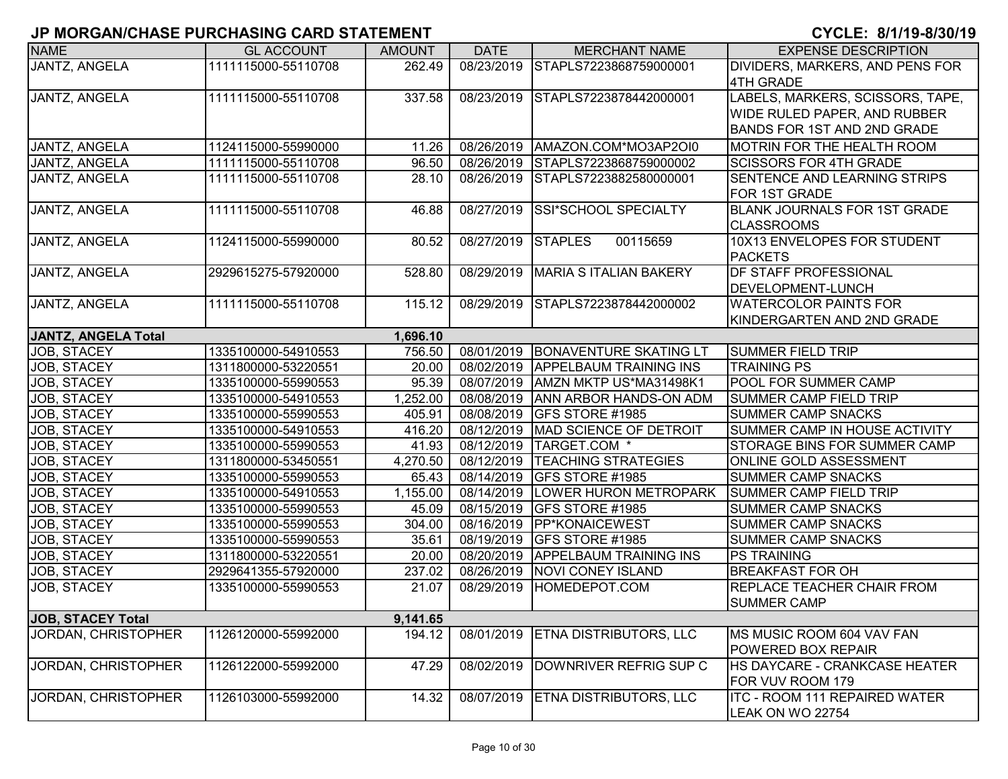| <b>NAME</b>                | <b>GL ACCOUNT</b>   | <b>AMOUNT</b> | <b>DATE</b> | <b>MERCHANT NAME</b>          | <b>EXPENSE DESCRIPTION</b>        |
|----------------------------|---------------------|---------------|-------------|-------------------------------|-----------------------------------|
| <b>JANTZ, ANGELA</b>       | 1111115000-55110708 | 262.49        | 08/23/2019  | STAPLS7223868759000001        | DIVIDERS, MARKERS, AND PENS FOR   |
|                            |                     |               |             |                               | <b>4TH GRADE</b>                  |
| JANTZ, ANGELA              | 1111115000-55110708 | 337.58        | 08/23/2019  | STAPLS7223878442000001        | LABELS, MARKERS, SCISSORS, TAPE,  |
|                            |                     |               |             |                               | WIDE RULED PAPER, AND RUBBER      |
|                            |                     |               |             |                               | BANDS FOR 1ST AND 2ND GRADE       |
| JANTZ, ANGELA              | 1124115000-55990000 | 11.26         | 08/26/2019  | AMAZON.COM*MO3AP2OI0          | MOTRIN FOR THE HEALTH ROOM        |
| JANTZ, ANGELA              | 1111115000-55110708 | 96.50         | 08/26/2019  | STAPLS7223868759000002        | <b>SCISSORS FOR 4TH GRADE</b>     |
| JANTZ, ANGELA              | 1111115000-55110708 | 28.10         | 08/26/2019  | STAPLS7223882580000001        | SENTENCE AND LEARNING STRIPS      |
|                            |                     |               |             |                               | FOR 1ST GRADE                     |
| JANTZ, ANGELA              | 1111115000-55110708 | 46.88         | 08/27/2019  | <b>SSI*SCHOOL SPECIALTY</b>   | BLANK JOURNALS FOR 1ST GRADE      |
|                            |                     |               |             |                               | <b>CLASSROOMS</b>                 |
| JANTZ, ANGELA              | 1124115000-55990000 | 80.52         | 08/27/2019  | <b>STAPLES</b><br>00115659    | 10X13 ENVELOPES FOR STUDENT       |
|                            |                     |               |             |                               | <b>PACKETS</b>                    |
| JANTZ, ANGELA              | 2929615275-57920000 | 528.80        | 08/29/2019  | MARIA S ITALIAN BAKERY        | DF STAFF PROFESSIONAL             |
|                            |                     |               |             |                               | <b>DEVELOPMENT-LUNCH</b>          |
| JANTZ, ANGELA              | 1111115000-55110708 | 115.12        | 08/29/2019  | STAPLS7223878442000002        | <b>WATERCOLOR PAINTS FOR</b>      |
|                            |                     |               |             |                               | KINDERGARTEN AND 2ND GRADE        |
| JANTZ, ANGELA Total        |                     | 1,696.10      |             |                               |                                   |
| JOB, STACEY                | 1335100000-54910553 | 756.50        | 08/01/2019  | <b>BONAVENTURE SKATING LT</b> | <b>SUMMER FIELD TRIP</b>          |
| JOB, STACEY                | 1311800000-53220551 | 20.00         | 08/02/2019  | <b>APPELBAUM TRAINING INS</b> | <b>TRAINING PS</b>                |
| JOB, STACEY                | 1335100000-55990553 | 95.39         | 08/07/2019  | AMZN MKTP US*MA31498K1        | <b>POOL FOR SUMMER CAMP</b>       |
| JOB, STACEY                | 1335100000-54910553 | 1,252.00      | 08/08/2019  | <b>ANN ARBOR HANDS-ON ADM</b> | <b>SUMMER CAMP FIELD TRIP</b>     |
| JOB, STACEY                | 1335100000-55990553 | 405.91        | 08/08/2019  | <b>GFS STORE #1985</b>        | <b>SUMMER CAMP SNACKS</b>         |
| JOB, STACEY                | 1335100000-54910553 | 416.20        | 08/12/2019  | MAD SCIENCE OF DETROIT        | SUMMER CAMP IN HOUSE ACTIVITY     |
| JOB, STACEY                | 1335100000-55990553 | 41.93         | 08/12/2019  | TARGET.COM *                  | STORAGE BINS FOR SUMMER CAMP      |
| JOB, STACEY                | 1311800000-53450551 | 4,270.50      | 08/12/2019  | <b>TEACHING STRATEGIES</b>    | ONLINE GOLD ASSESSMENT            |
| JOB, STACEY                | 1335100000-55990553 | 65.43         | 08/14/2019  | <b>GFS STORE #1985</b>        | <b>SUMMER CAMP SNACKS</b>         |
| JOB, STACEY                | 1335100000-54910553 | 1,155.00      | 08/14/2019  | <b>LOWER HURON METROPARK</b>  | <b>SUMMER CAMP FIELD TRIP</b>     |
| JOB, STACEY                | 1335100000-55990553 | 45.09         | 08/15/2019  | <b>GFS STORE #1985</b>        | <b>SUMMER CAMP SNACKS</b>         |
| JOB, STACEY                | 1335100000-55990553 | 304.00        | 08/16/2019  | <b>PP*KONAICEWEST</b>         | <b>SUMMER CAMP SNACKS</b>         |
| JOB, STACEY                | 1335100000-55990553 | 35.61         | 08/19/2019  | GFS STORE #1985               | <b>SUMMER CAMP SNACKS</b>         |
| JOB, STACEY                | 1311800000-53220551 | 20.00         | 08/20/2019  | <b>APPELBAUM TRAINING INS</b> | <b>PS TRAINING</b>                |
| JOB, STACEY                | 2929641355-57920000 | 237.02        | 08/26/2019  | NOVI CONEY ISLAND             | <b>BREAKFAST FOR OH</b>           |
| JOB, STACEY                | 1335100000-55990553 | 21.07         | 08/29/2019  | HOMEDEPOT.COM                 | <b>REPLACE TEACHER CHAIR FROM</b> |
|                            |                     |               |             |                               | <b>SUMMER CAMP</b>                |
| <b>JOB, STACEY Total</b>   |                     | 9,141.65      |             |                               |                                   |
| JORDAN, CHRISTOPHER        | 1126120000-55992000 | 194.12        | 08/01/2019  | ETNA DISTRIBUTORS, LLC        | MS MUSIC ROOM 604 VAV FAN         |
|                            |                     |               |             |                               | POWERED BOX REPAIR                |
| <b>JORDAN, CHRISTOPHER</b> | 1126122000-55992000 | 47.29         | 08/02/2019  | DOWNRIVER REFRIG SUP C        | HS DAYCARE - CRANKCASE HEATER     |
|                            |                     |               |             |                               | FOR VUV ROOM 179                  |
| JORDAN, CHRISTOPHER        | 1126103000-55992000 | 14.32         | 08/07/2019  | <b>ETNA DISTRIBUTORS, LLC</b> | ITC - ROOM 111 REPAIRED WATER     |
|                            |                     |               |             |                               | <b>LEAK ON WO 22754</b>           |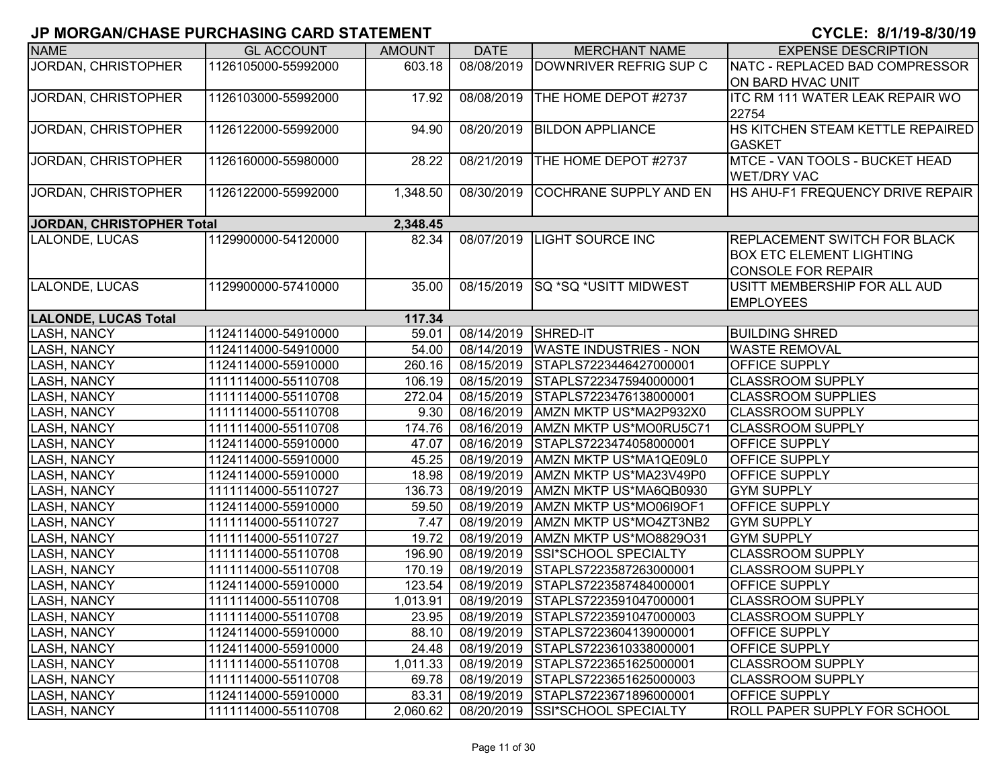| <b>NAME</b>                 | <b>GL ACCOUNT</b>   | <b>AMOUNT</b> | <b>DATE</b> | <b>MERCHANT NAME</b>              | <b>EXPENSE DESCRIPTION</b>             |
|-----------------------------|---------------------|---------------|-------------|-----------------------------------|----------------------------------------|
| JORDAN, CHRISTOPHER         | 1126105000-55992000 | 603.18        | 08/08/2019  | DOWNRIVER REFRIG SUP C            | NATC - REPLACED BAD COMPRESSOR         |
|                             |                     |               |             |                                   | ON BARD HVAC UNIT                      |
| JORDAN, CHRISTOPHER         | 1126103000-55992000 | 17.92         | 08/08/2019  | THE HOME DEPOT #2737              | <b>ITC RM 111 WATER LEAK REPAIR WO</b> |
|                             |                     |               |             |                                   | 22754                                  |
| JORDAN, CHRISTOPHER         | 1126122000-55992000 | 94.90         | 08/20/2019  | <b>BILDON APPLIANCE</b>           | HS KITCHEN STEAM KETTLE REPAIRED       |
|                             |                     |               |             |                                   | <b>GASKET</b>                          |
| JORDAN, CHRISTOPHER         | 1126160000-55980000 | 28.22         | 08/21/2019  | THE HOME DEPOT #2737              | MTCE - VAN TOOLS - BUCKET HEAD         |
|                             |                     |               |             |                                   | <b>WET/DRY VAC</b>                     |
| JORDAN, CHRISTOPHER         | 1126122000-55992000 | 1,348.50      | 08/30/2019  | <b>COCHRANE SUPPLY AND EN</b>     | HS AHU-F1 FREQUENCY DRIVE REPAIR       |
|                             |                     |               |             |                                   |                                        |
| JORDAN, CHRISTOPHER Total   |                     | 2,348.45      |             |                                   |                                        |
| LALONDE, LUCAS              | 1129900000-54120000 | 82.34         | 08/07/2019  | <b>LIGHT SOURCE INC</b>           | <b>REPLACEMENT SWITCH FOR BLACK</b>    |
|                             |                     |               |             |                                   | <b>BOX ETC ELEMENT LIGHTING</b>        |
|                             |                     |               |             |                                   | <b>CONSOLE FOR REPAIR</b>              |
| LALONDE, LUCAS              | 1129900000-57410000 | 35.00         | 08/15/2019  | <b>SQ *SQ *USITT MIDWEST</b>      | USITT MEMBERSHIP FOR ALL AUD           |
|                             |                     |               |             |                                   | <b>EMPLOYEES</b>                       |
| <b>LALONDE, LUCAS Total</b> |                     | 117.34        |             |                                   |                                        |
| <b>LASH, NANCY</b>          | 1124114000-54910000 | 59.01         | 08/14/2019  | SHRED-IT                          | <b>BUILDING SHRED</b>                  |
| LASH, NANCY                 | 1124114000-54910000 | 54.00         | 08/14/2019  | <b>WASTE INDUSTRIES - NON</b>     | <b>WASTE REMOVAL</b>                   |
| LASH, NANCY                 | 1124114000-55910000 | 260.16        | 08/15/2019  | STAPLS7223446427000001            | <b>OFFICE SUPPLY</b>                   |
| LASH, NANCY                 | 1111114000-55110708 | 106.19        | 08/15/2019  | STAPLS7223475940000001            | <b>CLASSROOM SUPPLY</b>                |
| <b>LASH, NANCY</b>          | 1111114000-55110708 | 272.04        | 08/15/2019  | STAPLS7223476138000001            | <b>CLASSROOM SUPPLIES</b>              |
| LASH, NANCY                 | 1111114000-55110708 | 9.30          | 08/16/2019  | AMZN MKTP US*MA2P932X0            | <b>CLASSROOM SUPPLY</b>                |
| <b>LASH, NANCY</b>          | 1111114000-55110708 | 174.76        | 08/16/2019  | AMZN MKTP US*MO0RU5C71            | <b>CLASSROOM SUPPLY</b>                |
| <b>LASH, NANCY</b>          | 1124114000-55910000 | 47.07         | 08/16/2019  | STAPLS7223474058000001            | <b>OFFICE SUPPLY</b>                   |
| <b>LASH, NANCY</b>          | 1124114000-55910000 | 45.25         | 08/19/2019  | AMZN MKTP US*MA1QE09L0            | <b>OFFICE SUPPLY</b>                   |
| LASH, NANCY                 | 1124114000-55910000 | 18.98         | 08/19/2019  | AMZN MKTP US*MA23V49P0            | <b>OFFICE SUPPLY</b>                   |
| LASH, NANCY                 | 1111114000-55110727 | 136.73        | 08/19/2019  | AMZN MKTP US*MA6QB0930            | <b>GYM SUPPLY</b>                      |
| LASH, NANCY                 | 1124114000-55910000 | 59.50         | 08/19/2019  | AMZN MKTP US*MO06I9OF1            | OFFICE SUPPLY                          |
| LASH, NANCY                 | 1111114000-55110727 | 7.47          | 08/19/2019  | AMZN MKTP US*MO4ZT3NB2            | <b>GYM SUPPLY</b>                      |
| LASH, NANCY                 | 1111114000-55110727 | 19.72         | 08/19/2019  | AMZN MKTP US*MO8829O31            | <b>GYM SUPPLY</b>                      |
| LASH, NANCY                 | 1111114000-55110708 | 196.90        | 08/19/2019  | SSI*SCHOOL SPECIALTY              | <b>CLASSROOM SUPPLY</b>                |
| LASH, NANCY                 | 1111114000-55110708 | 170.19        | 08/19/2019  | STAPLS7223587263000001            | <b>CLASSROOM SUPPLY</b>                |
| LASH, NANCY                 | 1124114000-55910000 | 123.54        | 08/19/2019  | STAPLS7223587484000001            | OFFICE SUPPLY                          |
| <b>LASH, NANCY</b>          | 1111114000-55110708 | 1,013.91      | 08/19/2019  | STAPLS7223591047000001            | <b>CLASSROOM SUPPLY</b>                |
| <b>LASH, NANCY</b>          | 1111114000-55110708 | 23.95         |             | 08/19/2019 STAPLS7223591047000003 | <b>CLASSROOM SUPPLY</b>                |
| <b>LASH, NANCY</b>          | 1124114000-55910000 | 88.10         | 08/19/2019  | STAPLS7223604139000001            | <b>OFFICE SUPPLY</b>                   |
| <b>LASH, NANCY</b>          | 1124114000-55910000 | 24.48         | 08/19/2019  | STAPLS7223610338000001            | <b>OFFICE SUPPLY</b>                   |
| <b>LASH, NANCY</b>          | 1111114000-55110708 | 1,011.33      | 08/19/2019  | STAPLS7223651625000001            | <b>CLASSROOM SUPPLY</b>                |
| <b>LASH, NANCY</b>          | 1111114000-55110708 | 69.78         | 08/19/2019  | STAPLS7223651625000003            | <b>CLASSROOM SUPPLY</b>                |
| <b>LASH, NANCY</b>          | 1124114000-55910000 | 83.31         | 08/19/2019  | STAPLS7223671896000001            | <b>OFFICE SUPPLY</b>                   |
| <b>LASH, NANCY</b>          | 1111114000-55110708 | 2,060.62      |             | 08/20/2019 SSI*SCHOOL SPECIALTY   | <b>ROLL PAPER SUPPLY FOR SCHOOL</b>    |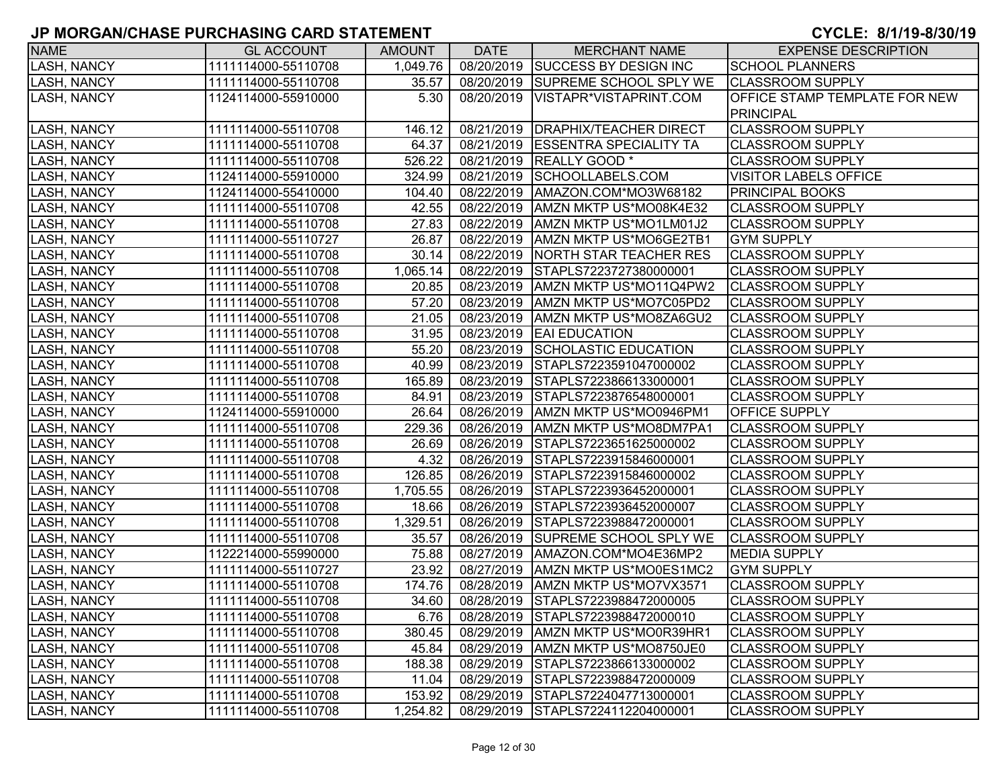| <b>NAME</b>        | <b>GL ACCOUNT</b>   | <b>AMOUNT</b> | <b>DATE</b> | <b>MERCHANT NAME</b>                | <b>EXPENSE DESCRIPTION</b>    |
|--------------------|---------------------|---------------|-------------|-------------------------------------|-------------------------------|
| <b>LASH, NANCY</b> | 1111114000-55110708 | 1,049.76      | 08/20/2019  | <b>SUCCESS BY DESIGN INC</b>        | <b>SCHOOL PLANNERS</b>        |
| <b>LASH, NANCY</b> | 1111114000-55110708 | 35.57         | 08/20/2019  | <b>SUPREME SCHOOL SPLY WE</b>       | <b>CLASSROOM SUPPLY</b>       |
| <b>LASH, NANCY</b> | 1124114000-55910000 | 5.30          | 08/20/2019  | VISTAPR*VISTAPRINT.COM              | OFFICE STAMP TEMPLATE FOR NEW |
|                    |                     |               |             |                                     | <b>PRINCIPAL</b>              |
| <b>LASH, NANCY</b> | 1111114000-55110708 | 146.12        |             | 08/21/2019   DRAPHIX/TEACHER DIRECT | <b>CLASSROOM SUPPLY</b>       |
| <b>LASH, NANCY</b> | 1111114000-55110708 | 64.37         |             | 08/21/2019 ESSENTRA SPECIALITY TA   | <b>CLASSROOM SUPPLY</b>       |
| <b>LASH, NANCY</b> | 1111114000-55110708 | 526.22        |             | 08/21/2019  REALLY GOOD *           | <b>CLASSROOM SUPPLY</b>       |
| <b>LASH, NANCY</b> | 1124114000-55910000 | 324.99        | 08/21/2019  | SCHOOLLABELS.COM                    | <b>VISITOR LABELS OFFICE</b>  |
| <b>LASH, NANCY</b> | 1124114000-55410000 | 104.40        | 08/22/2019  | AMAZON.COM*MO3W68182                | <b>PRINCIPAL BOOKS</b>        |
| <b>LASH, NANCY</b> | 1111114000-55110708 | 42.55         | 08/22/2019  | AMZN MKTP US*MO08K4E32              | <b>CLASSROOM SUPPLY</b>       |
| <b>LASH, NANCY</b> | 1111114000-55110708 | 27.83         | 08/22/2019  | <b>AMZN MKTP US*MO1LM01J2</b>       | <b>CLASSROOM SUPPLY</b>       |
| <b>LASH, NANCY</b> | 1111114000-55110727 | 26.87         | 08/22/2019  | AMZN MKTP US*MO6GE2TB1              | <b>GYM SUPPLY</b>             |
| <b>LASH, NANCY</b> | 1111114000-55110708 | 30.14         | 08/22/2019  | NORTH STAR TEACHER RES              | <b>CLASSROOM SUPPLY</b>       |
| <b>LASH, NANCY</b> | 1111114000-55110708 | 1,065.14      | 08/22/2019  | STAPLS7223727380000001              | <b>CLASSROOM SUPPLY</b>       |
| <b>LASH, NANCY</b> | 1111114000-55110708 | 20.85         | 08/23/2019  | AMZN MKTP US*MO11Q4PW2              | <b>CLASSROOM SUPPLY</b>       |
| <b>LASH, NANCY</b> | 1111114000-55110708 | 57.20         | 08/23/2019  | AMZN MKTP US*MO7C05PD2              | <b>CLASSROOM SUPPLY</b>       |
| <b>LASH, NANCY</b> | 1111114000-55110708 | 21.05         | 08/23/2019  | AMZN MKTP US*MO8ZA6GU2              | <b>CLASSROOM SUPPLY</b>       |
| <b>LASH, NANCY</b> | 1111114000-55110708 | 31.95         | 08/23/2019  | <b>EAI EDUCATION</b>                | <b>CLASSROOM SUPPLY</b>       |
| <b>LASH, NANCY</b> | 1111114000-55110708 | 55.20         | 08/23/2019  | SCHOLASTIC EDUCATION                | <b>CLASSROOM SUPPLY</b>       |
| <b>LASH, NANCY</b> | 1111114000-55110708 | 40.99         | 08/23/2019  | STAPLS7223591047000002              | <b>CLASSROOM SUPPLY</b>       |
| <b>LASH, NANCY</b> | 1111114000-55110708 | 165.89        | 08/23/2019  | STAPLS7223866133000001              | <b>CLASSROOM SUPPLY</b>       |
| <b>LASH, NANCY</b> | 1111114000-55110708 | 84.91         | 08/23/2019  | STAPLS7223876548000001              | <b>CLASSROOM SUPPLY</b>       |
| <b>LASH, NANCY</b> | 1124114000-55910000 | 26.64         | 08/26/2019  | AMZN MKTP US*MO0946PM1              | <b>OFFICE SUPPLY</b>          |
| <b>LASH, NANCY</b> | 1111114000-55110708 | 229.36        | 08/26/2019  | <b>AMZN MKTP US*MO8DM7PA1</b>       | <b>CLASSROOM SUPPLY</b>       |
| <b>LASH, NANCY</b> | 1111114000-55110708 | 26.69         | 08/26/2019  | STAPLS7223651625000002              | <b>CLASSROOM SUPPLY</b>       |
| <b>LASH, NANCY</b> | 1111114000-55110708 | 4.32          | 08/26/2019  | STAPLS7223915846000001              | <b>CLASSROOM SUPPLY</b>       |
| <b>LASH, NANCY</b> | 1111114000-55110708 | 126.85        | 08/26/2019  | STAPLS7223915846000002              | <b>CLASSROOM SUPPLY</b>       |
| <b>LASH, NANCY</b> | 1111114000-55110708 | 1,705.55      | 08/26/2019  | STAPLS7223936452000001              | <b>CLASSROOM SUPPLY</b>       |
| <b>LASH, NANCY</b> | 1111114000-55110708 | 18.66         | 08/26/2019  | STAPLS7223936452000007              | <b>CLASSROOM SUPPLY</b>       |
| <b>LASH, NANCY</b> | 1111114000-55110708 | 1,329.51      | 08/26/2019  | STAPLS7223988472000001              | <b>CLASSROOM SUPPLY</b>       |
| <b>LASH, NANCY</b> | 1111114000-55110708 | 35.57         | 08/26/2019  | <b>SUPREME SCHOOL SPLY WE</b>       | <b>CLASSROOM SUPPLY</b>       |
| <b>LASH, NANCY</b> | 1122214000-55990000 | 75.88         | 08/27/2019  | AMAZON.COM*MO4E36MP2                | <b>MEDIA SUPPLY</b>           |
| <b>LASH, NANCY</b> | 1111114000-55110727 | 23.92         | 08/27/2019  | AMZN MKTP US*MO0ES1MC2              | <b>GYM SUPPLY</b>             |
| <b>LASH, NANCY</b> | 1111114000-55110708 | 174.76        | 08/28/2019  | AMZN MKTP US*MO7VX3571              | <b>CLASSROOM SUPPLY</b>       |
| <b>LASH, NANCY</b> | 1111114000-55110708 | 34.60         | 08/28/2019  | STAPLS7223988472000005              | <b>CLASSROOM SUPPLY</b>       |
| LASH, NANCY        | 1111114000-55110708 | $6.76$        |             | 08/28/2019 STAPLS7223988472000010   | CLASSROOM SUPPLY              |
| <b>LASH, NANCY</b> | 1111114000-55110708 | 380.45        |             | 08/29/2019   AMZN MKTP US*MO0R39HR1 | CLASSROOM SUPPLY              |
| LASH, NANCY        | 1111114000-55110708 | 45.84         |             | 08/29/2019   AMZN MKTP US*MO8750JE0 | <b>CLASSROOM SUPPLY</b>       |
| LASH, NANCY        | 1111114000-55110708 | 188.38        |             | 08/29/2019 STAPLS7223866133000002   | <b>CLASSROOM SUPPLY</b>       |
| LASH, NANCY        | 1111114000-55110708 | 11.04         | 08/29/2019  | STAPLS7223988472000009              | <b>CLASSROOM SUPPLY</b>       |
| <b>LASH, NANCY</b> | 1111114000-55110708 | 153.92        | 08/29/2019  | STAPLS7224047713000001              | <b>CLASSROOM SUPPLY</b>       |
| LASH, NANCY        | 1111114000-55110708 | 1,254.82      |             | 08/29/2019 STAPLS7224112204000001   | <b>CLASSROOM SUPPLY</b>       |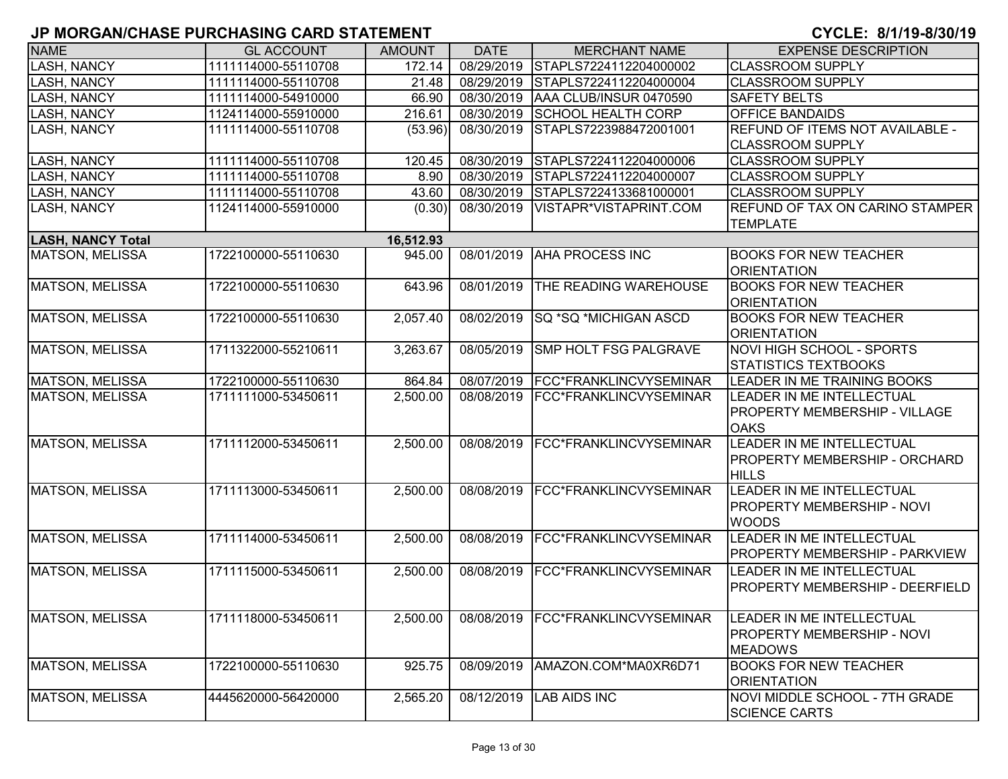| <b>NAME</b>              | <b>GL ACCOUNT</b>   | <b>AMOUNT</b> | <b>DATE</b> | <b>MERCHANT NAME</b>                | <b>EXPENSE DESCRIPTION</b>             |
|--------------------------|---------------------|---------------|-------------|-------------------------------------|----------------------------------------|
| <b>LASH, NANCY</b>       | 1111114000-55110708 | 172.14        | 08/29/2019  | STAPLS7224112204000002              | <b>CLASSROOM SUPPLY</b>                |
| <b>LASH, NANCY</b>       | 1111114000-55110708 | 21.48         | 08/29/2019  | STAPLS7224112204000004              | <b>CLASSROOM SUPPLY</b>                |
| <b>LASH, NANCY</b>       | 1111114000-54910000 | 66.90         | 08/30/2019  | AAA CLUB/INSUR 0470590              | <b>SAFETY BELTS</b>                    |
| <b>LASH, NANCY</b>       | 1124114000-55910000 | 216.61        | 08/30/2019  | <b>SCHOOL HEALTH CORP</b>           | <b>OFFICE BANDAIDS</b>                 |
| <b>LASH, NANCY</b>       | 1111114000-55110708 | (53.96)       | 08/30/2019  | STAPLS7223988472001001              | REFUND OF ITEMS NOT AVAILABLE -        |
|                          |                     |               |             |                                     | <b>CLASSROOM SUPPLY</b>                |
| <b>LASH, NANCY</b>       | 1111114000-55110708 | 120.45        | 08/30/2019  | STAPLS7224112204000006              | <b>CLASSROOM SUPPLY</b>                |
| <b>LASH, NANCY</b>       | 1111114000-55110708 | 8.90          | 08/30/2019  | STAPLS7224112204000007              | <b>CLASSROOM SUPPLY</b>                |
| <b>LASH, NANCY</b>       | 1111114000-55110708 | 43.60         | 08/30/2019  | STAPLS7224133681000001              | <b>CLASSROOM SUPPLY</b>                |
| <b>LASH, NANCY</b>       | 1124114000-55910000 | (0.30)        | 08/30/2019  | VISTAPR*VISTAPRINT.COM              | <b>REFUND OF TAX ON CARINO STAMPER</b> |
|                          |                     |               |             |                                     | <b>TEMPLATE</b>                        |
| <b>LASH, NANCY Total</b> |                     | 16,512.93     |             |                                     |                                        |
| <b>MATSON, MELISSA</b>   | 1722100000-55110630 | 945.00        | 08/01/2019  | <b>AHA PROCESS INC</b>              | <b>BOOKS FOR NEW TEACHER</b>           |
|                          |                     |               |             |                                     | <b>ORIENTATION</b>                     |
| MATSON, MELISSA          | 1722100000-55110630 | 643.96        | 08/01/2019  | THE READING WAREHOUSE               | <b>BOOKS FOR NEW TEACHER</b>           |
|                          |                     |               |             |                                     | <b>ORIENTATION</b>                     |
| MATSON, MELISSA          | 1722100000-55110630 | 2,057.40      | 08/02/2019  | <b>SQ *SQ *MICHIGAN ASCD</b>        | <b>BOOKS FOR NEW TEACHER</b>           |
|                          |                     |               |             |                                     | <b>ORIENTATION</b>                     |
| <b>MATSON, MELISSA</b>   | 1711322000-55210611 | 3,263.67      | 08/05/2019  | <b>SMP HOLT FSG PALGRAVE</b>        | NOVI HIGH SCHOOL - SPORTS              |
|                          |                     |               |             |                                     | <b>STATISTICS TEXTBOOKS</b>            |
| <b>MATSON, MELISSA</b>   | 1722100000-55110630 | 864.84        | 08/07/2019  | FCC*FRANKLINCVYSEMINAR              | LEADER IN ME TRAINING BOOKS            |
| <b>MATSON, MELISSA</b>   | 1711111000-53450611 | 2,500.00      |             | 08/08/2019   FCC*FRANKLINCVYSEMINAR | LEADER IN ME INTELLECTUAL              |
|                          |                     |               |             |                                     | <b>PROPERTY MEMBERSHIP - VILLAGE</b>   |
|                          |                     |               |             |                                     | <b>OAKS</b>                            |
| MATSON, MELISSA          | 1711112000-53450611 | 2,500.00      | 08/08/2019  | FCC*FRANKLINCVYSEMINAR              | <b>LEADER IN ME INTELLECTUAL</b>       |
|                          |                     |               |             |                                     | <b>PROPERTY MEMBERSHIP - ORCHARD</b>   |
|                          |                     |               |             |                                     | <b>HILLS</b>                           |
| MATSON, MELISSA          | 1711113000-53450611 | 2,500.00      | 08/08/2019  | FCC*FRANKLINCVYSEMINAR              | LEADER IN ME INTELLECTUAL              |
|                          |                     |               |             |                                     | <b>PROPERTY MEMBERSHIP - NOVI</b>      |
|                          |                     |               |             |                                     | <b>WOODS</b>                           |
| MATSON, MELISSA          | 1711114000-53450611 | 2,500.00      | 08/08/2019  | FCC*FRANKLINCVYSEMINAR              | LEADER IN ME INTELLECTUAL              |
|                          |                     |               |             |                                     | <b>PROPERTY MEMBERSHIP - PARKVIEW</b>  |
| MATSON, MELISSA          | 1711115000-53450611 | 2,500.00      |             | 08/08/2019   FCC*FRANKLINCVYSEMINAR | LEADER IN ME INTELLECTUAL              |
|                          |                     |               |             |                                     | <b>PROPERTY MEMBERSHIP - DEERFIELD</b> |
|                          |                     |               |             |                                     |                                        |
| MATSON, MELISSA          | 1711118000-53450611 | 2,500.00      |             | 08/08/2019   FCC*FRANKLINCVYSEMINAR | <b>LEADER IN ME INTELLECTUAL</b>       |
|                          |                     |               |             |                                     | PROPERTY MEMBERSHIP - NOVI             |
|                          |                     |               |             |                                     | <b>MEADOWS</b>                         |
| MATSON, MELISSA          | 1722100000-55110630 | 925.75        | 08/09/2019  | AMAZON.COM*MA0XR6D71                | <b>BOOKS FOR NEW TEACHER</b>           |
|                          |                     |               |             |                                     | <b>ORIENTATION</b>                     |
| <b>MATSON, MELISSA</b>   | 4445620000-56420000 | 2,565.20      | 08/12/2019  | <b>LAB AIDS INC</b>                 | NOVI MIDDLE SCHOOL - 7TH GRADE         |
|                          |                     |               |             |                                     | <b>SCIENCE CARTS</b>                   |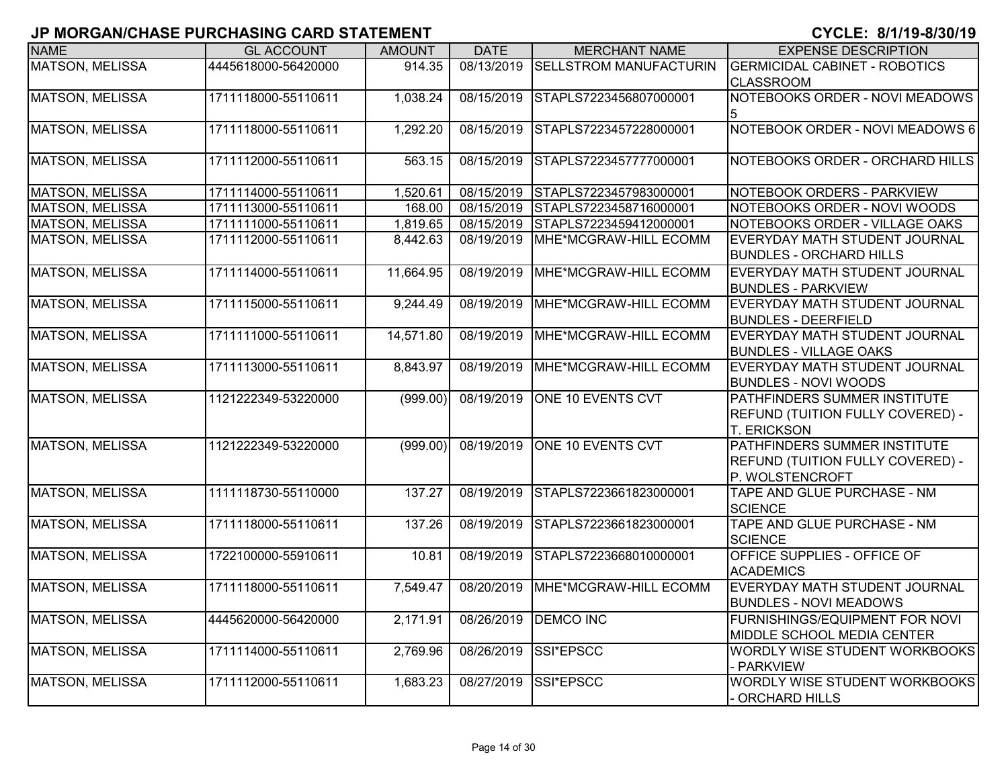| <b>NAME</b>            | <b>GL ACCOUNT</b>   | <b>AMOUNT</b> | <b>DATE</b> | <b>MERCHANT NAME</b>          | <b>EXPENSE DESCRIPTION</b>                                                                    |
|------------------------|---------------------|---------------|-------------|-------------------------------|-----------------------------------------------------------------------------------------------|
| <b>MATSON, MELISSA</b> | 4445618000-56420000 | 914.35        | 08/13/2019  | <b>SELLSTROM MANUFACTURIN</b> | <b>GERMICIDAL CABINET - ROBOTICS</b><br><b>CLASSROOM</b>                                      |
| <b>MATSON, MELISSA</b> | 1711118000-55110611 | 1,038.24      | 08/15/2019  | STAPLS7223456807000001        | NOTEBOOKS ORDER - NOVI MEADOWS<br>5                                                           |
| <b>MATSON, MELISSA</b> | 1711118000-55110611 | 1,292.20      | 08/15/2019  | STAPLS7223457228000001        | NOTEBOOK ORDER - NOVI MEADOWS 6                                                               |
| <b>MATSON, MELISSA</b> | 1711112000-55110611 | 563.15        | 08/15/2019  | STAPLS7223457777000001        | NOTEBOOKS ORDER - ORCHARD HILLS                                                               |
| <b>MATSON, MELISSA</b> | 1711114000-55110611 | 1,520.61      | 08/15/2019  | STAPLS7223457983000001        | NOTEBOOK ORDERS - PARKVIEW                                                                    |
| <b>MATSON, MELISSA</b> | 1711113000-55110611 | 168.00        | 08/15/2019  | STAPLS7223458716000001        | NOTEBOOKS ORDER - NOVI WOODS                                                                  |
| <b>MATSON, MELISSA</b> | 1711111000-55110611 | 1,819.65      | 08/15/2019  | STAPLS7223459412000001        | NOTEBOOKS ORDER - VILLAGE OAKS                                                                |
| <b>MATSON, MELISSA</b> | 1711112000-55110611 | 8,442.63      | 08/19/2019  | MHE*MCGRAW-HILL ECOMM         | EVERYDAY MATH STUDENT JOURNAL<br><b>BUNDLES - ORCHARD HILLS</b>                               |
| <b>MATSON, MELISSA</b> | 1711114000-55110611 | 11,664.95     | 08/19/2019  | MHE*MCGRAW-HILL ECOMM         | EVERYDAY MATH STUDENT JOURNAL<br><b>BUNDLES - PARKVIEW</b>                                    |
| <b>MATSON, MELISSA</b> | 1711115000-55110611 | 9,244.49      | 08/19/2019  | MHE*MCGRAW-HILL ECOMM         | EVERYDAY MATH STUDENT JOURNAL<br><b>BUNDLES - DEERFIELD</b>                                   |
| <b>MATSON, MELISSA</b> | 1711111000-55110611 | 14,571.80     | 08/19/2019  | MHE*MCGRAW-HILL ECOMM         | EVERYDAY MATH STUDENT JOURNAL<br><b>BUNDLES - VILLAGE OAKS</b>                                |
| <b>MATSON, MELISSA</b> | 1711113000-55110611 | 8,843.97      | 08/19/2019  | MHE*MCGRAW-HILL ECOMM         | EVERYDAY MATH STUDENT JOURNAL<br><b>BUNDLES - NOVI WOODS</b>                                  |
| <b>MATSON, MELISSA</b> | 1121222349-53220000 | (999.00)      | 08/19/2019  | ONE 10 EVENTS CVT             | <b>PATHFINDERS SUMMER INSTITUTE</b><br>REFUND (TUITION FULLY COVERED) -<br><b>T. ERICKSON</b> |
| <b>MATSON, MELISSA</b> | 1121222349-53220000 | (999.00)      | 08/19/2019  | <b>ONE 10 EVENTS CVT</b>      | PATHFINDERS SUMMER INSTITUTE<br><b>REFUND (TUITION FULLY COVERED) -</b><br>P. WOLSTENCROFT    |
| <b>MATSON, MELISSA</b> | 1111118730-55110000 | 137.27        | 08/19/2019  | STAPLS7223661823000001        | TAPE AND GLUE PURCHASE - NM<br><b>SCIENCE</b>                                                 |
| <b>MATSON, MELISSA</b> | 1711118000-55110611 | 137.26        | 08/19/2019  | STAPLS7223661823000001        | TAPE AND GLUE PURCHASE - NM<br><b>SCIENCE</b>                                                 |
| <b>MATSON, MELISSA</b> | 1722100000-55910611 | 10.81         | 08/19/2019  | STAPLS7223668010000001        | OFFICE SUPPLIES - OFFICE OF<br><b>ACADEMICS</b>                                               |
| <b>MATSON, MELISSA</b> | 1711118000-55110611 | 7,549.47      | 08/20/2019  | MHE*MCGRAW-HILL ECOMM         | EVERYDAY MATH STUDENT JOURNAL<br><b>BUNDLES - NOVI MEADOWS</b>                                |
| <b>MATSON, MELISSA</b> | 4445620000-56420000 | 2,171.91      | 08/26/2019  | <b>DEMCO INC</b>              | FURNISHINGS/EQUIPMENT FOR NOVI<br>MIDDLE SCHOOL MEDIA CENTER                                  |
| <b>MATSON, MELISSA</b> | 1711114000-55110611 | 2,769.96      | 08/26/2019  | SSI*EPSCC                     | WORDLY WISE STUDENT WORKBOOKS<br>- PARKVIEW                                                   |
| <b>MATSON, MELISSA</b> | 1711112000-55110611 | 1,683.23      | 08/27/2019  | SSI*EPSCC                     | WORDLY WISE STUDENT WORKBOOKS<br>- ORCHARD HILLS                                              |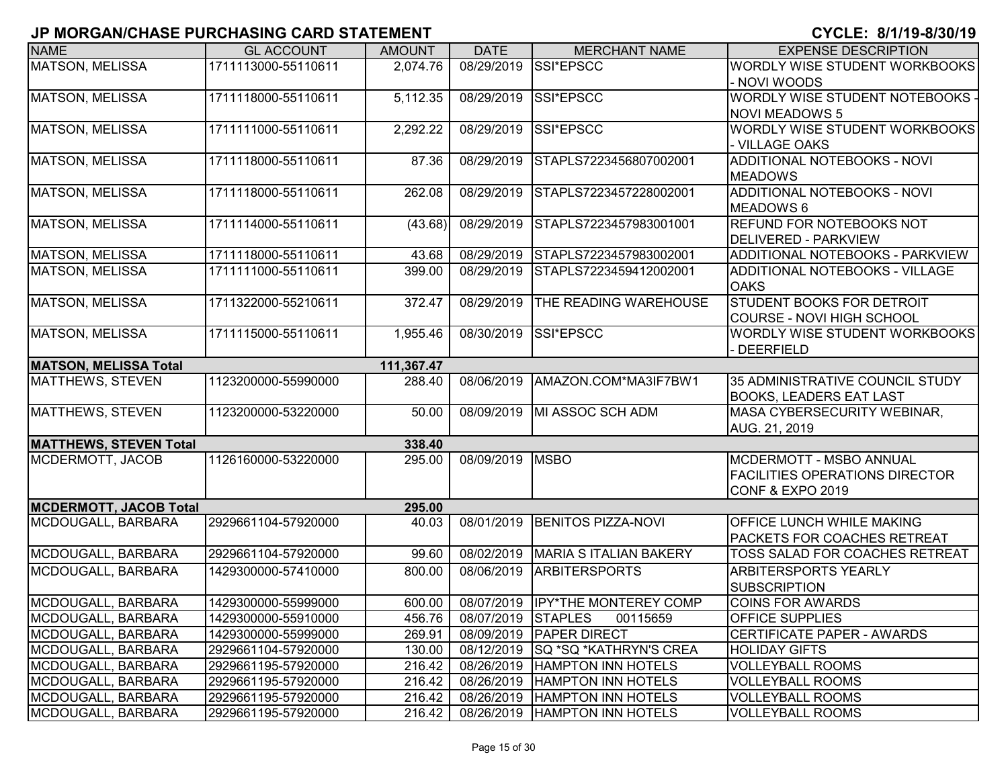| <b>NAME</b>                   | <b>GL ACCOUNT</b>   | <b>AMOUNT</b> | <b>DATE</b>        | <b>MERCHANT NAME</b>                  | <b>EXPENSE DESCRIPTION</b>                                             |
|-------------------------------|---------------------|---------------|--------------------|---------------------------------------|------------------------------------------------------------------------|
| <b>MATSON, MELISSA</b>        | 1711113000-55110611 | 2,074.76      | 08/29/2019         | SSI*EPSCC                             | <b>WORDLY WISE STUDENT WORKBOOKS</b>                                   |
|                               |                     |               |                    |                                       | - NOVI WOODS                                                           |
| <b>MATSON, MELISSA</b>        | 1711118000-55110611 | 5,112.35      | 08/29/2019         | SSI*EPSCC                             | WORDLY WISE STUDENT NOTEBOOKS -<br><b>NOVI MEADOWS 5</b>               |
| <b>MATSON, MELISSA</b>        | 1711111000-55110611 | 2,292.22      | 08/29/2019         | SSI*EPSCC                             | WORDLY WISE STUDENT WORKBOOKS                                          |
|                               |                     |               |                    |                                       | - VILLAGE OAKS                                                         |
| MATSON, MELISSA               | 1711118000-55110611 | 87.36         | 08/29/2019         | STAPLS7223456807002001                | ADDITIONAL NOTEBOOKS - NOVI<br><b>MEADOWS</b>                          |
| MATSON, MELISSA               | 1711118000-55110611 | 262.08        | 08/29/2019         | STAPLS7223457228002001                | <b>ADDITIONAL NOTEBOOKS - NOVI</b><br>MEADOWS 6                        |
| <b>MATSON, MELISSA</b>        | 1711114000-55110611 | (43.68)       | 08/29/2019         | STAPLS7223457983001001                | <b>REFUND FOR NOTEBOOKS NOT</b><br><b>DELIVERED - PARKVIEW</b>         |
| MATSON, MELISSA               | 1711118000-55110611 | 43.68         | 08/29/2019         | STAPLS7223457983002001                | ADDITIONAL NOTEBOOKS - PARKVIEW                                        |
| <b>MATSON, MELISSA</b>        | 1711111000-55110611 | 399.00        | 08/29/2019         | STAPLS7223459412002001                | ADDITIONAL NOTEBOOKS - VILLAGE<br><b>OAKS</b>                          |
| <b>MATSON, MELISSA</b>        | 1711322000-55210611 | 372.47        | 08/29/2019         | THE READING WAREHOUSE                 | STUDENT BOOKS FOR DETROIT<br>COURSE - NOVI HIGH SCHOOL                 |
| <b>MATSON, MELISSA</b>        | 1711115000-55110611 | 1,955.46      | 08/30/2019         | SSI*EPSCC                             | WORDLY WISE STUDENT WORKBOOKS<br>DEERFIELD                             |
| <b>MATSON, MELISSA Total</b>  |                     | 111,367.47    |                    |                                       |                                                                        |
| MATTHEWS, STEVEN              | 1123200000-55990000 | 288.40        | 08/06/2019         | AMAZON.COM*MA3IF7BW1                  | 35 ADMINISTRATIVE COUNCIL STUDY<br><b>BOOKS, LEADERS EAT LAST</b>      |
| MATTHEWS, STEVEN              | 1123200000-53220000 | 50.00         | 08/09/2019         | MI ASSOC SCH ADM                      | <b>MASA CYBERSECURITY WEBINAR,</b><br>AUG. 21, 2019                    |
| <b>MATTHEWS, STEVEN Total</b> |                     | 338.40        |                    |                                       |                                                                        |
| MCDERMOTT, JACOB              | 1126160000-53220000 | 295.00        | 08/09/2019         | <b>MSBO</b>                           | MCDERMOTT - MSBO ANNUAL                                                |
|                               |                     |               |                    |                                       | <b>FACILITIES OPERATIONS DIRECTOR</b><br><b>CONF &amp; EXPO 2019</b>   |
| <b>MCDERMOTT, JACOB Total</b> |                     | 295.00        |                    |                                       |                                                                        |
| MCDOUGALL, BARBARA            | 2929661104-57920000 | 40.03         | 08/01/2019         | <b>BENITOS PIZZA-NOVI</b>             | <b>OFFICE LUNCH WHILE MAKING</b><br><b>PACKETS FOR COACHES RETREAT</b> |
| MCDOUGALL, BARBARA            | 2929661104-57920000 | 99.60         | 08/02/2019         | MARIA S ITALIAN BAKERY                | <b>TOSS SALAD FOR COACHES RETREAT</b>                                  |
| MCDOUGALL, BARBARA            | 1429300000-57410000 | 800.00        | 08/06/2019         | <b>ARBITERSPORTS</b>                  | <b>ARBITERSPORTS YEARLY</b><br><b>SUBSCRIPTION</b>                     |
| MCDOUGALL, BARBARA            | 1429300000-55999000 | 600.00        |                    | 08/07/2019 IPY*THE MONTEREY COMP      | <b>COINS FOR AWARDS</b>                                                |
| MCDOUGALL, BARBARA            | 1429300000-55910000 | 456.76        | 08/07/2019 STAPLES | 00115659                              | <b>OFFICE SUPPLIES</b>                                                 |
| MCDOUGALL, BARBARA            | 1429300000-55999000 | 269.91        |                    | 08/09/2019   PAPER DIRECT             | CERTIFICATE PAPER - AWARDS                                             |
| MCDOUGALL, BARBARA            | 2929661104-57920000 | 130.00        |                    | 08/12/2019   SQ * SQ * KATHRYN'S CREA | <b>HOLIDAY GIFTS</b>                                                   |
| MCDOUGALL, BARBARA            | 2929661195-57920000 | 216.42        | 08/26/2019         | <b>HAMPTON INN HOTELS</b>             | <b>VOLLEYBALL ROOMS</b>                                                |
| MCDOUGALL, BARBARA            | 2929661195-57920000 | 216.42        | 08/26/2019         | <b>HAMPTON INN HOTELS</b>             | <b>VOLLEYBALL ROOMS</b>                                                |
| MCDOUGALL, BARBARA            | 2929661195-57920000 | 216.42        | 08/26/2019         | <b>HAMPTON INN HOTELS</b>             | <b>VOLLEYBALL ROOMS</b>                                                |
| MCDOUGALL, BARBARA            | 2929661195-57920000 | 216.42        |                    | 08/26/2019   HAMPTON INN HOTELS       | <b>VOLLEYBALL ROOMS</b>                                                |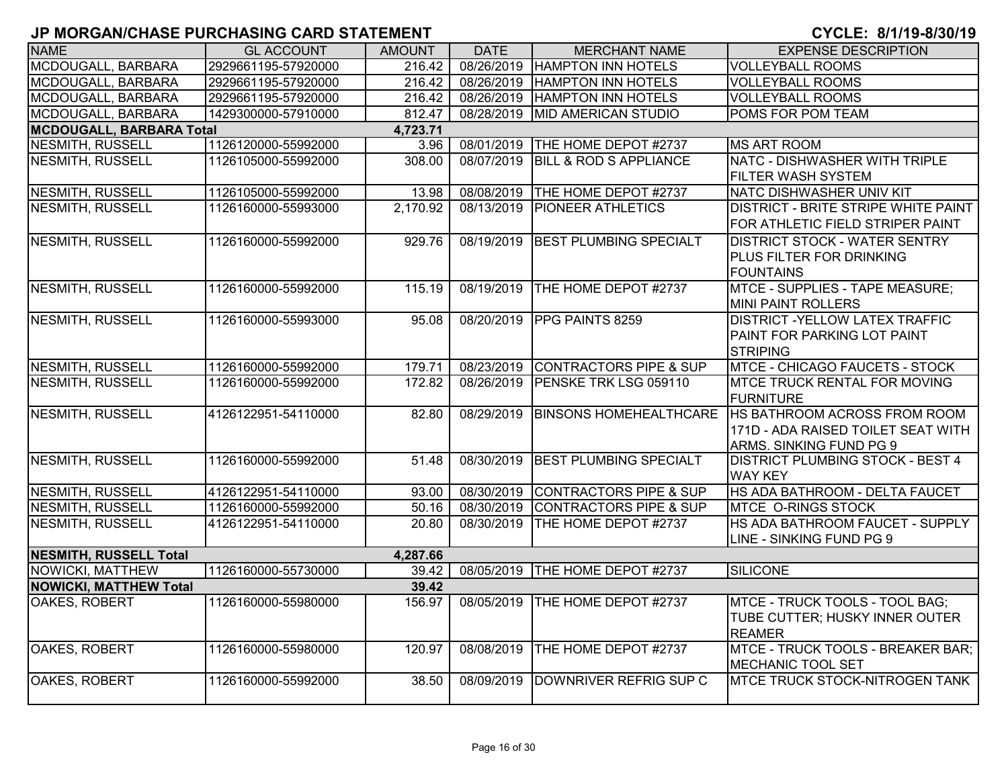| <b>NAME</b>                     | <b>GL ACCOUNT</b>   | <b>AMOUNT</b> | <b>DATE</b> | <b>MERCHANT NAME</b>              | <b>EXPENSE DESCRIPTION</b>                                                                    |
|---------------------------------|---------------------|---------------|-------------|-----------------------------------|-----------------------------------------------------------------------------------------------|
| MCDOUGALL, BARBARA              | 2929661195-57920000 | 216.42        | 08/26/2019  | <b>HAMPTON INN HOTELS</b>         | <b>VOLLEYBALL ROOMS</b>                                                                       |
| MCDOUGALL, BARBARA              | 2929661195-57920000 | 216.42        | 08/26/2019  | <b>HAMPTON INN HOTELS</b>         | <b>VOLLEYBALL ROOMS</b>                                                                       |
| MCDOUGALL, BARBARA              | 2929661195-57920000 | 216.42        | 08/26/2019  | <b>HAMPTON INN HOTELS</b>         | <b>VOLLEYBALL ROOMS</b>                                                                       |
| MCDOUGALL, BARBARA              | 1429300000-57910000 | 812.47        | 08/28/2019  | <b>MID AMERICAN STUDIO</b>        | POMS FOR POM TEAM                                                                             |
| <b>MCDOUGALL, BARBARA Total</b> |                     | 4,723.71      |             |                                   |                                                                                               |
| <b>NESMITH, RUSSELL</b>         | 1126120000-55992000 | 3.96          | 08/01/2019  | THE HOME DEPOT #2737              | <b>MS ART ROOM</b>                                                                            |
| NESMITH, RUSSELL                | 1126105000-55992000 | 308.00        | 08/07/2019  | <b>BILL &amp; ROD S APPLIANCE</b> | NATC - DISHWASHER WITH TRIPLE<br>FILTER WASH SYSTEM                                           |
| NESMITH, RUSSELL                | 1126105000-55992000 | 13.98         | 08/08/2019  | THE HOME DEPOT #2737              | NATC DISHWASHER UNIV KIT                                                                      |
| NESMITH, RUSSELL                | 1126160000-55993000 | 2,170.92      | 08/13/2019  | <b>PIONEER ATHLETICS</b>          | DISTRICT - BRITE STRIPE WHITE PAINT<br>FOR ATHLETIC FIELD STRIPER PAINT                       |
| <b>NESMITH, RUSSELL</b>         | 1126160000-55992000 | 929.76        | 08/19/2019  | <b>BEST PLUMBING SPECIALT</b>     | <b>DISTRICT STOCK - WATER SENTRY</b><br>PLUS FILTER FOR DRINKING<br><b>FOUNTAINS</b>          |
| <b>NESMITH, RUSSELL</b>         | 1126160000-55992000 | 115.19        | 08/19/2019  | THE HOME DEPOT #2737              | MTCE - SUPPLIES - TAPE MEASURE;<br><b>MINI PAINT ROLLERS</b>                                  |
| <b>NESMITH, RUSSELL</b>         | 1126160000-55993000 | 95.08         | 08/20/2019  | <b>PPG PAINTS 8259</b>            | <b>DISTRICT - YELLOW LATEX TRAFFIC</b><br>PAINT FOR PARKING LOT PAINT<br><b>STRIPING</b>      |
| <b>NESMITH, RUSSELL</b>         | 1126160000-55992000 | 179.71        | 08/23/2019  | <b>CONTRACTORS PIPE &amp; SUP</b> | MTCE - CHICAGO FAUCETS - STOCK                                                                |
| <b>NESMITH, RUSSELL</b>         | 1126160000-55992000 | 172.82        | 08/26/2019  | <b>PENSKE TRK LSG 059110</b>      | MTCE TRUCK RENTAL FOR MOVING<br><b>FURNITURE</b>                                              |
| <b>NESMITH, RUSSELL</b>         | 4126122951-54110000 | 82.80         | 08/29/2019  | <b>BINSONS HOMEHEALTHCARE</b>     | HS BATHROOM ACROSS FROM ROOM<br>171D - ADA RAISED TOILET SEAT WITH<br>ARMS. SINKING FUND PG 9 |
| <b>NESMITH, RUSSELL</b>         | 1126160000-55992000 | 51.48         | 08/30/2019  | <b>BEST PLUMBING SPECIALT</b>     | <b>DISTRICT PLUMBING STOCK - BEST 4</b><br><b>WAY KEY</b>                                     |
| <b>NESMITH, RUSSELL</b>         | 4126122951-54110000 | 93.00         | 08/30/2019  | <b>CONTRACTORS PIPE &amp; SUP</b> | HS ADA BATHROOM - DELTA FAUCET                                                                |
| NESMITH, RUSSELL                | 1126160000-55992000 | 50.16         | 08/30/2019  | <b>CONTRACTORS PIPE &amp; SUP</b> | MTCE O-RINGS STOCK                                                                            |
| NESMITH, RUSSELL                | 4126122951-54110000 | 20.80         | 08/30/2019  | THE HOME DEPOT #2737              | <b>HS ADA BATHROOM FAUCET - SUPPLY</b><br>LINE - SINKING FUND PG 9                            |
| <b>NESMITH, RUSSELL Total</b>   |                     | 4,287.66      |             |                                   |                                                                                               |
| NOWICKI, MATTHEW                | 1126160000-55730000 | 39.42         | 08/05/2019  | THE HOME DEPOT #2737              | <b>SILICONE</b>                                                                               |
| <b>NOWICKI, MATTHEW Total</b>   |                     | 39.42         |             |                                   |                                                                                               |
| OAKES, ROBERT                   | 1126160000-55980000 | 156.97        | 08/05/2019  | THE HOME DEPOT #2737              | MTCE - TRUCK TOOLS - TOOL BAG;<br>TUBE CUTTER; HUSKY INNER OUTER<br><b>REAMER</b>             |
| <b>OAKES, ROBERT</b>            | 1126160000-55980000 | 120.97        | 08/08/2019  | THE HOME DEPOT #2737              | <b>MTCE - TRUCK TOOLS - BREAKER BAR:</b><br><b>MECHANIC TOOL SET</b>                          |
| OAKES, ROBERT                   | 1126160000-55992000 | 38.50         | 08/09/2019  | DOWNRIVER REFRIG SUP C            | <b>MTCE TRUCK STOCK-NITROGEN TANK</b>                                                         |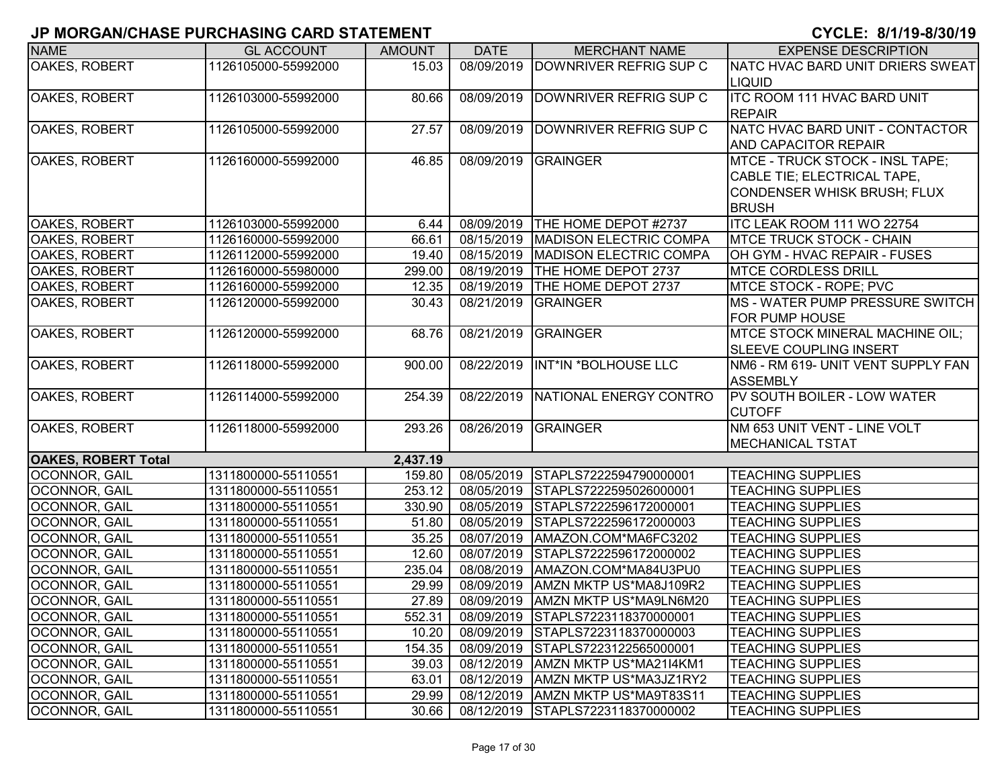| <b>NAME</b>                | <b>GL ACCOUNT</b>   | <b>AMOUNT</b>       | <b>DATE</b> | <b>MERCHANT NAME</b>                | <b>EXPENSE DESCRIPTION</b>         |
|----------------------------|---------------------|---------------------|-------------|-------------------------------------|------------------------------------|
| OAKES, ROBERT              | 1126105000-55992000 | 15.03               |             | 08/09/2019   DOWNRIVER REFRIG SUP C | NATC HVAC BARD UNIT DRIERS SWEAT   |
|                            |                     |                     |             |                                     | <b>LIQUID</b>                      |
| OAKES, ROBERT              | 1126103000-55992000 | 80.66               |             | 08/09/2019  DOWNRIVER REFRIG SUP C  | <b>ITC ROOM 111 HVAC BARD UNIT</b> |
|                            |                     |                     |             |                                     | <b>REPAIR</b>                      |
| OAKES, ROBERT              | 1126105000-55992000 | 27.57               | 08/09/2019  | DOWNRIVER REFRIG SUP C              | NATC HVAC BARD UNIT - CONTACTOR    |
|                            |                     |                     |             |                                     | <b>AND CAPACITOR REPAIR</b>        |
| OAKES, ROBERT              | 1126160000-55992000 | 46.85               |             | 08/09/2019 GRAINGER                 | MTCE - TRUCK STOCK - INSL TAPE;    |
|                            |                     |                     |             |                                     | CABLE TIE; ELECTRICAL TAPE,        |
|                            |                     |                     |             |                                     | <b>CONDENSER WHISK BRUSH; FLUX</b> |
|                            |                     |                     |             |                                     | <b>BRUSH</b>                       |
| OAKES, ROBERT              | 1126103000-55992000 | 6.44                |             | 08/09/2019   THE HOME DEPOT #2737   | ITC LEAK ROOM 111 WO 22754         |
| OAKES, ROBERT              | 1126160000-55992000 | 66.61               | 08/15/2019  | MADISON ELECTRIC COMPA              | <b>IMTCE TRUCK STOCK - CHAIN</b>   |
| OAKES, ROBERT              | 1126112000-55992000 | 19.40               | 08/15/2019  | MADISON ELECTRIC COMPA              | OH GYM - HVAC REPAIR - FUSES       |
| OAKES, ROBERT              | 1126160000-55980000 | 299.00              | 08/19/2019  | THE HOME DEPOT 2737                 | <b>MTCE CORDLESS DRILL</b>         |
| OAKES, ROBERT              | 1126160000-55992000 | 12.35               | 08/19/2019  | <b>THE HOME DEPOT 2737</b>          | MTCE STOCK - ROPE; PVC             |
| OAKES, ROBERT              | 1126120000-55992000 | 30.43               | 08/21/2019  | <b>GRAINGER</b>                     | MS - WATER PUMP PRESSURE SWITCH    |
|                            |                     |                     |             |                                     | <b>FOR PUMP HOUSE</b>              |
| OAKES, ROBERT              | 1126120000-55992000 | 68.76               |             | 08/21/2019 GRAINGER                 | MTCE STOCK MINERAL MACHINE OIL;    |
|                            |                     |                     |             |                                     | SLEEVE COUPLING INSERT             |
| OAKES, ROBERT              | 1126118000-55992000 | $\overline{900.00}$ | 08/22/2019  | <b>INT*IN *BOLHOUSE LLC</b>         | NM6 - RM 619- UNIT VENT SUPPLY FAN |
|                            |                     |                     |             |                                     | <b>ASSEMBLY</b>                    |
| OAKES, ROBERT              | 1126114000-55992000 | 254.39              |             | 08/22/2019   NATIONAL ENERGY CONTRO | <b>PV SOUTH BOILER - LOW WATER</b> |
|                            |                     |                     |             |                                     | <b>CUTOFF</b>                      |
| OAKES, ROBERT              | 1126118000-55992000 | 293.26              | 08/26/2019  | GRAINGER                            | NM 653 UNIT VENT - LINE VOLT       |
|                            |                     |                     |             |                                     | <b>MECHANICAL TSTAT</b>            |
| <b>OAKES, ROBERT Total</b> |                     | 2,437.19            |             |                                     |                                    |
| OCONNOR, GAIL              | 1311800000-55110551 | 159.80              |             | 08/05/2019 STAPLS7222594790000001   | <b>TEACHING SUPPLIES</b>           |
| OCONNOR, GAIL              | 1311800000-55110551 | 253.12              | 08/05/2019  | STAPLS7222595026000001              | <b>TEACHING SUPPLIES</b>           |
| OCONNOR, GAIL              | 1311800000-55110551 | 330.90              | 08/05/2019  | STAPLS7222596172000001              | <b>TEACHING SUPPLIES</b>           |
| <b>OCONNOR, GAIL</b>       | 1311800000-55110551 | 51.80               | 08/05/2019  | STAPLS7222596172000003              | <b>TEACHING SUPPLIES</b>           |
| <b>OCONNOR, GAIL</b>       | 1311800000-55110551 | 35.25               | 08/07/2019  | AMAZON.COM*MA6FC3202                | <b>TEACHING SUPPLIES</b>           |
| OCONNOR, GAIL              | 1311800000-55110551 | 12.60               | 08/07/2019  | STAPLS7222596172000002              | <b>TEACHING SUPPLIES</b>           |
| OCONNOR, GAIL              | 1311800000-55110551 | 235.04              | 08/08/2019  | AMAZON.COM*MA84U3PU0                | <b>TEACHING SUPPLIES</b>           |
| OCONNOR, GAIL              | 1311800000-55110551 | 29.99               | 08/09/2019  | AMZN MKTP US*MA8J109R2              | <b>TEACHING SUPPLIES</b>           |
| <b>OCONNOR, GAIL</b>       | 1311800000-55110551 | 27.89               |             | 08/09/2019   AMZN MKTP US*MA9LN6M20 | <b>TEACHING SUPPLIES</b>           |
| <b>OCONNOR, GAIL</b>       | 1311800000-55110551 | 552.31              |             | 08/09/2019 STAPLS7223118370000001   | <b>TEACHING SUPPLIES</b>           |
| <b>OCONNOR, GAIL</b>       | 1311800000-55110551 | 10.20               |             | 08/09/2019 STAPLS7223118370000003   | <b>TEACHING SUPPLIES</b>           |
| OCONNOR, GAIL              | 1311800000-55110551 | 154.35              |             | 08/09/2019 STAPLS7223122565000001   | <b>TEACHING SUPPLIES</b>           |
| OCONNOR, GAIL              | 1311800000-55110551 | 39.03               |             | 08/12/2019   AMZN MKTP US*MA21I4KM1 | <b>TEACHING SUPPLIES</b>           |
| OCONNOR, GAIL              | 1311800000-55110551 | 63.01               | 08/12/2019  | AMZN MKTP US*MA3JZ1RY2              | <b>TEACHING SUPPLIES</b>           |
| OCONNOR, GAIL              | 1311800000-55110551 | 29.99               |             | 08/12/2019   AMZN MKTP US*MA9T83S11 | <b>TEACHING SUPPLIES</b>           |
| <b>OCONNOR, GAIL</b>       | 1311800000-55110551 | 30.66               |             | 08/12/2019 STAPLS7223118370000002   | <b>TEACHING SUPPLIES</b>           |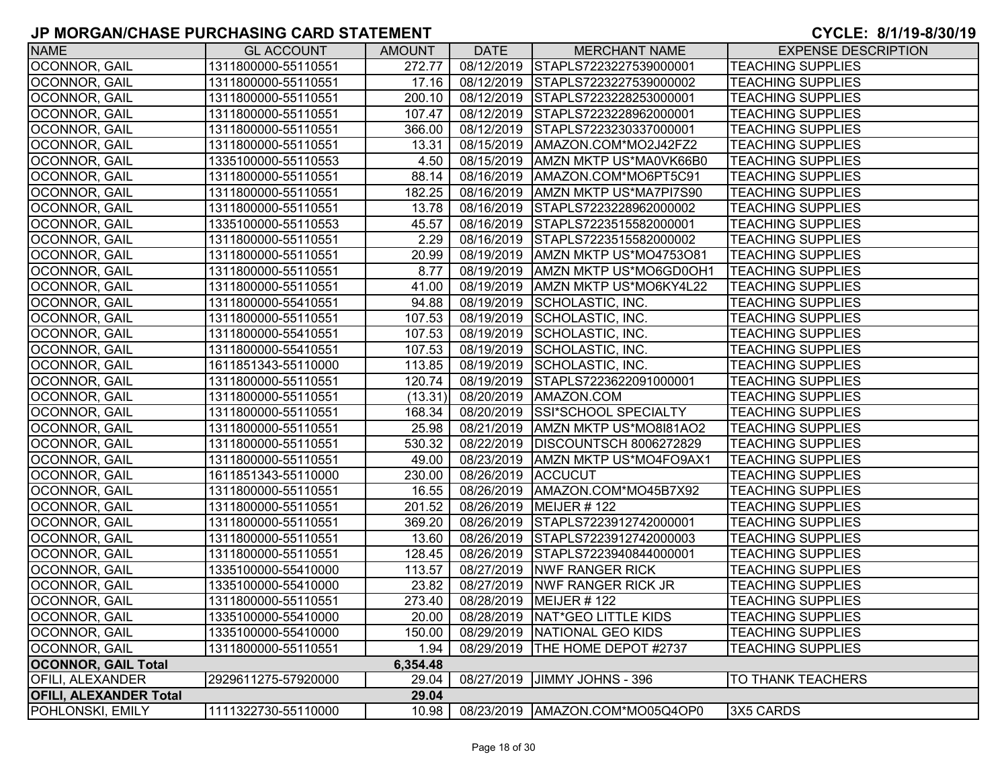| <b>NAME</b>                   | <b>GL ACCOUNT</b>   | <b>AMOUNT</b> | <b>DATE</b>        | <b>MERCHANT NAME</b>                | <b>EXPENSE DESCRIPTION</b> |
|-------------------------------|---------------------|---------------|--------------------|-------------------------------------|----------------------------|
| OCONNOR, GAIL                 | 1311800000-55110551 | 272.77        |                    | 08/12/2019 STAPLS7223227539000001   | <b>TEACHING SUPPLIES</b>   |
| OCONNOR, GAIL                 | 1311800000-55110551 | 17.16         |                    | 08/12/2019 STAPLS7223227539000002   | <b>TEACHING SUPPLIES</b>   |
| OCONNOR, GAIL                 | 1311800000-55110551 | 200.10        |                    | 08/12/2019 STAPLS7223228253000001   | <b>TEACHING SUPPLIES</b>   |
| OCONNOR, GAIL                 | 1311800000-55110551 | 107.47        |                    | 08/12/2019 STAPLS7223228962000001   | <b>TEACHING SUPPLIES</b>   |
| OCONNOR, GAIL                 | 1311800000-55110551 | 366.00        |                    | 08/12/2019 STAPLS7223230337000001   | <b>TEACHING SUPPLIES</b>   |
| OCONNOR, GAIL                 | 1311800000-55110551 | 13.31         |                    | 08/15/2019   AMAZON.COM*MO2J42FZ2   | <b>TEACHING SUPPLIES</b>   |
| OCONNOR, GAIL                 | 1335100000-55110553 | 4.50          |                    | 08/15/2019   AMZN MKTP US*MA0VK66B0 | <b>TEACHING SUPPLIES</b>   |
| OCONNOR, GAIL                 | 1311800000-55110551 | 88.14         |                    | 08/16/2019   AMAZON.COM*MO6PT5C91   | <b>TEACHING SUPPLIES</b>   |
| OCONNOR, GAIL                 | 1311800000-55110551 | 182.25        |                    | 08/16/2019   AMZN MKTP US*MA7PI7S90 | <b>TEACHING SUPPLIES</b>   |
| OCONNOR, GAIL                 | 1311800000-55110551 | 13.78         |                    | 08/16/2019 STAPLS7223228962000002   | <b>TEACHING SUPPLIES</b>   |
| OCONNOR, GAIL                 | 1335100000-55110553 | 45.57         |                    | 08/16/2019 STAPLS7223515582000001   | <b>TEACHING SUPPLIES</b>   |
| OCONNOR, GAIL                 | 1311800000-55110551 | 2.29          |                    | 08/16/2019 STAPLS7223515582000002   | <b>TEACHING SUPPLIES</b>   |
| <b>OCONNOR, GAIL</b>          | 1311800000-55110551 | 20.99         |                    | 08/19/2019   AMZN MKTP US*MO4753O81 | <b>TEACHING SUPPLIES</b>   |
| OCONNOR, GAIL                 | 1311800000-55110551 | 8.77          |                    | 08/19/2019   AMZN MKTP US*MO6GD0OH1 | <b>TEACHING SUPPLIES</b>   |
| OCONNOR, GAIL                 | 1311800000-55110551 | 41.00         |                    | 08/19/2019   AMZN MKTP US*MO6KY4L22 | <b>TEACHING SUPPLIES</b>   |
| <b>OCONNOR, GAIL</b>          | 1311800000-55410551 | 94.88         | 08/19/2019         | SCHOLASTIC, INC.                    | <b>TEACHING SUPPLIES</b>   |
| <b>OCONNOR, GAIL</b>          | 1311800000-55110551 | 107.53        | 08/19/2019         | SCHOLASTIC, INC.                    | <b>TEACHING SUPPLIES</b>   |
| <b>OCONNOR, GAIL</b>          | 1311800000-55410551 | 107.53        | 08/19/2019         | SCHOLASTIC, INC.                    | <b>TEACHING SUPPLIES</b>   |
| OCONNOR, GAIL                 | 1311800000-55410551 | 107.53        | 08/19/2019         | SCHOLASTIC, INC.                    | <b>TEACHING SUPPLIES</b>   |
| OCONNOR, GAIL                 | 1611851343-55110000 | 113.85        | 08/19/2019         | SCHOLASTIC, INC.                    | <b>TEACHING SUPPLIES</b>   |
| OCONNOR, GAIL                 | 1311800000-55110551 | 120.74        | 08/19/2019         | STAPLS7223622091000001              | <b>TEACHING SUPPLIES</b>   |
| OCONNOR, GAIL                 | 1311800000-55110551 | (13.31)       | 08/20/2019         | AMAZON.COM                          | <b>TEACHING SUPPLIES</b>   |
| <b>OCONNOR, GAIL</b>          | 1311800000-55110551 | 168.34        |                    | 08/20/2019 SSI*SCHOOL SPECIALTY     | <b>TEACHING SUPPLIES</b>   |
| OCONNOR, GAIL                 | 1311800000-55110551 | 25.98         |                    | 08/21/2019   AMZN MKTP US*MO8I81AO2 | <b>TEACHING SUPPLIES</b>   |
| OCONNOR, GAIL                 | 1311800000-55110551 | 530.32        |                    | 08/22/2019   DISCOUNTSCH 8006272829 | <b>TEACHING SUPPLIES</b>   |
| OCONNOR, GAIL                 | 1311800000-55110551 | 49.00         |                    | 08/23/2019   AMZN MKTP US*MO4FO9AX1 | <b>TEACHING SUPPLIES</b>   |
| OCONNOR, GAIL                 | 1611851343-55110000 | 230.00        | 08/26/2019 ACCUCUT |                                     | <b>TEACHING SUPPLIES</b>   |
| OCONNOR, GAIL                 | 1311800000-55110551 | 16.55         |                    | 08/26/2019   AMAZON.COM*MO45B7X92   | <b>TEACHING SUPPLIES</b>   |
| OCONNOR, GAIL                 | 1311800000-55110551 | 201.52        |                    | 08/26/2019   MEIJER # 122           | <b>TEACHING SUPPLIES</b>   |
| OCONNOR, GAIL                 | 1311800000-55110551 | 369.20        |                    | 08/26/2019 STAPLS7223912742000001   | <b>TEACHING SUPPLIES</b>   |
| OCONNOR, GAIL                 | 1311800000-55110551 | 13.60         | 08/26/2019         | STAPLS7223912742000003              | <b>TEACHING SUPPLIES</b>   |
| OCONNOR, GAIL                 | 1311800000-55110551 | 128.45        | 08/26/2019         | STAPLS7223940844000001              | <b>TEACHING SUPPLIES</b>   |
| OCONNOR, GAIL                 | 1335100000-55410000 | 113.57        | 08/27/2019         | <b>NWF RANGER RICK</b>              | <b>TEACHING SUPPLIES</b>   |
| <b>OCONNOR, GAIL</b>          | 1335100000-55410000 | 23.82         | 08/27/2019         | <b>NWF RANGER RICK JR</b>           | <b>TEACHING SUPPLIES</b>   |
| <b>OCONNOR, GAIL</b>          | 1311800000-55110551 | 273.40        | 08/28/2019         | <b>MEIJER #122</b>                  | <b>TEACHING SUPPLIES</b>   |
| OCONNOR, GAIL                 | 1335100000-55410000 | 20.00         |                    | 08/28/2019 NAT*GEO LITTLE KIDS      | <b>TEACHING SUPPLIES</b>   |
| OCONNOR, GAIL                 | 1335100000-55410000 | 150.00        |                    | 08/29/2019   NATIONAL GEO KIDS      | <b>TEACHING SUPPLIES</b>   |
| OCONNOR, GAIL                 | 1311800000-55110551 | 1.94          |                    | 08/29/2019  THE HOME DEPOT #2737    | <b>TEACHING SUPPLIES</b>   |
| <b>OCONNOR, GAIL Total</b>    |                     | 6,354.48      |                    |                                     |                            |
| <b>OFILI, ALEXANDER</b>       | 2929611275-57920000 | 29.04         | 08/27/2019         | JIMMY JOHNS - 396                   | <b>TO THANK TEACHERS</b>   |
| <b>OFILI, ALEXANDER Total</b> |                     | 29.04         |                    |                                     |                            |
| POHLONSKI, EMILY              | 1111322730-55110000 | 10.98         |                    | 08/23/2019   AMAZON.COM*MO05Q4OP0   | 3X5 CARDS                  |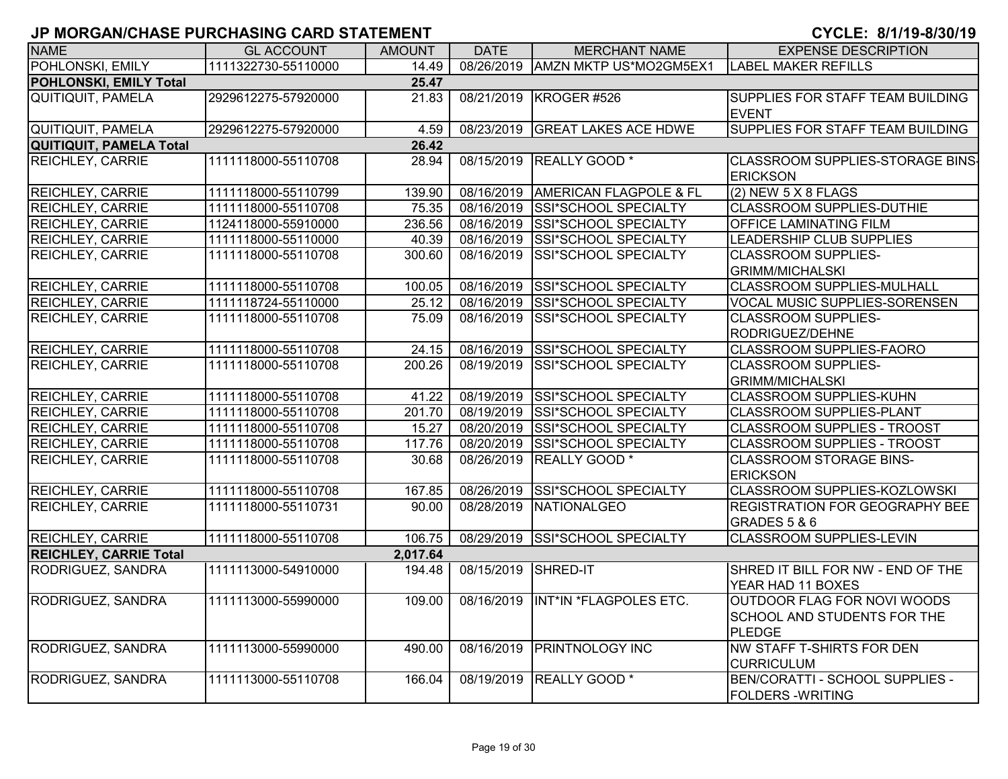| <b>NAME</b>                    | <b>GL ACCOUNT</b>   | <b>AMOUNT</b> | <b>DATE</b> | <b>MERCHANT NAME</b>              | <b>EXPENSE DESCRIPTION</b>                                                  |
|--------------------------------|---------------------|---------------|-------------|-----------------------------------|-----------------------------------------------------------------------------|
| POHLONSKI, EMILY               | 1111322730-55110000 | 14.49         | 08/26/2019  | AMZN MKTP US*MO2GM5EX1            | <b>LABEL MAKER REFILLS</b>                                                  |
| POHLONSKI, EMILY Total         |                     | 25.47         |             |                                   |                                                                             |
| <b>QUITIQUIT, PAMELA</b>       | 2929612275-57920000 | 21.83         | 08/21/2019  | KROGER #526                       | <b>SUPPLIES FOR STAFF TEAM BUILDING</b><br><b>EVENT</b>                     |
| <b>QUITIQUIT, PAMELA</b>       | 2929612275-57920000 | 4.59          | 08/23/2019  | <b>GREAT LAKES ACE HDWE</b>       | SUPPLIES FOR STAFF TEAM BUILDING                                            |
| <b>QUITIQUIT, PAMELA Total</b> |                     | 26.42         |             |                                   |                                                                             |
| REICHLEY, CARRIE               | 1111118000-55110708 | 28.94         | 08/15/2019  | <b>REALLY GOOD</b> *              | <b>CLASSROOM SUPPLIES-STORAGE BINS-</b><br><b>ERICKSON</b>                  |
| <b>REICHLEY, CARRIE</b>        | 1111118000-55110799 | 139.90        | 08/16/2019  | <b>AMERICAN FLAGPOLE &amp; FL</b> | $(2)$ NEW 5 X 8 FLAGS                                                       |
| REICHLEY, CARRIE               | 1111118000-55110708 | 75.35         |             | 08/16/2019 SSI*SCHOOL SPECIALTY   | <b>CLASSROOM SUPPLIES-DUTHIE</b>                                            |
| <b>REICHLEY, CARRIE</b>        | 1124118000-55910000 | 236.56        | 08/16/2019  | SSI*SCHOOL SPECIALTY              | <b>OFFICE LAMINATING FILM</b>                                               |
| <b>REICHLEY, CARRIE</b>        | 1111118000-55110000 | 40.39         | 08/16/2019  | <b>SSI*SCHOOL SPECIALTY</b>       | LEADERSHIP CLUB SUPPLIES                                                    |
| <b>REICHLEY, CARRIE</b>        | 1111118000-55110708 | 300.60        | 08/16/2019  | SSI*SCHOOL SPECIALTY              | <b>CLASSROOM SUPPLIES-</b>                                                  |
|                                |                     |               |             |                                   | <b>GRIMM/MICHALSKI</b>                                                      |
| REICHLEY, CARRIE               | 1111118000-55110708 | 100.05        |             | 08/16/2019 SSI*SCHOOL SPECIALTY   | <b>CLASSROOM SUPPLIES-MULHALL</b>                                           |
| REICHLEY, CARRIE               | 1111118724-55110000 | 25.12         | 08/16/2019  | SSI*SCHOOL SPECIALTY              | <b>VOCAL MUSIC SUPPLIES-SORENSEN</b>                                        |
| <b>REICHLEY, CARRIE</b>        | 1111118000-55110708 | 75.09         | 08/16/2019  | SSI*SCHOOL SPECIALTY              | <b>CLASSROOM SUPPLIES-</b>                                                  |
|                                |                     |               |             |                                   | RODRIGUEZ/DEHNE                                                             |
| <b>REICHLEY, CARRIE</b>        | 1111118000-55110708 | 24.15         |             | 08/16/2019 SSI*SCHOOL SPECIALTY   | <b>CLASSROOM SUPPLIES-FAORO</b>                                             |
| <b>REICHLEY, CARRIE</b>        | 1111118000-55110708 | 200.26        | 08/19/2019  | SSI*SCHOOL SPECIALTY              | <b>CLASSROOM SUPPLIES-</b>                                                  |
|                                |                     |               |             |                                   | <b>GRIMM/MICHALSKI</b>                                                      |
| <b>REICHLEY, CARRIE</b>        | 1111118000-55110708 | 41.22         |             | 08/19/2019 SSI*SCHOOL SPECIALTY   | <b>CLASSROOM SUPPLIES-KUHN</b>                                              |
| <b>REICHLEY, CARRIE</b>        | 1111118000-55110708 | 201.70        | 08/19/2019  | <b>SSI*SCHOOL SPECIALTY</b>       | CLASSROOM SUPPLIES-PLANT                                                    |
| <b>REICHLEY, CARRIE</b>        | 1111118000-55110708 | 15.27         | 08/20/2019  | SSI*SCHOOL SPECIALTY              | <b>CLASSROOM SUPPLIES - TROOST</b>                                          |
| <b>REICHLEY, CARRIE</b>        | 1111118000-55110708 | 117.76        | 08/20/2019  | SSI*SCHOOL SPECIALTY              | <b>CLASSROOM SUPPLIES - TROOST</b>                                          |
| <b>REICHLEY, CARRIE</b>        | 1111118000-55110708 | 30.68         | 08/26/2019  | <b>REALLY GOOD</b> *              | <b>CLASSROOM STORAGE BINS-</b><br><b>ERICKSON</b>                           |
| REICHLEY, CARRIE               | 1111118000-55110708 | 167.85        | 08/26/2019  | SSI*SCHOOL SPECIALTY              | <b>CLASSROOM SUPPLIES-KOZLOWSKI</b>                                         |
| <b>REICHLEY, CARRIE</b>        | 1111118000-55110731 | 90.00         | 08/28/2019  | NATIONALGEO                       | <b>REGISTRATION FOR GEOGRAPHY BEE</b><br>GRADES 5 & 6                       |
| REICHLEY, CARRIE               | 1111118000-55110708 | 106.75        | 08/29/2019  | SSI*SCHOOL SPECIALTY              | <b>CLASSROOM SUPPLIES-LEVIN</b>                                             |
| <b>REICHLEY, CARRIE Total</b>  |                     | 2,017.64      |             |                                   |                                                                             |
| RODRIGUEZ, SANDRA              | 1111113000-54910000 | 194.48        | 08/15/2019  | SHRED-IT                          | SHRED IT BILL FOR NW - END OF THE<br>YEAR HAD 11 BOXES                      |
| RODRIGUEZ, SANDRA              | 1111113000-55990000 | 109.00        |             | 08/16/2019 INT*IN *FLAGPOLES ETC. | OUTDOOR FLAG FOR NOVI WOODS<br><b>SCHOOL AND STUDENTS FOR THE</b><br>PLEDGE |
| RODRIGUEZ, SANDRA              | 1111113000-55990000 | 490.00        | 08/16/2019  | <b>PRINTNOLOGY INC</b>            | NW STAFF T-SHIRTS FOR DEN<br><b>CURRICULUM</b>                              |
| RODRIGUEZ, SANDRA              | 1111113000-55110708 | 166.04        | 08/19/2019  | REALLY GOOD *                     | BEN/CORATTI - SCHOOL SUPPLIES -<br><b>FOLDERS - WRITING</b>                 |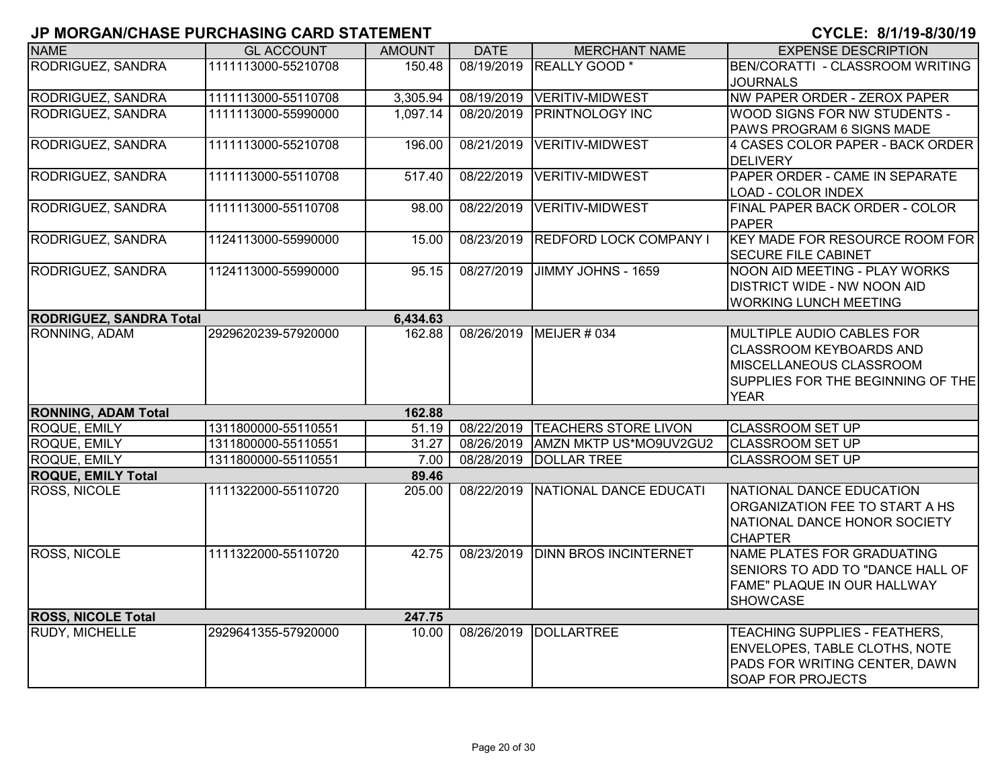| <b>NAME</b>                    | <b>GL ACCOUNT</b>   | <b>AMOUNT</b> | <b>DATE</b> | <b>MERCHANT NAME</b>              | <b>EXPENSE DESCRIPTION</b>         |
|--------------------------------|---------------------|---------------|-------------|-----------------------------------|------------------------------------|
| RODRIGUEZ, SANDRA              | 1111113000-55210708 | 150.48        | 08/19/2019  | <b>REALLY GOOD</b> *              | BEN/CORATTI - CLASSROOM WRITING    |
|                                |                     |               |             |                                   | <b>JOURNALS</b>                    |
| RODRIGUEZ, SANDRA              | 1111113000-55110708 | 3,305.94      | 08/19/2019  | <b>VERITIV-MIDWEST</b>            | NW PAPER ORDER - ZEROX PAPER       |
| RODRIGUEZ, SANDRA              | 1111113000-55990000 | 1,097.14      | 08/20/2019  | <b>PRINTNOLOGY INC</b>            | WOOD SIGNS FOR NW STUDENTS -       |
|                                |                     |               |             |                                   | PAWS PROGRAM 6 SIGNS MADE          |
| RODRIGUEZ, SANDRA              | 1111113000-55210708 | 196.00        | 08/21/2019  | <b>VERITIV-MIDWEST</b>            | 4 CASES COLOR PAPER - BACK ORDER   |
|                                |                     |               |             |                                   | <b>DELIVERY</b>                    |
| RODRIGUEZ, SANDRA              | 1111113000-55110708 | 517.40        | 08/22/2019  | <b>VERITIV-MIDWEST</b>            | PAPER ORDER - CAME IN SEPARATE     |
|                                |                     |               |             |                                   | <b>LOAD - COLOR INDEX</b>          |
| RODRIGUEZ, SANDRA              | 1111113000-55110708 | 98.00         | 08/22/2019  | <b>VERITIV-MIDWEST</b>            | FINAL PAPER BACK ORDER - COLOR     |
|                                |                     |               |             |                                   | <b>IPAPER</b>                      |
| RODRIGUEZ, SANDRA              | 1124113000-55990000 | 15.00         | 08/23/2019  | <b>REDFORD LOCK COMPANY I</b>     | KEY MADE FOR RESOURCE ROOM FOR     |
|                                |                     |               |             |                                   | <b>SECURE FILE CABINET</b>         |
| <b>RODRIGUEZ, SANDRA</b>       | 1124113000-55990000 | 95.15         | 08/27/2019  | JIMMY JOHNS - 1659                | NOON AID MEETING - PLAY WORKS      |
|                                |                     |               |             |                                   | <b>DISTRICT WIDE - NW NOON AID</b> |
|                                |                     |               |             |                                   | <b>WORKING LUNCH MEETING</b>       |
| <b>RODRIGUEZ, SANDRA Total</b> |                     | 6,434.63      |             |                                   |                                    |
| RONNING, ADAM                  | 2929620239-57920000 | 162.88        |             | 08/26/2019 MEIJER # 034           | MULTIPLE AUDIO CABLES FOR          |
|                                |                     |               |             |                                   | <b>CLASSROOM KEYBOARDS AND</b>     |
|                                |                     |               |             |                                   | <b>MISCELLANEOUS CLASSROOM</b>     |
|                                |                     |               |             |                                   | SUPPLIES FOR THE BEGINNING OF THE  |
|                                |                     |               |             |                                   | <b>YEAR</b>                        |
| <b>RONNING, ADAM Total</b>     |                     | 162.88        |             |                                   |                                    |
| <b>ROQUE, EMILY</b>            | 1311800000-55110551 | 51.19         | 08/22/2019  | <b>TEACHERS STORE LIVON</b>       | <b>CLASSROOM SET UP</b>            |
| <b>ROQUE, EMILY</b>            | 1311800000-55110551 | 31.27         |             | 08/26/2019 AMZN MKTP US*MO9UV2GU2 | <b>CLASSROOM SET UP</b>            |
| ROQUE, EMILY                   | 1311800000-55110551 | 7.00          | 08/28/2019  | <b>DOLLAR TREE</b>                | <b>CLASSROOM SET UP</b>            |
| <b>ROQUE, EMILY Total</b>      |                     | 89.46         |             |                                   |                                    |
| <b>ROSS, NICOLE</b>            | 1111322000-55110720 | 205.00        |             | 08/22/2019 NATIONAL DANCE EDUCATI | NATIONAL DANCE EDUCATION           |
|                                |                     |               |             |                                   | ORGANIZATION FEE TO START A HS     |
|                                |                     |               |             |                                   | NATIONAL DANCE HONOR SOCIETY       |
|                                |                     |               |             |                                   | <b>CHAPTER</b>                     |
| <b>ROSS, NICOLE</b>            | 1111322000-55110720 | 42.75         |             | 08/23/2019 DINN BROS INCINTERNET  | NAME PLATES FOR GRADUATING         |
|                                |                     |               |             |                                   | SENIORS TO ADD TO "DANCE HALL OF   |
|                                |                     |               |             |                                   | FAME" PLAQUE IN OUR HALLWAY        |
|                                |                     |               |             |                                   | <b>SHOWCASE</b>                    |
| <b>ROSS, NICOLE Total</b>      |                     | 247.75        |             |                                   |                                    |
| RUDY, MICHELLE                 | 2929641355-57920000 | 10.00         | 08/26/2019  | <b>DOLLARTREE</b>                 | TEACHING SUPPLIES - FEATHERS.      |
|                                |                     |               |             |                                   | ENVELOPES, TABLE CLOTHS, NOTE      |
|                                |                     |               |             |                                   | PADS FOR WRITING CENTER, DAWN      |
|                                |                     |               |             |                                   | <b>SOAP FOR PROJECTS</b>           |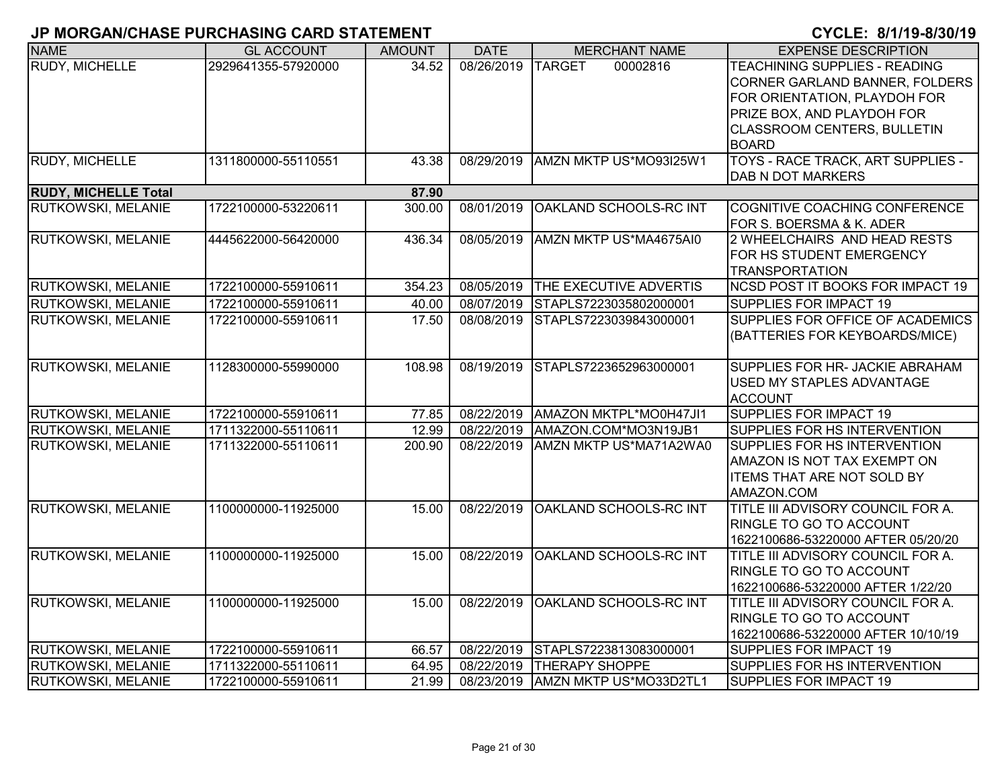| <b>NAME</b>                 | <b>GL ACCOUNT</b>   | <b>AMOUNT</b> | <b>DATE</b> | <b>MERCHANT NAME</b>                | <b>EXPENSE DESCRIPTION</b>          |
|-----------------------------|---------------------|---------------|-------------|-------------------------------------|-------------------------------------|
| RUDY, MICHELLE              | 2929641355-57920000 | 34.52         | 08/26/2019  | <b>TARGET</b><br>00002816           | TEACHINING SUPPLIES - READING       |
|                             |                     |               |             |                                     | CORNER GARLAND BANNER, FOLDERS      |
|                             |                     |               |             |                                     | FOR ORIENTATION, PLAYDOH FOR        |
|                             |                     |               |             |                                     | PRIZE BOX, AND PLAYDOH FOR          |
|                             |                     |               |             |                                     | CLASSROOM CENTERS, BULLETIN         |
|                             |                     |               |             |                                     | <b>BOARD</b>                        |
| <b>RUDY, MICHELLE</b>       | 1311800000-55110551 | 43.38         | 08/29/2019  | AMZN MKTP US*MO93I25W1              | TOYS - RACE TRACK, ART SUPPLIES -   |
|                             |                     |               |             |                                     | DAB N DOT MARKERS                   |
| <b>RUDY, MICHELLE Total</b> |                     | 87.90         |             |                                     |                                     |
| <b>RUTKOWSKI, MELANIE</b>   | 1722100000-53220611 | 300.00        | 08/01/2019  | OAKLAND SCHOOLS-RC INT              | COGNITIVE COACHING CONFERENCE       |
|                             |                     |               |             |                                     | FOR S. BOERSMA & K. ADER            |
| RUTKOWSKI, MELANIE          | 4445622000-56420000 | 436.34        | 08/05/2019  | AMZN MKTP US*MA4675AI0              | 2 WHEELCHAIRS AND HEAD RESTS        |
|                             |                     |               |             |                                     | FOR HS STUDENT EMERGENCY            |
|                             |                     |               |             |                                     | <b>TRANSPORTATION</b>               |
| <b>RUTKOWSKI, MELANIE</b>   | 1722100000-55910611 | 354.23        | 08/05/2019  | <b>THE EXECUTIVE ADVERTIS</b>       | NCSD POST IT BOOKS FOR IMPACT 19    |
| RUTKOWSKI, MELANIE          | 1722100000-55910611 | 40.00         | 08/07/2019  | STAPLS7223035802000001              | <b>SUPPLIES FOR IMPACT 19</b>       |
| RUTKOWSKI, MELANIE          | 1722100000-55910611 | 17.50         | 08/08/2019  | STAPLS7223039843000001              | SUPPLIES FOR OFFICE OF ACADEMICS    |
|                             |                     |               |             |                                     | (BATTERIES FOR KEYBOARDS/MICE)      |
|                             |                     |               |             |                                     |                                     |
| RUTKOWSKI, MELANIE          | 1128300000-55990000 | 108.98        | 08/19/2019  | STAPLS7223652963000001              | SUPPLIES FOR HR- JACKIE ABRAHAM     |
|                             |                     |               |             |                                     | USED MY STAPLES ADVANTAGE           |
|                             |                     |               |             |                                     | <b>ACCOUNT</b>                      |
| <b>RUTKOWSKI, MELANIE</b>   | 1722100000-55910611 | 77.85         |             | 08/22/2019   AMAZON MKTPL*MO0H47JI1 | SUPPLIES FOR IMPACT 19              |
| RUTKOWSKI, MELANIE          | 1711322000-55110611 | 12.99         | 08/22/2019  | AMAZON.COM*MO3N19JB1                | SUPPLIES FOR HS INTERVENTION        |
| RUTKOWSKI, MELANIE          | 1711322000-55110611 | 200.90        | 08/22/2019  | AMZN MKTP US*MA71A2WA0              | <b>SUPPLIES FOR HS INTERVENTION</b> |
|                             |                     |               |             |                                     | AMAZON IS NOT TAX EXEMPT ON         |
|                             |                     |               |             |                                     | ITEMS THAT ARE NOT SOLD BY          |
|                             |                     |               |             |                                     | AMAZON.COM                          |
| <b>RUTKOWSKI, MELANIE</b>   | 1100000000-11925000 | 15.00         | 08/22/2019  | OAKLAND SCHOOLS-RC INT              | TITLE III ADVISORY COUNCIL FOR A.   |
|                             |                     |               |             |                                     | RINGLE TO GO TO ACCOUNT             |
|                             |                     |               |             |                                     | 1622100686-53220000 AFTER 05/20/20  |
| RUTKOWSKI, MELANIE          | 1100000000-11925000 | 15.00         | 08/22/2019  | OAKLAND SCHOOLS-RC INT              | TITLE III ADVISORY COUNCIL FOR A.   |
|                             |                     |               |             |                                     | <b>RINGLE TO GO TO ACCOUNT</b>      |
|                             |                     |               |             |                                     | 1622100686-53220000 AFTER 1/22/20   |
| <b>RUTKOWSKI, MELANIE</b>   | 1100000000-11925000 | 15.00         | 08/22/2019  | OAKLAND SCHOOLS-RC INT              | TITLE III ADVISORY COUNCIL FOR A.   |
|                             |                     |               |             |                                     | RINGLE TO GO TO ACCOUNT             |
|                             |                     |               |             |                                     | 1622100686-53220000 AFTER 10/10/19  |
| <b>RUTKOWSKI, MELANIE</b>   | 1722100000-55910611 | 66.57         | 08/22/2019  | STAPLS7223813083000001              | SUPPLIES FOR IMPACT 19              |
| <b>RUTKOWSKI, MELANIE</b>   | 1711322000-55110611 | 64.95         | 08/22/2019  | <b>THERAPY SHOPPE</b>               | SUPPLIES FOR HS INTERVENTION        |
| <b>RUTKOWSKI, MELANIE</b>   | 1722100000-55910611 | 21.99         |             | 08/23/2019   AMZN MKTP US*MO33D2TL1 | <b>SUPPLIES FOR IMPACT 19</b>       |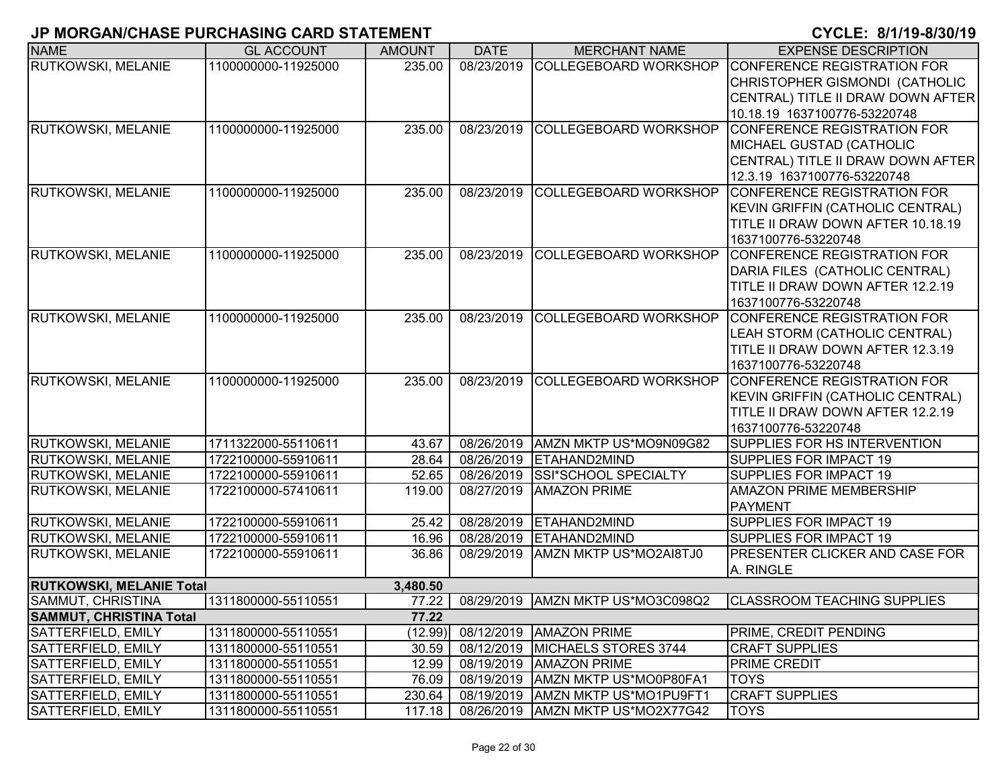| <b>NAME</b>                     | <b>GL ACCOUNT</b>   | <b>AMOUNT</b> | <b>DATE</b> | <b>MERCHANT NAME</b>                | <b>EXPENSE DESCRIPTION</b>         |
|---------------------------------|---------------------|---------------|-------------|-------------------------------------|------------------------------------|
| RUTKOWSKI, MELANIE              | 1100000000-11925000 | 235.00        | 08/23/2019  | <b>COLLEGEBOARD WORKSHOP</b>        | CONFERENCE REGISTRATION FOR        |
|                                 |                     |               |             |                                     | CHRISTOPHER GISMONDI (CATHOLIC     |
|                                 |                     |               |             |                                     | CENTRAL) TITLE II DRAW DOWN AFTER  |
|                                 |                     |               |             |                                     | 10.18.19 1637100776-53220748       |
| RUTKOWSKI, MELANIE              | 1100000000-11925000 | 235.00        | 08/23/2019  | <b>COLLEGEBOARD WORKSHOP</b>        | <b>CONFERENCE REGISTRATION FOR</b> |
|                                 |                     |               |             |                                     | MICHAEL GUSTAD (CATHOLIC           |
|                                 |                     |               |             |                                     | CENTRAL) TITLE II DRAW DOWN AFTER  |
|                                 |                     |               |             |                                     | 12.3.19 1637100776-53220748        |
| <b>RUTKOWSKI, MELANIE</b>       | 1100000000-11925000 | 235.00        | 08/23/2019  | <b>COLLEGEBOARD WORKSHOP</b>        | CONFERENCE REGISTRATION FOR        |
|                                 |                     |               |             |                                     | KEVIN GRIFFIN (CATHOLIC CENTRAL)   |
|                                 |                     |               |             |                                     | TITLE II DRAW DOWN AFTER 10.18.19  |
|                                 |                     |               |             |                                     | 1637100776-53220748                |
| <b>RUTKOWSKI, MELANIE</b>       | 1100000000-11925000 | 235.00        | 08/23/2019  | <b>COLLEGEBOARD WORKSHOP</b>        | CONFERENCE REGISTRATION FOR        |
|                                 |                     |               |             |                                     | DARIA FILES (CATHOLIC CENTRAL)     |
|                                 |                     |               |             |                                     | TITLE II DRAW DOWN AFTER 12.2.19   |
|                                 |                     |               |             |                                     | 1637100776-53220748                |
| <b>RUTKOWSKI, MELANIE</b>       | 1100000000-11925000 | 235.00        | 08/23/2019  | COLLEGEBOARD WORKSHOP               | <b>CONFERENCE REGISTRATION FOR</b> |
|                                 |                     |               |             |                                     | LEAH STORM (CATHOLIC CENTRAL)      |
|                                 |                     |               |             |                                     | TITLE II DRAW DOWN AFTER 12.3.19   |
|                                 |                     |               |             |                                     | 1637100776-53220748                |
| <b>RUTKOWSKI, MELANIE</b>       | 1100000000-11925000 | 235.00        | 08/23/2019  | COLLEGEBOARD WORKSHOP               | CONFERENCE REGISTRATION FOR        |
|                                 |                     |               |             |                                     | KEVIN GRIFFIN (CATHOLIC CENTRAL)   |
|                                 |                     |               |             |                                     | TITLE II DRAW DOWN AFTER 12.2.19   |
|                                 |                     |               |             |                                     | 1637100776-53220748                |
| <b>RUTKOWSKI, MELANIE</b>       | 1711322000-55110611 | 43.67         |             | 08/26/2019   AMZN MKTP US*MO9N09G82 | SUPPLIES FOR HS INTERVENTION       |
| <b>RUTKOWSKI, MELANIE</b>       | 1722100000-55910611 | 28.64         | 08/26/2019  | ETAHAND2MIND                        | SUPPLIES FOR IMPACT 19             |
| <b>RUTKOWSKI, MELANIE</b>       | 1722100000-55910611 | 52.65         | 08/26/2019  | <b>SSI*SCHOOL SPECIALTY</b>         | SUPPLIES FOR IMPACT 19             |
| <b>RUTKOWSKI, MELANIE</b>       | 1722100000-57410611 | 119.00        | 08/27/2019  | <b>AMAZON PRIME</b>                 | <b>AMAZON PRIME MEMBERSHIP</b>     |
|                                 |                     |               |             |                                     | PAYMENT                            |
| RUTKOWSKI, MELANIE              | 1722100000-55910611 | 25.42         |             | 08/28/2019 ETAHAND2MIND             | SUPPLIES FOR IMPACT 19             |
| <b>RUTKOWSKI, MELANIE</b>       | 1722100000-55910611 | 16.96         |             | 08/28/2019 ETAHAND2MIND             | SUPPLIES FOR IMPACT 19             |
| <b>RUTKOWSKI, MELANIE</b>       | 1722100000-55910611 | 36.86         | 08/29/2019  | AMZN MKTP US*MO2AI8TJ0              | PRESENTER CLICKER AND CASE FOR     |
|                                 |                     |               |             |                                     | A. RINGLE                          |
| <b>RUTKOWSKI, MELANIE Total</b> |                     | 3,480.50      |             |                                     |                                    |
| SAMMUT, CHRISTINA               | 1311800000-55110551 | 77.22         |             | 08/29/2019   AMZN MKTP US*MO3C098Q2 | <b>CLASSROOM TEACHING SUPPLIES</b> |
| <b>SAMMUT, CHRISTINA Total</b>  |                     | 77.22         |             |                                     |                                    |
| SATTERFIELD, EMILY              | 1311800000-55110551 | (12.99)       |             | 08/12/2019   AMAZON PRIME           | PRIME, CREDIT PENDING              |
| <b>SATTERFIELD, EMILY</b>       | 1311800000-55110551 | 30.59         |             | 08/12/2019 MICHAELS STORES 3744     | <b>CRAFT SUPPLIES</b>              |
| <b>SATTERFIELD, EMILY</b>       | 1311800000-55110551 | 12.99         |             | 08/19/2019   AMAZON PRIME           | PRIME CREDIT                       |
| <b>SATTERFIELD, EMILY</b>       | 1311800000-55110551 | 76.09         |             | 08/19/2019   AMZN MKTP US*MO0P80FA1 | <b>TOYS</b>                        |
| SATTERFIELD, EMILY              | 1311800000-55110551 | 230.64        |             | 08/19/2019   AMZN MKTP US*MO1PU9FT1 | <b>CRAFT SUPPLIES</b>              |
| SATTERFIELD, EMILY              | 1311800000-55110551 | 117.18        |             | 08/26/2019   AMZN MKTP US*MO2X77G42 | <b>TOYS</b>                        |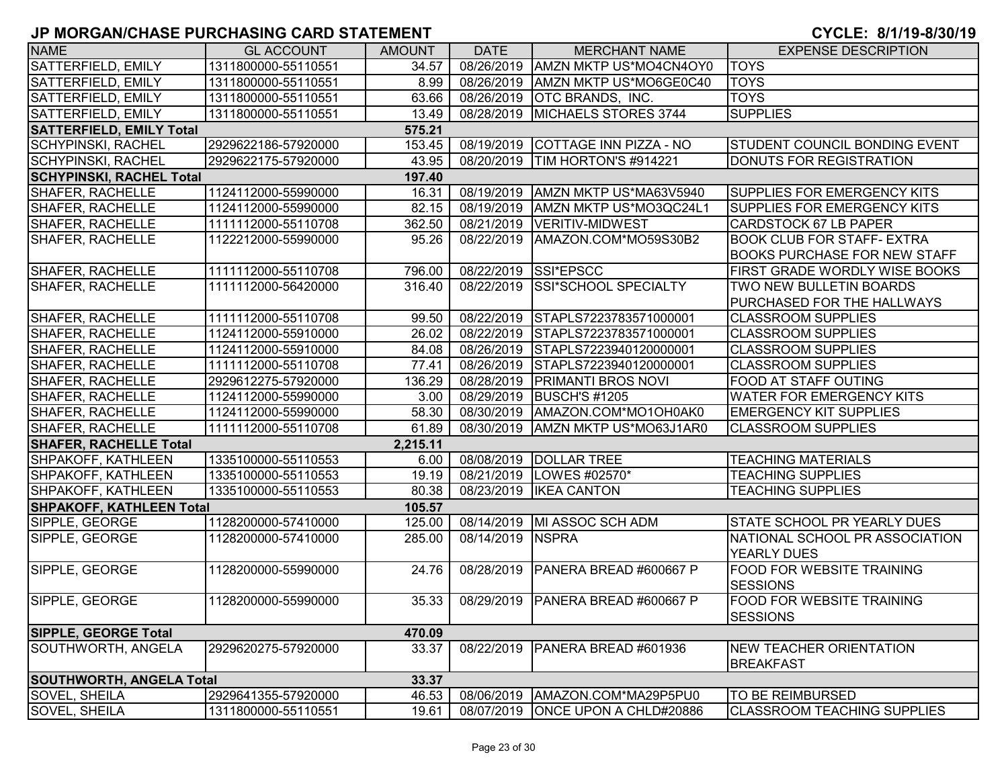| <b>NAME</b>                     | <b>GL ACCOUNT</b>   | <b>AMOUNT</b> | <b>DATE</b>      | <b>MERCHANT NAME</b>                | <b>EXPENSE DESCRIPTION</b>                           |
|---------------------------------|---------------------|---------------|------------------|-------------------------------------|------------------------------------------------------|
| SATTERFIELD, EMILY              | 1311800000-55110551 | 34.57         | 08/26/2019       | AMZN MKTP US*MO4CN4OY0              | <b>TOYS</b>                                          |
| SATTERFIELD, EMILY              | 1311800000-55110551 | 8.99          | 08/26/2019       | AMZN MKTP US*MO6GE0C40              | <b>TOYS</b>                                          |
| <b>SATTERFIELD, EMILY</b>       | 1311800000-55110551 | 63.66         |                  | 08/26/2019 OTC BRANDS, INC.         | <b>TOYS</b>                                          |
| <b>SATTERFIELD, EMILY</b>       | 1311800000-55110551 | 13.49         |                  | 08/28/2019 MICHAELS STORES 3744     | <b>SUPPLIES</b>                                      |
| <b>SATTERFIELD, EMILY Total</b> |                     | 575.21        |                  |                                     |                                                      |
| <b>SCHYPINSKI, RACHEL</b>       | 2929622186-57920000 | 153.45        |                  | 08/19/2019 COTTAGE INN PIZZA - NO   | STUDENT COUNCIL BONDING EVENT                        |
| <b>SCHYPINSKI, RACHEL</b>       | 2929622175-57920000 | 43.95         |                  | 08/20/2019   TIM HORTON'S #914221   | DONUTS FOR REGISTRATION                              |
| <b>SCHYPINSKI, RACHEL Total</b> |                     | 197.40        |                  |                                     |                                                      |
| <b>SHAFER, RACHELLE</b>         | 1124112000-55990000 | 16.31         | 08/19/2019       | AMZN MKTP US*MA63V5940              | <b>SUPPLIES FOR EMERGENCY KITS</b>                   |
| <b>SHAFER, RACHELLE</b>         | 1124112000-55990000 | 82.15         | 08/19/2019       | AMZN MKTP US*MO3QC24L1              | <b>SUPPLIES FOR EMERGENCY KITS</b>                   |
| <b>SHAFER, RACHELLE</b>         | 1111112000-55110708 | 362.50        | 08/21/2019       | VERITIV-MIDWEST                     | <b>CARDSTOCK 67 LB PAPER</b>                         |
| <b>SHAFER, RACHELLE</b>         | 1122212000-55990000 | 95.26         | 08/22/2019       | AMAZON.COM*MO59S30B2                | <b>BOOK CLUB FOR STAFF- EXTRA</b>                    |
|                                 |                     |               |                  |                                     | <b>BOOKS PURCHASE FOR NEW STAFF</b>                  |
| SHAFER, RACHELLE                | 1111112000-55110708 | 796.00        |                  | 08/22/2019 SSI*EPSCC                | <b>FIRST GRADE WORDLY WISE BOOKS</b>                 |
| <b>SHAFER, RACHELLE</b>         | 1111112000-56420000 | 316.40        | 08/22/2019       | SSI*SCHOOL SPECIALTY                | TWO NEW BULLETIN BOARDS                              |
|                                 |                     |               |                  |                                     | PURCHASED FOR THE HALLWAYS                           |
| <b>SHAFER, RACHELLE</b>         | 1111112000-55110708 | 99.50         | 08/22/2019       | STAPLS7223783571000001              | <b>CLASSROOM SUPPLIES</b>                            |
| SHAFER, RACHELLE                | 1124112000-55910000 | 26.02         | 08/22/2019       | STAPLS7223783571000001              | <b>CLASSROOM SUPPLIES</b>                            |
| <b>SHAFER, RACHELLE</b>         | 1124112000-55910000 | 84.08         | 08/26/2019       | STAPLS7223940120000001              | <b>CLASSROOM SUPPLIES</b>                            |
| SHAFER, RACHELLE                | 1111112000-55110708 | 77.41         | 08/26/2019       | STAPLS7223940120000001              | <b>CLASSROOM SUPPLIES</b>                            |
| SHAFER, RACHELLE                | 2929612275-57920000 | 136.29        | 08/28/2019       | <b>PRIMANTI BROS NOVI</b>           | <b>FOOD AT STAFF OUTING</b>                          |
| SHAFER, RACHELLE                | 1124112000-55990000 | 3.00          | 08/29/2019       | BUSCH'S #1205                       | <b>WATER FOR EMERGENCY KITS</b>                      |
| <b>SHAFER, RACHELLE</b>         | 1124112000-55990000 | 58.30         | 08/30/2019       | AMAZON.COM*MO1OH0AK0                | <b>EMERGENCY KIT SUPPLIES</b>                        |
| SHAFER, RACHELLE                | 1111112000-55110708 | 61.89         |                  | 08/30/2019   AMZN MKTP US*MO63J1AR0 | <b>CLASSROOM SUPPLIES</b>                            |
| <b>SHAFER, RACHELLE Total</b>   |                     | 2,215.11      |                  |                                     |                                                      |
| SHPAKOFF, KATHLEEN              | 1335100000-55110553 | 6.00          |                  | 08/08/2019   DOLLAR TREE            | <b>TEACHING MATERIALS</b>                            |
| SHPAKOFF, KATHLEEN              | 1335100000-55110553 | 19.19         |                  | 08/21/2019   LOWES #02570*          | <b>TEACHING SUPPLIES</b>                             |
| <b>SHPAKOFF, KATHLEEN</b>       | 1335100000-55110553 | 80.38         |                  | 08/23/2019   IKEA CANTON            | <b>TEACHING SUPPLIES</b>                             |
| <b>SHPAKOFF, KATHLEEN Total</b> |                     | 105.57        |                  |                                     |                                                      |
| SIPPLE, GEORGE                  | 1128200000-57410000 | 125.00        |                  | 08/14/2019   MI ASSOC SCH ADM       | <b>STATE SCHOOL PR YEARLY DUES</b>                   |
| SIPPLE, GEORGE                  | 1128200000-57410000 | 285.00        | 08/14/2019 NSPRA |                                     | NATIONAL SCHOOL PR ASSOCIATION<br><b>YEARLY DUES</b> |
| SIPPLE, GEORGE                  | 1128200000-55990000 | 24.76         | 08/28/2019       | PANERA BREAD #600667 P              | <b>FOOD FOR WEBSITE TRAINING</b><br><b>SESSIONS</b>  |
| SIPPLE, GEORGE                  | 1128200000-55990000 | 35.33         |                  | 08/29/2019   PANERA BREAD #600667 P | <b>FOOD FOR WEBSITE TRAINING</b><br><b>SESSIONS</b>  |
| <b>SIPPLE, GEORGE Total</b>     |                     | 470.09        |                  |                                     |                                                      |
| SOUTHWORTH, ANGELA              | 2929620275-57920000 | 33.37         | 08/22/2019       | PANERA BREAD #601936                | <b>NEW TEACHER ORIENTATION</b><br><b>BREAKFAST</b>   |
| <b>SOUTHWORTH, ANGELA Total</b> |                     | 33.37         |                  |                                     |                                                      |
| <b>SOVEL, SHEILA</b>            | 2929641355-57920000 | 46.53         | 08/06/2019       | AMAZON.COM*MA29P5PU0                | <b>TO BE REIMBURSED</b>                              |
| <b>SOVEL, SHEILA</b>            | 1311800000-55110551 | 19.61         |                  | 08/07/2019   ONCE UPON A CHLD#20886 | <b>CLASSROOM TEACHING SUPPLIES</b>                   |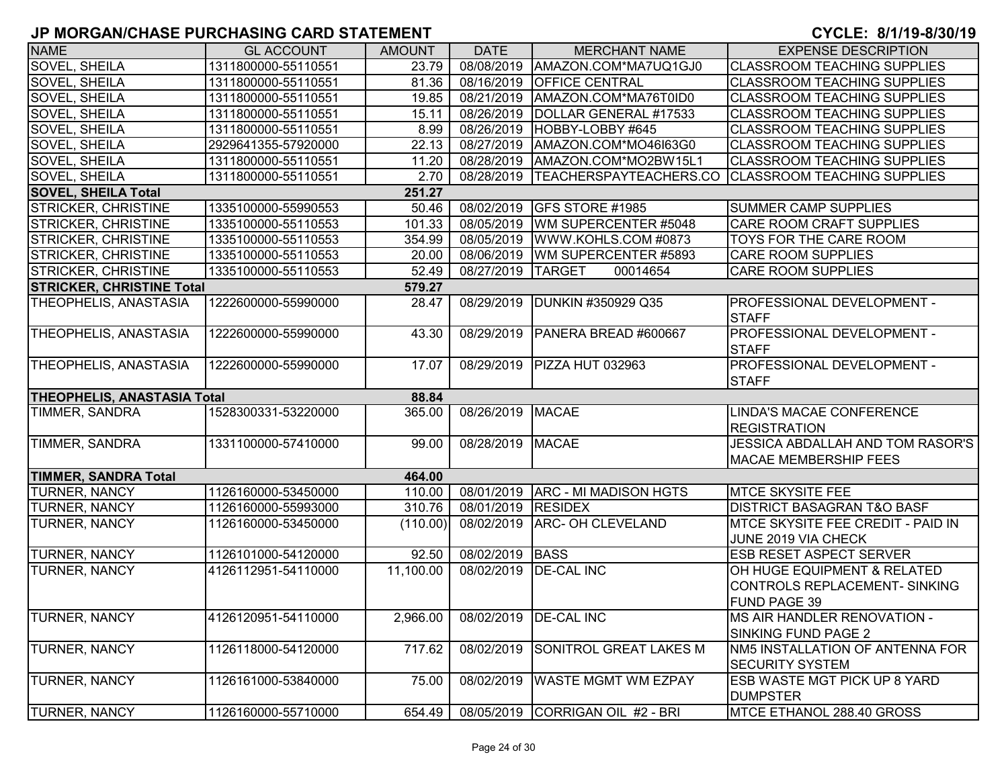| <b>NAME</b>                        | <b>GL ACCOUNT</b>   | <b>AMOUNT</b> | <b>DATE</b>        | <b>MERCHANT NAME</b>             | <b>EXPENSE DESCRIPTION</b>                                                   |
|------------------------------------|---------------------|---------------|--------------------|----------------------------------|------------------------------------------------------------------------------|
| SOVEL, SHEILA                      | 1311800000-55110551 | 23.79         | 08/08/2019         | AMAZON.COM*MA7UQ1GJ0             | <b>CLASSROOM TEACHING SUPPLIES</b>                                           |
| SOVEL, SHEILA                      | 1311800000-55110551 | 81.36         | 08/16/2019         | <b>OFFICE CENTRAL</b>            | <b>CLASSROOM TEACHING SUPPLIES</b>                                           |
| SOVEL, SHEILA                      | 1311800000-55110551 | 19.85         | 08/21/2019         | AMAZON.COM*MA76T0ID0             | <b>CLASSROOM TEACHING SUPPLIES</b>                                           |
| SOVEL, SHEILA                      | 1311800000-55110551 | 15.11         | 08/26/2019         | DOLLAR GENERAL #17533            | <b>CLASSROOM TEACHING SUPPLIES</b>                                           |
| SOVEL, SHEILA                      | 1311800000-55110551 | 8.99          | 08/26/2019         | HOBBY-LOBBY #645                 | <b>CLASSROOM TEACHING SUPPLIES</b>                                           |
| <b>SOVEL, SHEILA</b>               | 2929641355-57920000 | 22.13         | 08/27/2019         | AMAZON.COM*MO46I63G0             | <b>CLASSROOM TEACHING SUPPLIES</b>                                           |
| SOVEL, SHEILA                      | 1311800000-55110551 | 11.20         | 08/28/2019         | AMAZON.COM*MO2BW15L1             | <b>CLASSROOM TEACHING SUPPLIES</b>                                           |
| SOVEL, SHEILA                      | 1311800000-55110551 | 2.70          | 08/28/2019         |                                  | TEACHERSPAYTEACHERS.CO CLASSROOM TEACHING SUPPLIES                           |
| <b>SOVEL, SHEILA Total</b>         |                     | 251.27        |                    |                                  |                                                                              |
| <b>STRICKER, CHRISTINE</b>         | 1335100000-55990553 | 50.46         | 08/02/2019         | GFS STORE #1985                  | <b>SUMMER CAMP SUPPLIES</b>                                                  |
| <b>STRICKER, CHRISTINE</b>         | 1335100000-55110553 | 101.33        | 08/05/2019         | WM SUPERCENTER #5048             | CARE ROOM CRAFT SUPPLIES                                                     |
| <b>STRICKER, CHRISTINE</b>         | 1335100000-55110553 | 354.99        | 08/05/2019         | WWW.KOHLS.COM #0873              | TOYS FOR THE CARE ROOM                                                       |
| <b>STRICKER, CHRISTINE</b>         | 1335100000-55110553 | 20.00         | 08/06/2019         | WM SUPERCENTER #5893             | <b>CARE ROOM SUPPLIES</b>                                                    |
| <b>STRICKER, CHRISTINE</b>         | 1335100000-55110553 | 52.49         | 08/27/2019         | 00014654<br><b>TARGET</b>        | <b>CARE ROOM SUPPLIES</b>                                                    |
| <b>STRICKER, CHRISTINE Total</b>   |                     | 579.27        |                    |                                  |                                                                              |
| THEOPHELIS, ANASTASIA              | 1222600000-55990000 | 28.47         | 08/29/2019         | DUNKIN #350929 Q35               | PROFESSIONAL DEVELOPMENT -<br><b>STAFF</b>                                   |
| THEOPHELIS, ANASTASIA              | 1222600000-55990000 | 43.30         | 08/29/2019         | PANERA BREAD #600667             | PROFESSIONAL DEVELOPMENT -<br><b>STAFF</b>                                   |
| THEOPHELIS, ANASTASIA              | 1222600000-55990000 | 17.07         | 08/29/2019         | PIZZA HUT 032963                 | PROFESSIONAL DEVELOPMENT -<br><b>STAFF</b>                                   |
| <b>THEOPHELIS, ANASTASIA Total</b> |                     | 88.84         |                    |                                  |                                                                              |
| TIMMER, SANDRA                     | 1528300331-53220000 | 365.00        | 08/26/2019 MACAE   |                                  | <b>LINDA'S MACAE CONFERENCE</b><br><b>REGISTRATION</b>                       |
| TIMMER, SANDRA                     | 1331100000-57410000 | 99.00         | 08/28/2019         | <b>MACAE</b>                     | JESSICA ABDALLAH AND TOM RASOR'S<br><b>MACAE MEMBERSHIP FEES</b>             |
| <b>TIMMER, SANDRA Total</b>        |                     | 464.00        |                    |                                  |                                                                              |
| <b>TURNER, NANCY</b>               | 1126160000-53450000 | 110.00        |                    | 08/01/2019 ARC - MI MADISON HGTS | <b>MTCE SKYSITE FEE</b>                                                      |
| <b>TURNER, NANCY</b>               | 1126160000-55993000 | 310.76        | 08/01/2019 RESIDEX |                                  | <b>DISTRICT BASAGRAN T&amp;O BASF</b>                                        |
| TURNER, NANCY                      | 1126160000-53450000 | (110.00)      | 08/02/2019         | ARC- OH CLEVELAND                | MTCE SKYSITE FEE CREDIT - PAID IN<br>JUNE 2019 VIA CHECK                     |
| <b>TURNER, NANCY</b>               | 1126101000-54120000 | 92.50         | 08/02/2019 BASS    |                                  | <b>ESB RESET ASPECT SERVER</b>                                               |
| <b>TURNER, NANCY</b>               | 4126112951-54110000 | 11,100.00     | 08/02/2019         | <b>DE-CAL INC</b>                | OH HUGE EQUIPMENT & RELATED<br>CONTROLS REPLACEMENT- SINKING<br>FUND PAGE 39 |
| <b>TURNER, NANCY</b>               | 4126120951-54110000 | 2,966.00      |                    | 08/02/2019   DE-CAL INC          | <b>MS AIR HANDLER RENOVATION -</b><br><b>SINKING FUND PAGE 2</b>             |
| <b>TURNER, NANCY</b>               | 1126118000-54120000 | 717.62        | 08/02/2019         | SONITROL GREAT LAKES M           | NM5 INSTALLATION OF ANTENNA FOR<br><b>SECURITY SYSTEM</b>                    |
| <b>TURNER, NANCY</b>               | 1126161000-53840000 | 75.00         | 08/02/2019         | <b>WASTE MGMT WM EZPAY</b>       | <b>ESB WASTE MGT PICK UP 8 YARD</b><br><b>DUMPSTER</b>                       |
| <b>TURNER, NANCY</b>               | 1126160000-55710000 | 654.49        |                    | 08/05/2019 CORRIGAN OIL #2 - BRI | MTCE ETHANOL 288.40 GROSS                                                    |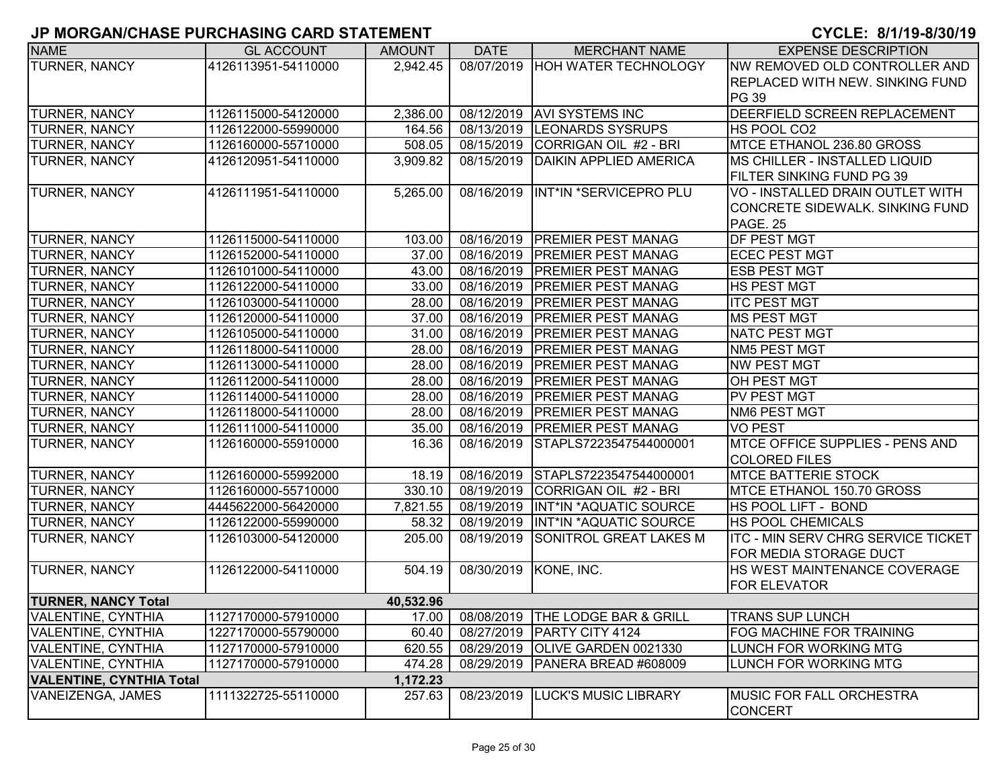| <b>NAME</b>                                 | <b>GL ACCOUNT</b>   | <b>AMOUNT</b> | <b>DATE</b>           | <b>MERCHANT NAME</b>               | <b>EXPENSE DESCRIPTION</b>                        |  |
|---------------------------------------------|---------------------|---------------|-----------------------|------------------------------------|---------------------------------------------------|--|
| <b>TURNER, NANCY</b>                        | 4126113951-54110000 | 2,942.45      | 08/07/2019            | <b>HOH WATER TECHNOLOGY</b>        | NW REMOVED OLD CONTROLLER AND                     |  |
|                                             |                     |               |                       |                                    | REPLACED WITH NEW. SINKING FUND                   |  |
|                                             |                     |               |                       |                                    | <b>PG 39</b>                                      |  |
| TURNER, NANCY                               | 1126115000-54120000 | 2,386.00      | 08/12/2019            | <b>AVI SYSTEMS INC</b>             | <b>DEERFIELD SCREEN REPLACEMENT</b>               |  |
| <b>TURNER, NANCY</b>                        | 1126122000-55990000 | 164.56        | 08/13/2019            | <b>LEONARDS SYSRUPS</b>            | HS POOL CO2                                       |  |
| <b>TURNER, NANCY</b>                        | 1126160000-55710000 | 508.05        | 08/15/2019            | CORRIGAN OIL #2 - BRI              | MTCE ETHANOL 236.80 GROSS                         |  |
| TURNER, NANCY                               | 4126120951-54110000 | 3,909.82      | 08/15/2019            | <b>DAIKIN APPLIED AMERICA</b>      | MS CHILLER - INSTALLED LIQUID                     |  |
|                                             |                     |               |                       |                                    | FILTER SINKING FUND PG 39                         |  |
| TURNER, NANCY                               | 4126111951-54110000 | 5,265.00      | 08/16/2019            | INT*IN *SERVICEPRO PLU             | VO - INSTALLED DRAIN OUTLET WITH                  |  |
|                                             |                     |               |                       |                                    | CONCRETE SIDEWALK. SINKING FUND                   |  |
|                                             |                     |               |                       |                                    | PAGE. 25                                          |  |
| <b>TURNER, NANCY</b>                        | 1126115000-54110000 | 103.00        | 08/16/2019            | <b>PREMIER PEST MANAG</b>          | <b>DF PEST MGT</b>                                |  |
| <b>TURNER, NANCY</b>                        | 1126152000-54110000 | 37.00         | 08/16/2019            | <b>PREMIER PEST MANAG</b>          | <b>ECEC PEST MGT</b>                              |  |
| <b>TURNER, NANCY</b>                        | 1126101000-54110000 | 43.00         | 08/16/2019            | <b>PREMIER PEST MANAG</b>          | <b>ESB PEST MGT</b>                               |  |
| <b>TURNER, NANCY</b>                        | 1126122000-54110000 | 33.00         | 08/16/2019            | <b>PREMIER PEST MANAG</b>          | <b>HS PEST MGT</b>                                |  |
| TURNER, NANCY                               | 1126103000-54110000 | 28.00         | 08/16/2019            | <b>PREMIER PEST MANAG</b>          | <b>ITC PEST MGT</b>                               |  |
| <b>TURNER, NANCY</b>                        | 1126120000-54110000 | 37.00         | 08/16/2019            | <b>PREMIER PEST MANAG</b>          | <b>MS PEST MGT</b>                                |  |
| <b>TURNER, NANCY</b>                        | 1126105000-54110000 | 31.00         | 08/16/2019            | <b>PREMIER PEST MANAG</b>          | <b>NATC PEST MGT</b>                              |  |
| <b>TURNER, NANCY</b>                        | 1126118000-54110000 | 28.00         | 08/16/2019            | <b>PREMIER PEST MANAG</b>          | <b>NM5 PEST MGT</b>                               |  |
| <b>TURNER, NANCY</b>                        | 1126113000-54110000 | 28.00         | 08/16/2019            | <b>PREMIER PEST MANAG</b>          | <b>NW PEST MGT</b>                                |  |
| <b>TURNER, NANCY</b>                        | 1126112000-54110000 | 28.00         | 08/16/2019            | <b>PREMIER PEST MANAG</b>          | <b>OH PEST MGT</b>                                |  |
| <b>TURNER, NANCY</b>                        | 1126114000-54110000 | 28.00         | 08/16/2019            | <b>PREMIER PEST MANAG</b>          | <b>PV PEST MGT</b>                                |  |
| <b>TURNER, NANCY</b>                        | 1126118000-54110000 | 28.00         | 08/16/2019            | <b>PREMIER PEST MANAG</b>          | NM6 PEST MGT                                      |  |
| <b>TURNER, NANCY</b>                        | 1126111000-54110000 | 35.00         | 08/16/2019            | <b>PREMIER PEST MANAG</b>          | <b>VO PEST</b>                                    |  |
| <b>TURNER, NANCY</b>                        | 1126160000-55910000 | 16.36         | 08/16/2019            | STAPLS7223547544000001             | <b>MTCE OFFICE SUPPLIES - PENS AND</b>            |  |
|                                             |                     |               |                       |                                    | <b>COLORED FILES</b>                              |  |
| <b>TURNER, NANCY</b>                        | 1126160000-55992000 | 18.19         | 08/16/2019            | STAPLS7223547544000001             | <b>MTCE BATTERIE STOCK</b>                        |  |
| <b>TURNER, NANCY</b>                        | 1126160000-55710000 | 330.10        | 08/19/2019            | CORRIGAN OIL #2 - BRI              | MTCE ETHANOL 150.70 GROSS                         |  |
| <b>TURNER, NANCY</b>                        | 4445622000-56420000 | 7,821.55      | 08/19/2019            | INT*IN *AQUATIC SOURCE             | HS POOL LIFT - BOND                               |  |
| <b>TURNER, NANCY</b>                        | 1126122000-55990000 | 58.32         | 08/19/2019            | INT*IN *AQUATIC SOURCE             | <b>HS POOL CHEMICALS</b>                          |  |
| <b>TURNER, NANCY</b>                        | 1126103000-54120000 | 205.00        | 08/19/2019            | <b>SONITROL GREAT LAKES M</b>      | ITC - MIN SERV CHRG SERVICE TICKET                |  |
|                                             |                     |               |                       |                                    | FOR MEDIA STORAGE DUCT                            |  |
| TURNER, NANCY                               | 1126122000-54110000 | 504.19        | 08/30/2019 KONE, INC. |                                    | HS WEST MAINTENANCE COVERAGE                      |  |
|                                             |                     |               |                       |                                    | <b>FOR ELEVATOR</b>                               |  |
| <b>TURNER, NANCY Total</b>                  |                     | 40,532.96     |                       |                                    |                                                   |  |
| <b>VALENTINE, CYNTHIA</b>                   | 1127170000-57910000 | 17.00         |                       | 08/08/2019   THE LODGE BAR & GRILL | <b>TRANS SUP LUNCH</b>                            |  |
| <b>VALENTINE, CYNTHIA</b>                   | 1227170000-55790000 | 60.40         | 08/27/2019            | <b>PARTY CITY 4124</b>             | FOG MACHINE FOR TRAINING                          |  |
| <b>VALENTINE, CYNTHIA</b>                   | 1127170000-57910000 | 620.55        | 08/29/2019            | OLIVE GARDEN 0021330               | LUNCH FOR WORKING MTG                             |  |
| <b>VALENTINE, CYNTHIA</b>                   | 1127170000-57910000 | 474.28        | 08/29/2019            | PANERA BREAD #608009               | LUNCH FOR WORKING MTG                             |  |
| <b>VALENTINE, CYNTHIA Total</b><br>1,172.23 |                     |               |                       |                                    |                                                   |  |
| VANEIZENGA, JAMES                           | 1111322725-55110000 | 257.63        | 08/23/2019            | <b>LUCK'S MUSIC LIBRARY</b>        | <b>MUSIC FOR FALL ORCHESTRA</b><br><b>CONCERT</b> |  |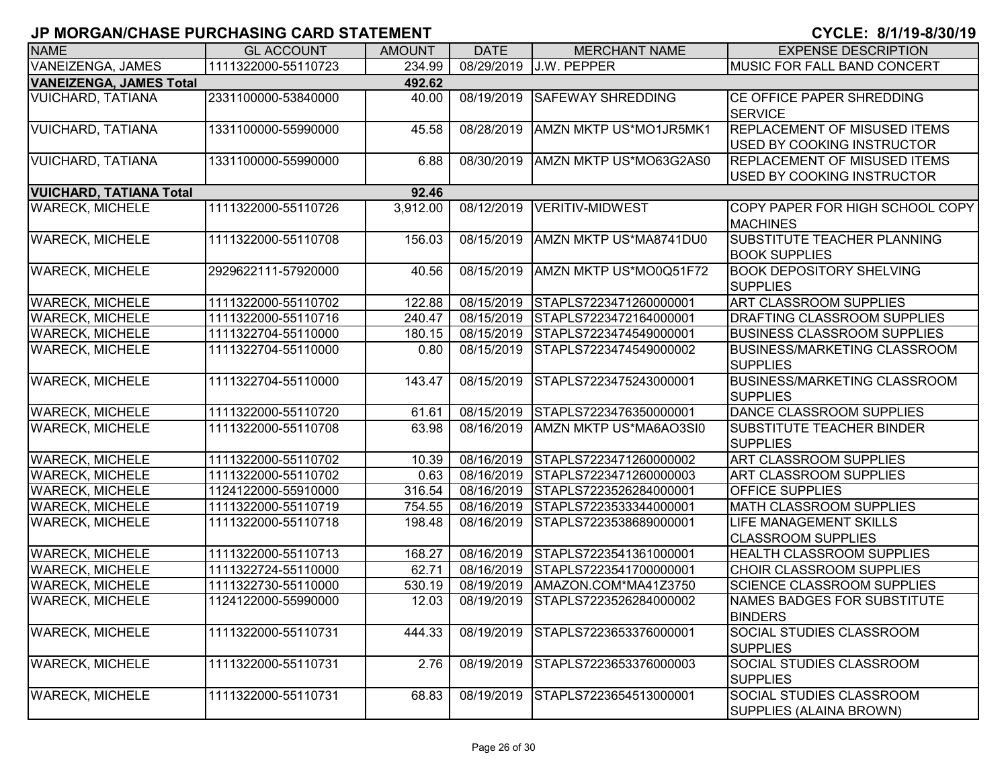| <b>NAME</b>                              | <b>GL ACCOUNT</b>   | <b>AMOUNT</b> | <b>DATE</b> | <b>MERCHANT NAME</b>     | <b>EXPENSE DESCRIPTION</b>                                        |  |
|------------------------------------------|---------------------|---------------|-------------|--------------------------|-------------------------------------------------------------------|--|
| <b>VANEIZENGA, JAMES</b>                 | 1111322000-55110723 | 234.99        |             | 08/29/2019 J.W. PEPPER   | <b>MUSIC FOR FALL BAND CONCERT</b>                                |  |
| <b>VANEIZENGA, JAMES Total</b><br>492.62 |                     |               |             |                          |                                                                   |  |
| <b>VUICHARD, TATIANA</b>                 | 2331100000-53840000 | 40.00         | 08/19/2019  | <b>SAFEWAY SHREDDING</b> | CE OFFICE PAPER SHREDDING<br><b>SERVICE</b>                       |  |
| <b>VUICHARD, TATIANA</b>                 | 1331100000-55990000 | 45.58         | 08/28/2019  | AMZN MKTP US*MO1JR5MK1   | <b>REPLACEMENT OF MISUSED ITEMS</b><br>USED BY COOKING INSTRUCTOR |  |
| <b>VUICHARD, TATIANA</b>                 | 1331100000-55990000 | 6.88          | 08/30/2019  | AMZN MKTP US*MO63G2AS0   | <b>REPLACEMENT OF MISUSED ITEMS</b><br>USED BY COOKING INSTRUCTOR |  |
| <b>VUICHARD, TATIANA Total</b>           |                     | 92.46         |             |                          |                                                                   |  |
| <b>WARECK, MICHELE</b>                   | 1111322000-55110726 | 3,912.00      | 08/12/2019  | VERITIV-MIDWEST          | COPY PAPER FOR HIGH SCHOOL COPY<br><b>MACHINES</b>                |  |
| <b>WARECK, MICHELE</b>                   | 1111322000-55110708 | 156.03        | 08/15/2019  | AMZN MKTP US*MA8741DU0   | SUBSTITUTE TEACHER PLANNING<br><b>BOOK SUPPLIES</b>               |  |
| <b>WARECK, MICHELE</b>                   | 2929622111-57920000 | 40.56         | 08/15/2019  | AMZN MKTP US*MO0Q51F72   | <b>BOOK DEPOSITORY SHELVING</b><br><b>SUPPLIES</b>                |  |
| <b>WARECK, MICHELE</b>                   | 1111322000-55110702 | 122.88        | 08/15/2019  | STAPLS7223471260000001   | <b>ART CLASSROOM SUPPLIES</b>                                     |  |
| <b>WARECK, MICHELE</b>                   | 1111322000-55110716 | 240.47        | 08/15/2019  | STAPLS7223472164000001   | DRAFTING CLASSROOM SUPPLIES                                       |  |
| <b>WARECK, MICHELE</b>                   | 1111322704-55110000 | 180.15        | 08/15/2019  | STAPLS7223474549000001   | <b>BUSINESS CLASSROOM SUPPLIES</b>                                |  |
| <b>WARECK, MICHELE</b>                   | 1111322704-55110000 | 0.80          | 08/15/2019  | STAPLS7223474549000002   | <b>BUSINESS/MARKETING CLASSROOM</b><br><b>SUPPLIES</b>            |  |
| <b>WARECK, MICHELE</b>                   | 1111322704-55110000 | 143.47        | 08/15/2019  | STAPLS7223475243000001   | <b>BUSINESS/MARKETING CLASSROOM</b><br><b>SUPPLIES</b>            |  |
| <b>WARECK, MICHELE</b>                   | 1111322000-55110720 | 61.61         | 08/15/2019  | STAPLS7223476350000001   | DANCE CLASSROOM SUPPLIES                                          |  |
| <b>WARECK, MICHELE</b>                   | 1111322000-55110708 | 63.98         | 08/16/2019  | AMZN MKTP US*MA6AO3SI0   | <b>SUBSTITUTE TEACHER BINDER</b><br><b>SUPPLIES</b>               |  |
| <b>WARECK, MICHELE</b>                   | 1111322000-55110702 | 10.39         | 08/16/2019  | STAPLS7223471260000002   | ART CLASSROOM SUPPLIES                                            |  |
| <b>WARECK, MICHELE</b>                   | 1111322000-55110702 | 0.63          | 08/16/2019  | STAPLS7223471260000003   | ART CLASSROOM SUPPLIES                                            |  |
| <b>WARECK, MICHELE</b>                   | 1124122000-55910000 | 316.54        | 08/16/2019  | STAPLS7223526284000001   | <b>OFFICE SUPPLIES</b>                                            |  |
| <b>WARECK, MICHELE</b>                   | 1111322000-55110719 | 754.55        | 08/16/2019  | STAPLS7223533344000001   | <b>MATH CLASSROOM SUPPLIES</b>                                    |  |
| <b>WARECK, MICHELE</b>                   | 1111322000-55110718 | 198.48        | 08/16/2019  | STAPLS7223538689000001   | <b>LIFE MANAGEMENT SKILLS</b><br><b>CLASSROOM SUPPLIES</b>        |  |
| <b>WARECK, MICHELE</b>                   | 1111322000-55110713 | 168.27        | 08/16/2019  | STAPLS7223541361000001   | <b>HEALTH CLASSROOM SUPPLIES</b>                                  |  |
| <b>WARECK, MICHELE</b>                   | 1111322724-55110000 | 62.71         | 08/16/2019  | STAPLS7223541700000001   | CHOIR CLASSROOM SUPPLIES                                          |  |
| <b>WARECK, MICHELE</b>                   | 1111322730-55110000 | 530.19        | 08/19/2019  | AMAZON.COM*MA41Z3750     | <b>SCIENCE CLASSROOM SUPPLIES</b>                                 |  |
| <b>WARECK, MICHELE</b>                   | 1124122000-55990000 | 12.03         | 08/19/2019  | STAPLS7223526284000002   | NAMES BADGES FOR SUBSTITUTE<br><b>BINDERS</b>                     |  |
| <b>WARECK, MICHELE</b>                   | 1111322000-55110731 | 444.33        | 08/19/2019  | STAPLS7223653376000001   | <b>SOCIAL STUDIES CLASSROOM</b><br><b>SUPPLIES</b>                |  |
| <b>WARECK, MICHELE</b>                   | 1111322000-55110731 | 2.76          | 08/19/2019  | STAPLS7223653376000003   | SOCIAL STUDIES CLASSROOM<br><b>SUPPLIES</b>                       |  |
| <b>WARECK, MICHELE</b>                   | 1111322000-55110731 | 68.83         | 08/19/2019  | STAPLS7223654513000001   | <b>SOCIAL STUDIES CLASSROOM</b><br>SUPPLIES (ALAINA BROWN)        |  |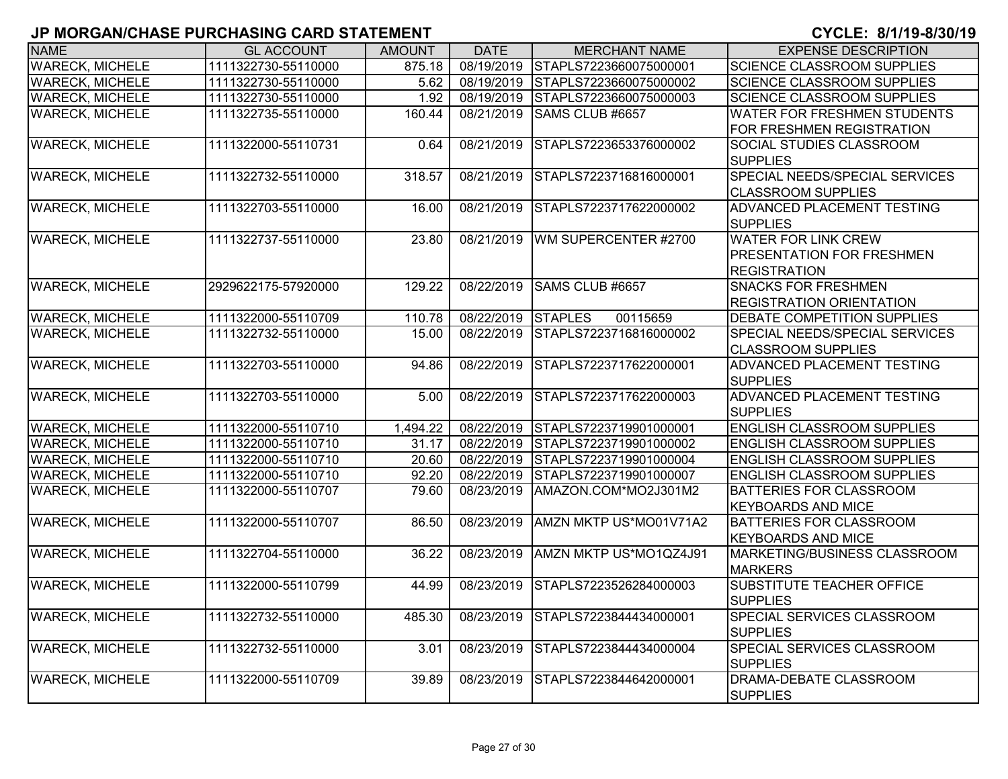| <b>NAME</b>            | <b>GL ACCOUNT</b>   | <b>AMOUNT</b> | <b>DATE</b> | <b>MERCHANT NAME</b>       | <b>EXPENSE DESCRIPTION</b>                         |
|------------------------|---------------------|---------------|-------------|----------------------------|----------------------------------------------------|
| <b>WARECK, MICHELE</b> | 1111322730-55110000 | 875.18        | 08/19/2019  | STAPLS7223660075000001     | <b>SCIENCE CLASSROOM SUPPLIES</b>                  |
| <b>WARECK, MICHELE</b> | 1111322730-55110000 | 5.62          | 08/19/2019  | STAPLS7223660075000002     | <b>SCIENCE CLASSROOM SUPPLIES</b>                  |
| <b>WARECK, MICHELE</b> | 1111322730-55110000 | 1.92          | 08/19/2019  | STAPLS7223660075000003     | <b>SCIENCE CLASSROOM SUPPLIES</b>                  |
| <b>WARECK, MICHELE</b> | 1111322735-55110000 | 160.44        | 08/21/2019  | SAMS CLUB #6657            | WATER FOR FRESHMEN STUDENTS                        |
|                        |                     |               |             |                            | FOR FRESHMEN REGISTRATION                          |
| <b>WARECK, MICHELE</b> | 1111322000-55110731 | 0.64          | 08/21/2019  | STAPLS7223653376000002     | SOCIAL STUDIES CLASSROOM                           |
|                        |                     |               |             |                            | <b>SUPPLIES</b>                                    |
| <b>WARECK, MICHELE</b> | 1111322732-55110000 | 318.57        | 08/21/2019  | STAPLS7223716816000001     | SPECIAL NEEDS/SPECIAL SERVICES                     |
|                        |                     |               |             |                            | <b>CLASSROOM SUPPLIES</b>                          |
| <b>WARECK, MICHELE</b> | 1111322703-55110000 | 16.00         | 08/21/2019  | STAPLS7223717622000002     | <b>ADVANCED PLACEMENT TESTING</b>                  |
|                        |                     |               |             |                            | <b>SUPPLIES</b>                                    |
| <b>WARECK, MICHELE</b> | 1111322737-55110000 | 23.80         | 08/21/2019  | WM SUPERCENTER #2700       | <b>WATER FOR LINK CREW</b>                         |
|                        |                     |               |             |                            | <b>PRESENTATION FOR FRESHMEN</b>                   |
|                        |                     |               |             |                            | <b>REGISTRATION</b>                                |
| <b>WARECK, MICHELE</b> | 2929622175-57920000 | 129.22        | 08/22/2019  | SAMS CLUB #6657            | <b>SNACKS FOR FRESHMEN</b>                         |
|                        |                     |               |             |                            | <b>REGISTRATION ORIENTATION</b>                    |
| <b>WARECK, MICHELE</b> | 1111322000-55110709 | 110.78        | 08/22/2019  | <b>STAPLES</b><br>00115659 | DEBATE COMPETITION SUPPLIES                        |
| <b>WARECK, MICHELE</b> | 1111322732-55110000 | 15.00         | 08/22/2019  | STAPLS7223716816000002     | SPECIAL NEEDS/SPECIAL SERVICES                     |
|                        |                     |               |             |                            | <b>CLASSROOM SUPPLIES</b>                          |
| <b>WARECK, MICHELE</b> | 1111322703-55110000 | 94.86         | 08/22/2019  | STAPLS7223717622000001     | ADVANCED PLACEMENT TESTING                         |
|                        |                     |               |             |                            | <b>SUPPLIES</b>                                    |
| <b>WARECK, MICHELE</b> | 1111322703-55110000 | 5.00          | 08/22/2019  | STAPLS7223717622000003     | ADVANCED PLACEMENT TESTING                         |
|                        |                     |               |             |                            | <b>SUPPLIES</b>                                    |
| <b>WARECK, MICHELE</b> | 1111322000-55110710 | 1,494.22      | 08/22/2019  | STAPLS7223719901000001     | <b>ENGLISH CLASSROOM SUPPLIES</b>                  |
| <b>WARECK, MICHELE</b> | 1111322000-55110710 | 31.17         | 08/22/2019  | STAPLS7223719901000002     | <b>ENGLISH CLASSROOM SUPPLIES</b>                  |
| <b>WARECK, MICHELE</b> | 1111322000-55110710 | 20.60         | 08/22/2019  | STAPLS7223719901000004     | <b>ENGLISH CLASSROOM SUPPLIES</b>                  |
| <b>WARECK, MICHELE</b> | 1111322000-55110710 | 92.20         | 08/22/2019  | STAPLS7223719901000007     | <b>ENGLISH CLASSROOM SUPPLIES</b>                  |
| <b>WARECK, MICHELE</b> | 1111322000-55110707 | 79.60         | 08/23/2019  | AMAZON.COM*MO2J301M2       | <b>BATTERIES FOR CLASSROOM</b>                     |
|                        |                     |               |             |                            | <b>KEYBOARDS AND MICE</b>                          |
| <b>WARECK, MICHELE</b> | 1111322000-55110707 | 86.50         | 08/23/2019  | AMZN MKTP US*MO01V71A2     | <b>BATTERIES FOR CLASSROOM</b>                     |
|                        |                     |               |             |                            | <b>KEYBOARDS AND MICE</b>                          |
| <b>WARECK, MICHELE</b> | 1111322704-55110000 | 36.22         | 08/23/2019  | AMZN MKTP US*MO1QZ4J91     | MARKETING/BUSINESS CLASSROOM                       |
| <b>WARECK, MICHELE</b> | 1111322000-55110799 | 44.99         | 08/23/2019  | STAPLS7223526284000003     | <b>MARKERS</b><br><b>SUBSTITUTE TEACHER OFFICE</b> |
|                        |                     |               |             |                            |                                                    |
| <b>WARECK, MICHELE</b> | 1111322732-55110000 | 485.30        | 08/23/2019  | STAPLS7223844434000001     | <b>SUPPLIES</b><br>SPECIAL SERVICES CLASSROOM      |
|                        |                     |               |             |                            | <b>SUPPLIES</b>                                    |
| <b>WARECK, MICHELE</b> | 1111322732-55110000 | 3.01          | 08/23/2019  | STAPLS7223844434000004     | SPECIAL SERVICES CLASSROOM                         |
|                        |                     |               |             |                            | <b>SUPPLIES</b>                                    |
| <b>WARECK, MICHELE</b> | 1111322000-55110709 | 39.89         | 08/23/2019  | STAPLS7223844642000001     | DRAMA-DEBATE CLASSROOM                             |
|                        |                     |               |             |                            | <b>SUPPLIES</b>                                    |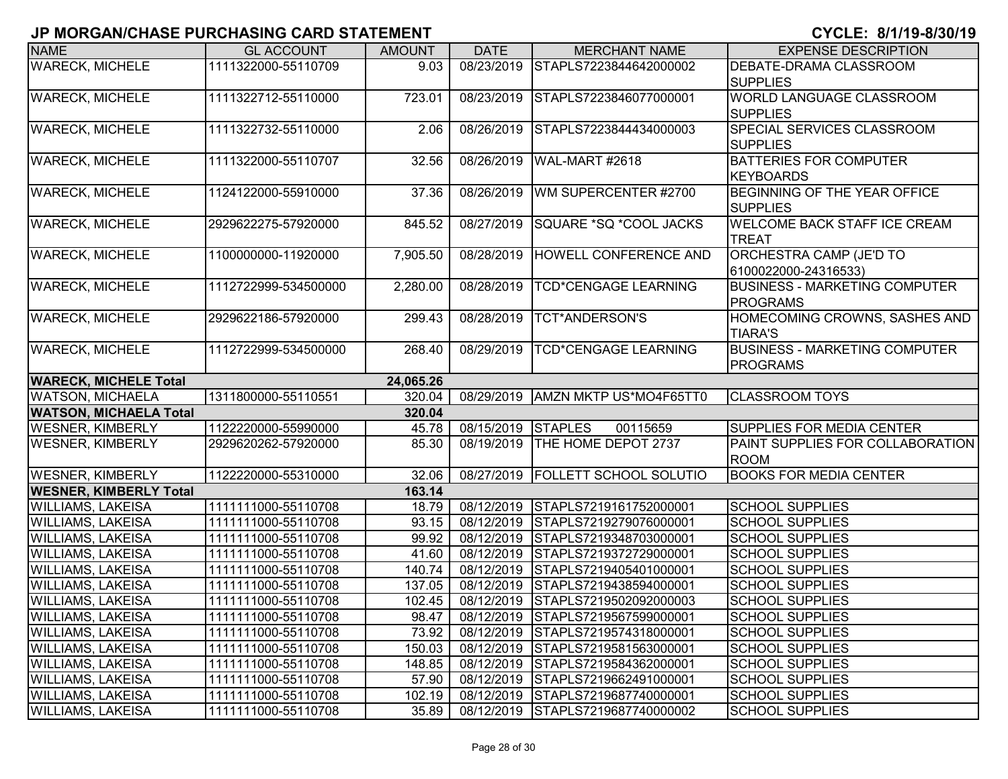| <b>NAME</b>                   | <b>GL ACCOUNT</b>    | <b>AMOUNT</b> | <b>DATE</b> | <b>MERCHANT NAME</b>                | <b>EXPENSE DESCRIPTION</b>           |
|-------------------------------|----------------------|---------------|-------------|-------------------------------------|--------------------------------------|
| <b>WARECK, MICHELE</b>        | 1111322000-55110709  | 9.03          | 08/23/2019  | STAPLS7223844642000002              | DEBATE-DRAMA CLASSROOM               |
|                               |                      |               |             |                                     | <b>SUPPLIES</b>                      |
| <b>WARECK, MICHELE</b>        | 1111322712-55110000  | 723.01        | 08/23/2019  | STAPLS7223846077000001              | <b>WORLD LANGUAGE CLASSROOM</b>      |
|                               |                      |               |             |                                     | <b>SUPPLIES</b>                      |
| <b>WARECK, MICHELE</b>        | 1111322732-55110000  | 2.06          | 08/26/2019  | STAPLS7223844434000003              | <b>SPECIAL SERVICES CLASSROOM</b>    |
|                               |                      |               |             |                                     | <b>SUPPLIES</b>                      |
| <b>WARECK, MICHELE</b>        | 1111322000-55110707  | 32.56         | 08/26/2019  | WAL-MART #2618                      | <b>BATTERIES FOR COMPUTER</b>        |
|                               |                      |               |             |                                     | KEYBOARDS                            |
| <b>WARECK, MICHELE</b>        | 1124122000-55910000  | 37.36         | 08/26/2019  | WM SUPERCENTER #2700                | <b>BEGINNING OF THE YEAR OFFICE</b>  |
|                               |                      |               |             |                                     | <b>SUPPLIES</b>                      |
| <b>WARECK, MICHELE</b>        | 2929622275-57920000  | 845.52        | 08/27/2019  | SQUARE *SQ *COOL JACKS              | <b>WELCOME BACK STAFF ICE CREAM</b>  |
|                               |                      |               |             |                                     | <b>TREAT</b>                         |
| <b>WARECK, MICHELE</b>        | 1100000000-11920000  | 7,905.50      | 08/28/2019  | <b>HOWELL CONFERENCE AND</b>        | <b>ORCHESTRA CAMP (JE'D TO</b>       |
|                               |                      |               |             |                                     | 6100022000-24316533)                 |
| <b>WARECK, MICHELE</b>        | 1112722999-534500000 | 2,280.00      | 08/28/2019  | <b>TCD*CENGAGE LEARNING</b>         | <b>BUSINESS - MARKETING COMPUTER</b> |
|                               |                      |               |             |                                     | <b>PROGRAMS</b>                      |
| <b>WARECK, MICHELE</b>        | 2929622186-57920000  | 299.43        | 08/28/2019  | <b>TCT*ANDERSON'S</b>               | HOMECOMING CROWNS, SASHES AND        |
|                               |                      |               |             |                                     | <b>TIARA'S</b>                       |
| <b>WARECK, MICHELE</b>        | 1112722999-534500000 | 268.40        | 08/29/2019  | <b>TCD*CENGAGE LEARNING</b>         | <b>BUSINESS - MARKETING COMPUTER</b> |
|                               |                      |               |             |                                     | PROGRAMS                             |
| <b>WARECK, MICHELE Total</b>  |                      | 24,065.26     |             |                                     |                                      |
| <b>WATSON, MICHAELA</b>       | 1311800000-55110551  | 320.04        | 08/29/2019  | AMZN MKTP US*MO4F65TT0              | <b>CLASSROOM TOYS</b>                |
| <b>WATSON, MICHAELA Total</b> |                      | 320.04        |             |                                     |                                      |
| <b>WESNER, KIMBERLY</b>       | 1122220000-55990000  | 45.78         | 08/15/2019  | <b>STAPLES</b><br>00115659          | <b>SUPPLIES FOR MEDIA CENTER</b>     |
| <b>WESNER, KIMBERLY</b>       | 2929620262-57920000  | 85.30         | 08/19/2019  | THE HOME DEPOT 2737                 | PAINT SUPPLIES FOR COLLABORATION     |
|                               |                      |               |             |                                     | <b>ROOM</b>                          |
| <b>WESNER, KIMBERLY</b>       | 1122220000-55310000  | 32.06         |             | 08/27/2019   FOLLETT SCHOOL SOLUTIO | <b>BOOKS FOR MEDIA CENTER</b>        |
| <b>WESNER, KIMBERLY Total</b> |                      | 163.14        |             |                                     |                                      |
| <b>WILLIAMS, LAKEISA</b>      | 1111111000-55110708  | 18.79         | 08/12/2019  | STAPLS7219161752000001              | <b>SCHOOL SUPPLIES</b>               |
| <b>WILLIAMS, LAKEISA</b>      | 1111111000-55110708  | 93.15         | 08/12/2019  | STAPLS7219279076000001              | <b>SCHOOL SUPPLIES</b>               |
| <b>WILLIAMS, LAKEISA</b>      | 1111111000-55110708  | 99.92         | 08/12/2019  | STAPLS7219348703000001              | <b>SCHOOL SUPPLIES</b>               |
| <b>WILLIAMS, LAKEISA</b>      | 1111111000-55110708  | 41.60         | 08/12/2019  | STAPLS7219372729000001              | <b>SCHOOL SUPPLIES</b>               |
| <b>WILLIAMS, LAKEISA</b>      | 1111111000-55110708  | 140.74        | 08/12/2019  | STAPLS7219405401000001              | <b>SCHOOL SUPPLIES</b>               |
| <b>WILLIAMS, LAKEISA</b>      | 1111111000-55110708  | 137.05        | 08/12/2019  | STAPLS7219438594000001              | <b>SCHOOL SUPPLIES</b>               |
| WILLIAMS, LAKEISA             | 1111111000-55110708  | 102.45        | 08/12/2019  | STAPLS7219502092000003              | <b>SCHOOL SUPPLIES</b>               |
| <b>WILLIAMS, LAKEISA</b>      | 1111111000-55110708  | 98.47         |             | 08/12/2019 STAPLS7219567599000001   | <b>SCHOOL SUPPLIES</b>               |
| <b>WILLIAMS, LAKEISA</b>      | 1111111000-55110708  | 73.92         | 08/12/2019  | STAPLS7219574318000001              | <b>SCHOOL SUPPLIES</b>               |
| <b>WILLIAMS, LAKEISA</b>      | 1111111000-55110708  | 150.03        | 08/12/2019  | STAPLS7219581563000001              | <b>SCHOOL SUPPLIES</b>               |
| <b>WILLIAMS, LAKEISA</b>      | 1111111000-55110708  | 148.85        | 08/12/2019  | STAPLS7219584362000001              | <b>SCHOOL SUPPLIES</b>               |
| <b>WILLIAMS, LAKEISA</b>      | 1111111000-55110708  | 57.90         | 08/12/2019  | STAPLS7219662491000001              | <b>SCHOOL SUPPLIES</b>               |
| <b>WILLIAMS, LAKEISA</b>      | 1111111000-55110708  | 102.19        |             | 08/12/2019 STAPLS7219687740000001   | <b>SCHOOL SUPPLIES</b>               |
| <b>WILLIAMS, LAKEISA</b>      | 1111111000-55110708  | 35.89         |             | 08/12/2019 STAPLS7219687740000002   | SCHOOL SUPPLIES                      |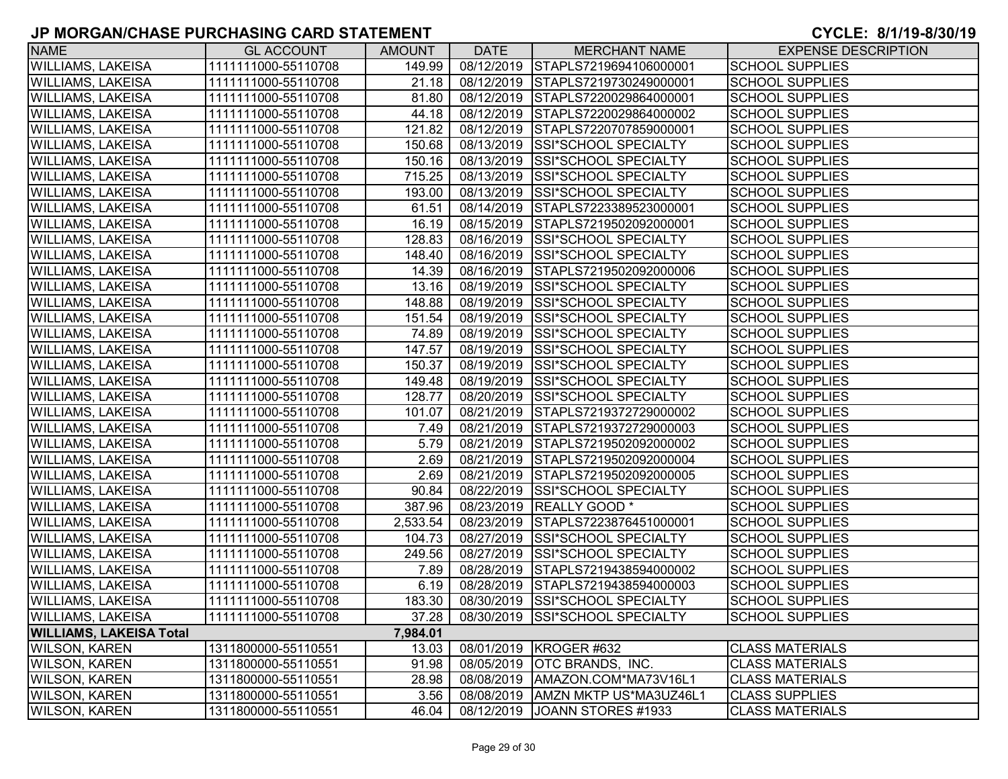| <b>NAME</b>                    | <b>GL ACCOUNT</b>   | <b>AMOUNT</b> | DATE       | <b>MERCHANT NAME</b>                | <b>EXPENSE DESCRIPTION</b> |
|--------------------------------|---------------------|---------------|------------|-------------------------------------|----------------------------|
| <b>WILLIAMS, LAKEISA</b>       | 1111111000-55110708 | 149.99        |            | 08/12/2019 STAPLS7219694106000001   | <b>SCHOOL SUPPLIES</b>     |
| <b>WILLIAMS, LAKEISA</b>       | 1111111000-55110708 | 21.18         |            | 08/12/2019 STAPLS7219730249000001   | <b>SCHOOL SUPPLIES</b>     |
| <b>WILLIAMS, LAKEISA</b>       | 1111111000-55110708 | 81.80         |            | 08/12/2019 STAPLS7220029864000001   | <b>SCHOOL SUPPLIES</b>     |
| <b>WILLIAMS, LAKEISA</b>       | 1111111000-55110708 | 44.18         |            | 08/12/2019 STAPLS7220029864000002   | <b>SCHOOL SUPPLIES</b>     |
| <b>WILLIAMS, LAKEISA</b>       | 1111111000-55110708 | 121.82        |            | 08/12/2019 STAPLS7220707859000001   | <b>SCHOOL SUPPLIES</b>     |
| <b>WILLIAMS, LAKEISA</b>       | 1111111000-55110708 | 150.68        |            | 08/13/2019 SSI*SCHOOL SPECIALTY     | <b>SCHOOL SUPPLIES</b>     |
| <b>WILLIAMS, LAKEISA</b>       | 1111111000-55110708 | 150.16        |            | 08/13/2019 SSI*SCHOOL SPECIALTY     | SCHOOL SUPPLIES            |
| <b>WILLIAMS, LAKEISA</b>       | 1111111000-55110708 | 715.25        |            | 08/13/2019 SSI*SCHOOL SPECIALTY     | <b>SCHOOL SUPPLIES</b>     |
| <b>WILLIAMS, LAKEISA</b>       | 1111111000-55110708 | 193.00        |            | 08/13/2019 SSI*SCHOOL SPECIALTY     | SCHOOL SUPPLIES            |
| <b>WILLIAMS, LAKEISA</b>       | 1111111000-55110708 | 61.51         |            | 08/14/2019 STAPLS7223389523000001   | <b>SCHOOL SUPPLIES</b>     |
| <b>WILLIAMS, LAKEISA</b>       | 1111111000-55110708 | 16.19         |            | 08/15/2019 STAPLS7219502092000001   | <b>SCHOOL SUPPLIES</b>     |
| <b>WILLIAMS, LAKEISA</b>       | 1111111000-55110708 | 128.83        |            | 08/16/2019 SSI*SCHOOL SPECIALTY     | <b>SCHOOL SUPPLIES</b>     |
| <b>WILLIAMS, LAKEISA</b>       | 1111111000-55110708 | 148.40        |            | 08/16/2019 SSI*SCHOOL SPECIALTY     | <b>SCHOOL SUPPLIES</b>     |
| <b>WILLIAMS, LAKEISA</b>       | 1111111000-55110708 | 14.39         |            | 08/16/2019 STAPLS7219502092000006   | <b>SCHOOL SUPPLIES</b>     |
| <b>WILLIAMS, LAKEISA</b>       | 1111111000-55110708 | 13.16         | 08/19/2019 | <b>SSI*SCHOOL SPECIALTY</b>         | <b>SCHOOL SUPPLIES</b>     |
| <b>WILLIAMS, LAKEISA</b>       | 1111111000-55110708 | 148.88        | 08/19/2019 | <b>SSI*SCHOOL SPECIALTY</b>         | <b>SCHOOL SUPPLIES</b>     |
| <b>WILLIAMS, LAKEISA</b>       | 1111111000-55110708 | 151.54        |            | 08/19/2019 SSI*SCHOOL SPECIALTY     | <b>SCHOOL SUPPLIES</b>     |
| <b>WILLIAMS, LAKEISA</b>       | 1111111000-55110708 | 74.89         |            | 08/19/2019 SSI*SCHOOL SPECIALTY     | <b>SCHOOL SUPPLIES</b>     |
| <b>WILLIAMS, LAKEISA</b>       | 1111111000-55110708 | 147.57        | 08/19/2019 | SSI*SCHOOL SPECIALTY                | <b>SCHOOL SUPPLIES</b>     |
| <b>WILLIAMS, LAKEISA</b>       | 1111111000-55110708 | 150.37        |            | 08/19/2019 SSI*SCHOOL SPECIALTY     | <b>SCHOOL SUPPLIES</b>     |
| <b>WILLIAMS, LAKEISA</b>       | 1111111000-55110708 | 149.48        |            | 08/19/2019 SSI*SCHOOL SPECIALTY     | <b>SCHOOL SUPPLIES</b>     |
| <b>WILLIAMS, LAKEISA</b>       | 1111111000-55110708 | 128.77        |            | 08/20/2019 SSI*SCHOOL SPECIALTY     | <b>SCHOOL SUPPLIES</b>     |
| <b>WILLIAMS, LAKEISA</b>       | 1111111000-55110708 | 101.07        |            | 08/21/2019 STAPLS7219372729000002   | <b>SCHOOL SUPPLIES</b>     |
| <b>WILLIAMS, LAKEISA</b>       | 1111111000-55110708 | 7.49          |            | 08/21/2019 STAPLS7219372729000003   | <b>SCHOOL SUPPLIES</b>     |
| <b>WILLIAMS, LAKEISA</b>       | 1111111000-55110708 | 5.79          |            | 08/21/2019 STAPLS7219502092000002   | <b>SCHOOL SUPPLIES</b>     |
| <b>WILLIAMS, LAKEISA</b>       | 1111111000-55110708 | 2.69          |            | 08/21/2019 STAPLS7219502092000004   | <b>SCHOOL SUPPLIES</b>     |
| <b>WILLIAMS, LAKEISA</b>       | 1111111000-55110708 | 2.69          |            | 08/21/2019 STAPLS7219502092000005   | <b>SCHOOL SUPPLIES</b>     |
| <b>WILLIAMS, LAKEISA</b>       | 1111111000-55110708 | 90.84         |            | 08/22/2019 SSI*SCHOOL SPECIALTY     | <b>SCHOOL SUPPLIES</b>     |
| <b>WILLIAMS, LAKEISA</b>       | 1111111000-55110708 | 387.96        |            | 08/23/2019   REALLY GOOD *          | <b>SCHOOL SUPPLIES</b>     |
| <b>WILLIAMS, LAKEISA</b>       | 1111111000-55110708 | 2,533.54      |            | 08/23/2019 STAPLS7223876451000001   | <b>SCHOOL SUPPLIES</b>     |
| <b>WILLIAMS, LAKEISA</b>       | 1111111000-55110708 | 104.73        |            | 08/27/2019 SSI*SCHOOL SPECIALTY     | <b>SCHOOL SUPPLIES</b>     |
| <b>WILLIAMS, LAKEISA</b>       | 1111111000-55110708 | 249.56        |            | 08/27/2019 SSI*SCHOOL SPECIALTY     | <b>SCHOOL SUPPLIES</b>     |
| <b>WILLIAMS, LAKEISA</b>       | 1111111000-55110708 | 7.89          | 08/28/2019 | STAPLS7219438594000002              | <b>SCHOOL SUPPLIES</b>     |
| <b>WILLIAMS, LAKEISA</b>       | 1111111000-55110708 | 6.19          |            | 08/28/2019 STAPLS7219438594000003   | <b>SCHOOL SUPPLIES</b>     |
| <b>WILLIAMS, LAKEISA</b>       | 1111111000-55110708 | 183.30        |            | 08/30/2019 SSI*SCHOOL SPECIALTY     | <b>SCHOOL SUPPLIES</b>     |
| <b>WILLIAMS, LAKEISA</b>       | 1111111000-55110708 | 37.28         |            | 08/30/2019 SSI*SCHOOL SPECIALTY     | SCHOOL SUPPLIES            |
| <b>WILLIAMS, LAKEISA Total</b> |                     | 7,984.01      |            |                                     |                            |
| <b>WILSON, KAREN</b>           | 1311800000-55110551 | 13.03         |            | 08/01/2019   KROGER #632            | <b>CLASS MATERIALS</b>     |
| <b>WILSON, KAREN</b>           | 1311800000-55110551 | 91.98         |            | 08/05/2019 OTC BRANDS, INC.         | <b>CLASS MATERIALS</b>     |
| <b>WILSON, KAREN</b>           | 1311800000-55110551 | 28.98         | 08/08/2019 | AMAZON.COM*MA73V16L1                | <b>CLASS MATERIALS</b>     |
| <b>WILSON, KAREN</b>           | 1311800000-55110551 | 3.56          |            | 08/08/2019   AMZN MKTP US*MA3UZ46L1 | <b>CLASS SUPPLIES</b>      |
| <b>WILSON, KAREN</b>           | 1311800000-55110551 | 46.04         |            | 08/12/2019 JOANN STORES #1933       | <b>CLASS MATERIALS</b>     |